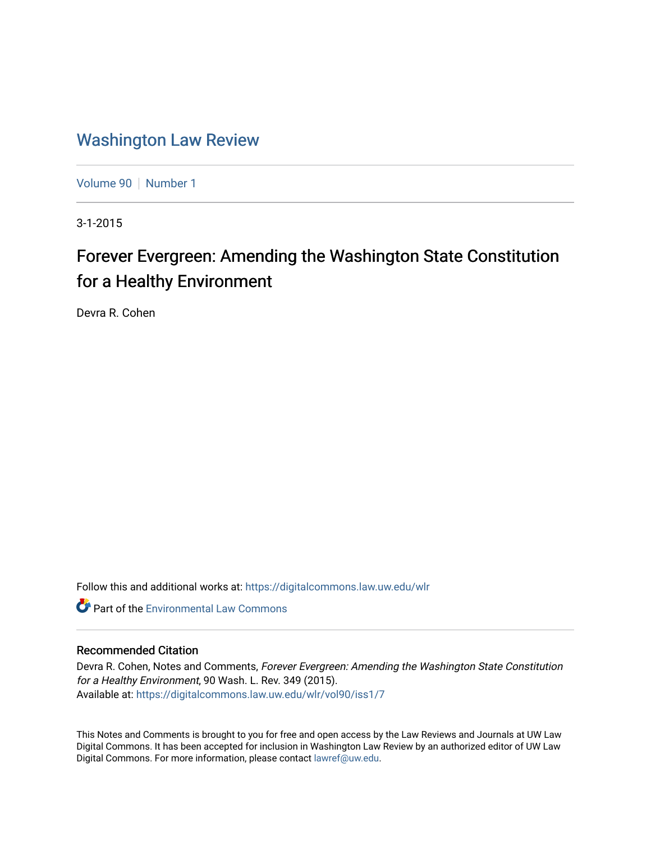## [Washington Law Review](https://digitalcommons.law.uw.edu/wlr)

[Volume 90](https://digitalcommons.law.uw.edu/wlr/vol90) | [Number 1](https://digitalcommons.law.uw.edu/wlr/vol90/iss1)

3-1-2015

# Forever Evergreen: Amending the Washington State Constitution for a Healthy Environment

Devra R. Cohen

Follow this and additional works at: [https://digitalcommons.law.uw.edu/wlr](https://digitalcommons.law.uw.edu/wlr?utm_source=digitalcommons.law.uw.edu%2Fwlr%2Fvol90%2Fiss1%2F7&utm_medium=PDF&utm_campaign=PDFCoverPages)

**C** Part of the [Environmental Law Commons](http://network.bepress.com/hgg/discipline/599?utm_source=digitalcommons.law.uw.edu%2Fwlr%2Fvol90%2Fiss1%2F7&utm_medium=PDF&utm_campaign=PDFCoverPages)

## Recommended Citation

Devra R. Cohen, Notes and Comments, Forever Evergreen: Amending the Washington State Constitution for a Healthy Environment, 90 Wash. L. Rev. 349 (2015). Available at: [https://digitalcommons.law.uw.edu/wlr/vol90/iss1/7](https://digitalcommons.law.uw.edu/wlr/vol90/iss1/7?utm_source=digitalcommons.law.uw.edu%2Fwlr%2Fvol90%2Fiss1%2F7&utm_medium=PDF&utm_campaign=PDFCoverPages)

This Notes and Comments is brought to you for free and open access by the Law Reviews and Journals at UW Law Digital Commons. It has been accepted for inclusion in Washington Law Review by an authorized editor of UW Law Digital Commons. For more information, please contact [lawref@uw.edu.](mailto:lawref@uw.edu)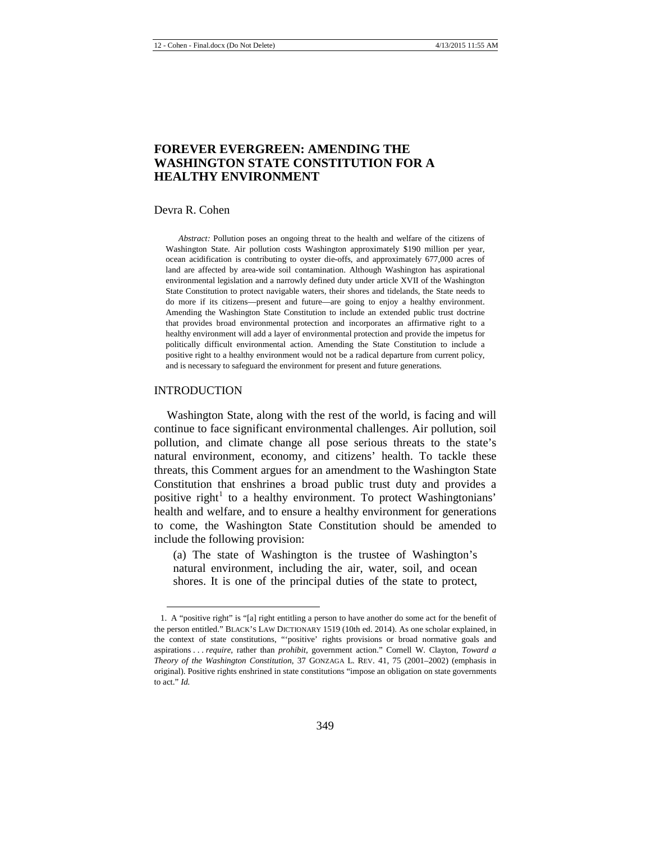## **FOREVER EVERGREEN: AMENDING THE WASHINGTON STATE CONSTITUTION FOR A HEALTHY ENVIRONMENT**

#### Devra R. Cohen

*Abstract:* Pollution poses an ongoing threat to the health and welfare of the citizens of Washington State. Air pollution costs Washington approximately \$190 million per year, ocean acidification is contributing to oyster die-offs, and approximately 677,000 acres of land are affected by area-wide soil contamination. Although Washington has aspirational environmental legislation and a narrowly defined duty under article XVII of the Washington State Constitution to protect navigable waters, their shores and tidelands, the State needs to do more if its citizens—present and future—are going to enjoy a healthy environment. Amending the Washington State Constitution to include an extended public trust doctrine that provides broad environmental protection and incorporates an affirmative right to a healthy environment will add a layer of environmental protection and provide the impetus for politically difficult environmental action. Amending the State Constitution to include a positive right to a healthy environment would not be a radical departure from current policy, and is necessary to safeguard the environment for present and future generations.

#### INTRODUCTION

 $\overline{a}$ 

Washington State, along with the rest of the world, is facing and will continue to face significant environmental challenges. Air pollution, soil pollution, and climate change all pose serious threats to the state's natural environment, economy, and citizens' health. To tackle these threats, this Comment argues for an amendment to the Washington State Constitution that enshrines a broad public trust duty and provides a positive right $1$  to a healthy environment. To protect Washingtonians' health and welfare, and to ensure a healthy environment for generations to come, the Washington State Constitution should be amended to include the following provision:

<span id="page-1-1"></span>(a) The state of Washington is the trustee of Washington's natural environment, including the air, water, soil, and ocean shores. It is one of the principal duties of the state to protect,

<span id="page-1-0"></span><sup>1.</sup> A "positive right" is "[a] right entitling a person to have another do some act for the benefit of the person entitled." BLACK'S LAW DICTIONARY 1519 (10th ed. 2014). As one scholar explained, in the context of state constitutions, "'positive' rights provisions or broad normative goals and aspirations . . . *require*, rather than *prohibit*, government action." Cornell W. Clayton, *Toward a Theory of the Washington Constitution*, 37 GONZAGA L. REV. 41, 75 (2001–2002) (emphasis in original). Positive rights enshrined in state constitutions "impose an obligation on state governments to act." *Id.*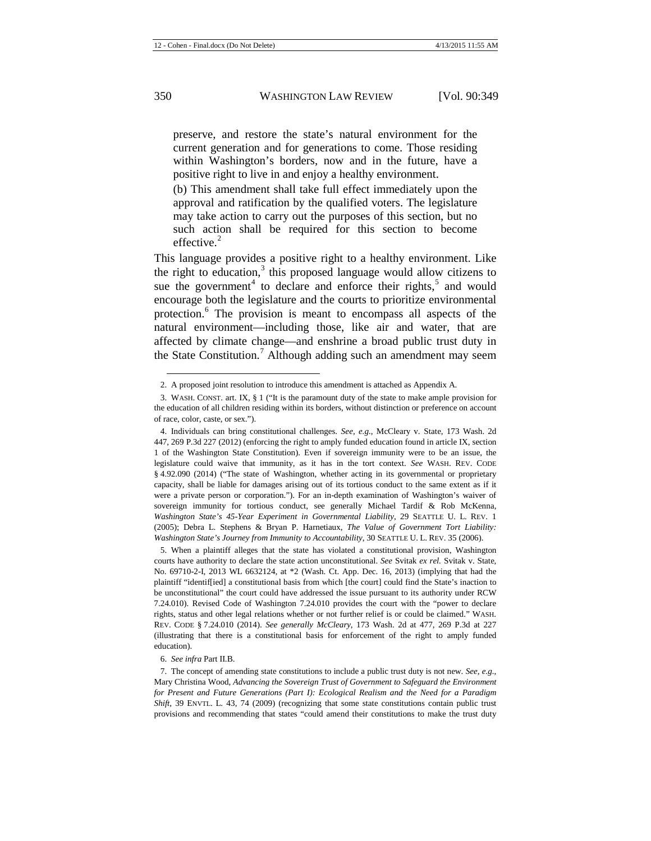preserve, and restore the state's natural environment for the current generation and for generations to come. Those residing within Washington's borders, now and in the future, have a positive right to live in and enjoy a healthy environment.

(b) This amendment shall take full effect immediately upon the approval and ratification by the qualified voters. The legislature may take action to carry out the purposes of this section, but no such action shall be required for this section to become effective. $^{2}$  $^{2}$  $^{2}$ 

This language provides a positive right to a healthy environment. Like the right to education, $3$  this proposed language would allow citizens to sue the government<sup>[4](#page-2-2)</sup> to declare and enforce their rights,<sup>[5](#page-2-3)</sup> and would encourage both the legislature and the courts to prioritize environmental protection.<sup>[6](#page-2-4)</sup> The provision is meant to encompass all aspects of the natural environment—including those, like air and water, that are affected by climate change—and enshrine a broad public trust duty in the State Constitution.<sup>[7](#page-2-5)</sup> Although adding such an amendment may seem

<span id="page-2-3"></span>5. When a plaintiff alleges that the state has violated a constitutional provision, Washington courts have authority to declare the state action unconstitutional. *See* Svitak *ex rel.* Svitak v. State, No. 69710-2-I, 2013 WL 6632124, at \*2 (Wash. Ct. App. Dec. 16, 2013) (implying that had the plaintiff "identif[ied] a constitutional basis from which [the court] could find the State's inaction to be unconstitutional" the court could have addressed the issue pursuant to its authority under RCW 7.24.010). Revised Code of Washington 7.24.010 provides the court with the "power to declare rights, status and other legal relations whether or not further relief is or could be claimed." WASH. REV. CODE § 7.24.010 (2014). *See generally McCleary*, 173 Wash. 2d at 477, 269 P.3d at 227 (illustrating that there is a constitutional basis for enforcement of the right to amply funded education).

6. *See infra* Part II.B.

<span id="page-2-5"></span><span id="page-2-4"></span>7. The concept of amending state constitutions to include a public trust duty is not new. *See, e.g.*, Mary Christina Wood, *Advancing the Sovereign Trust of Government to Safeguard the Environment for Present and Future Generations (Part I): Ecological Realism and the Need for a Paradigm Shift*, 39 ENVTL. L. 43, 74 (2009) (recognizing that some state constitutions contain public trust provisions and recommending that states "could amend their constitutions to make the trust duty

<span id="page-2-6"></span><sup>2.</sup> A proposed joint resolution to introduce this amendment is attached as Appendix A.

<span id="page-2-1"></span><span id="page-2-0"></span><sup>3.</sup> WASH. CONST. art. IX, § 1 ("It is the paramount duty of the state to make ample provision for the education of all children residing within its borders, without distinction or preference on account of race, color, caste, or sex.").

<span id="page-2-2"></span><sup>4.</sup> Individuals can bring constitutional challenges. *See, e.g.*, McCleary v. State, 173 Wash. 2d 447, 269 P.3d 227 (2012) (enforcing the right to amply funded education found in article IX, section 1 of the Washington State Constitution). Even if sovereign immunity were to be an issue, the legislature could waive that immunity, as it has in the tort context. *See* WASH. REV. CODE § 4.92.090 (2014) ("The state of Washington, whether acting in its governmental or proprietary capacity, shall be liable for damages arising out of its tortious conduct to the same extent as if it were a private person or corporation."). For an in-depth examination of Washington's waiver of sovereign immunity for tortious conduct, see generally Michael Tardif & Rob McKenna, *Washington State's 45-Year Experiment in Governmental Liability*, 29 SEATTLE U. L. REV. 1 (2005); Debra L. Stephens & Bryan P. Harnetiaux, *The Value of Government Tort Liability: Washington State's Journey from Immunity to Accountability*, 30 SEATTLE U. L. REV. 35 (2006).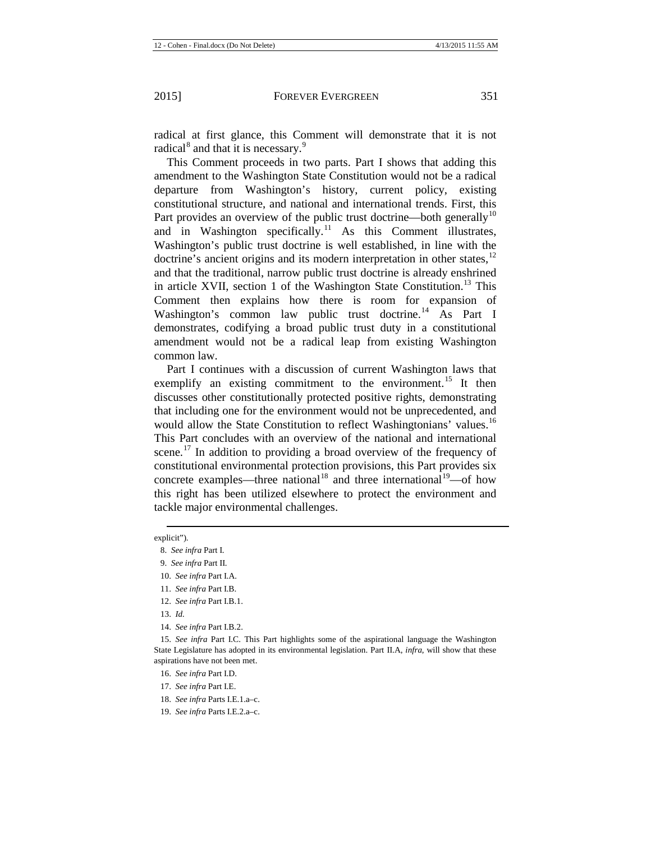radical at first glance, this Comment will demonstrate that it is not radical<sup>[8](#page-3-0)</sup> and that it is necessary.<sup>[9](#page-3-1)</sup>

This Comment proceeds in two parts. Part I shows that adding this amendment to the Washington State Constitution would not be a radical departure from Washington's history, current policy, existing constitutional structure, and national and international trends. First, this Part provides an overview of the public trust doctrine—both generally<sup>[10](#page-3-2)</sup> and in Washington specifically.<sup>[11](#page-3-3)</sup> As this Comment illustrates, Washington's public trust doctrine is well established, in line with the doctrine's ancient origins and its modern interpretation in other states,<sup>[12](#page-3-4)</sup> and that the traditional, narrow public trust doctrine is already enshrined in article XVII, section 1 of the Washington State Constitution.<sup>[13](#page-3-5)</sup> This Comment then explains how there is room for expansion of Washington's common law public trust doctrine.<sup>[14](#page-3-6)</sup> As Part I demonstrates, codifying a broad public trust duty in a constitutional amendment would not be a radical leap from existing Washington common law.

Part I continues with a discussion of current Washington laws that exemplify an existing commitment to the environment.<sup>[15](#page-3-7)</sup> It then discusses other constitutionally protected positive rights, demonstrating that including one for the environment would not be unprecedented, and would allow the State Constitution to reflect Washingtonians' values.<sup>[16](#page-3-8)</sup> This Part concludes with an overview of the national and international scene.<sup>[17](#page-3-9)</sup> In addition to providing a broad overview of the frequency of constitutional environmental protection provisions, this Part provides six concrete examples—three national<sup>[18](#page-3-10)</sup> and three international<sup>[19](#page-3-11)</sup>—of how this right has been utilized elsewhere to protect the environment and tackle major environmental challenges.

- 16. *See infra* Part I.D.
- <span id="page-3-9"></span>17. *See infra* Part I.E.
- <span id="page-3-10"></span>18. *See infra* Parts I.E.1.a–c.
- <span id="page-3-11"></span>19. *See infra* Parts I.E.2.a–c.

<span id="page-3-1"></span><span id="page-3-0"></span>explicit").  $\overline{a}$ 

<sup>8.</sup> *See infra* Part I.

<span id="page-3-2"></span><sup>9.</sup> *See infra* Part II.

<sup>10.</sup> *See infra* Part I.A.

<sup>11.</sup> *See infra* Part I.B.

<span id="page-3-3"></span><sup>12.</sup> *See infra* Part I.B.1.

<sup>13.</sup> *Id.*

<sup>14.</sup> *See infra* Part I.B.2.

<span id="page-3-8"></span><span id="page-3-7"></span><span id="page-3-6"></span><span id="page-3-5"></span><span id="page-3-4"></span><sup>15.</sup> *See infra* Part I.C. This Part highlights some of the aspirational language the Washington State Legislature has adopted in its environmental legislation. Part II.A, *infra*, will show that these aspirations have not been met.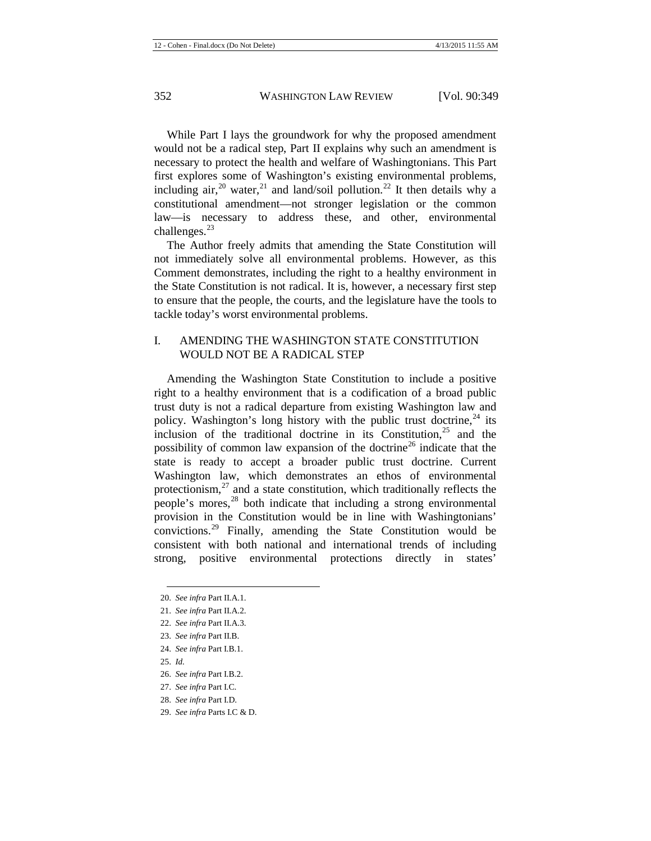While Part I lays the groundwork for why the proposed amendment would not be a radical step, Part II explains why such an amendment is necessary to protect the health and welfare of Washingtonians. This Part first explores some of Washington's existing environmental problems, including air,  $^{20}$  $^{20}$  $^{20}$  water,  $^{21}$  $^{21}$  $^{21}$  and land/soil pollution.  $^{22}$  $^{22}$  $^{22}$  It then details why a constitutional amendment—not stronger legislation or the common law—is necessary to address these, and other, environmental challenges. $^{23}$  $^{23}$  $^{23}$ 

The Author freely admits that amending the State Constitution will not immediately solve all environmental problems. However, as this Comment demonstrates, including the right to a healthy environment in the State Constitution is not radical. It is, however, a necessary first step to ensure that the people, the courts, and the legislature have the tools to tackle today's worst environmental problems.

## I. AMENDING THE WASHINGTON STATE CONSTITUTION WOULD NOT BE A RADICAL STEP

Amending the Washington State Constitution to include a positive right to a healthy environment that is a codification of a broad public trust duty is not a radical departure from existing Washington law and policy. Washington's long history with the public trust doctrine,  $24$  its inclusion of the traditional doctrine in its Constitution, $25$  and the possibility of common law expansion of the doctrine<sup>[26](#page-4-6)</sup> indicate that the state is ready to accept a broader public trust doctrine. Current Washington law, which demonstrates an ethos of environmental protectionism, $^{27}$  $^{27}$  $^{27}$  and a state constitution, which traditionally reflects the people's mores, $28$  both indicate that including a strong environmental provision in the Constitution would be in line with Washingtonians' convictions.[29](#page-4-9) Finally, amending the State Constitution would be consistent with both national and international trends of including strong, positive environmental protections directly in states'

- <span id="page-4-4"></span>24. *See infra* Part I.B.1.
- <span id="page-4-5"></span>25. *Id.*

- <span id="page-4-6"></span>26. *See infra* Part I.B.2.
- <span id="page-4-7"></span>27. *See infra* Part I.C.
- <span id="page-4-8"></span>28. *See infra* Part I.D.
- <span id="page-4-9"></span>29. *See infra* Parts I.C & D.

<span id="page-4-1"></span><span id="page-4-0"></span><sup>20.</sup> *See infra* Part II.A.1.

<sup>21.</sup> *See infra* Part II.A.2.

<span id="page-4-2"></span><sup>22.</sup> *See infra* Part II.A.3.

<span id="page-4-3"></span><sup>23.</sup> *See infra* Part II.B.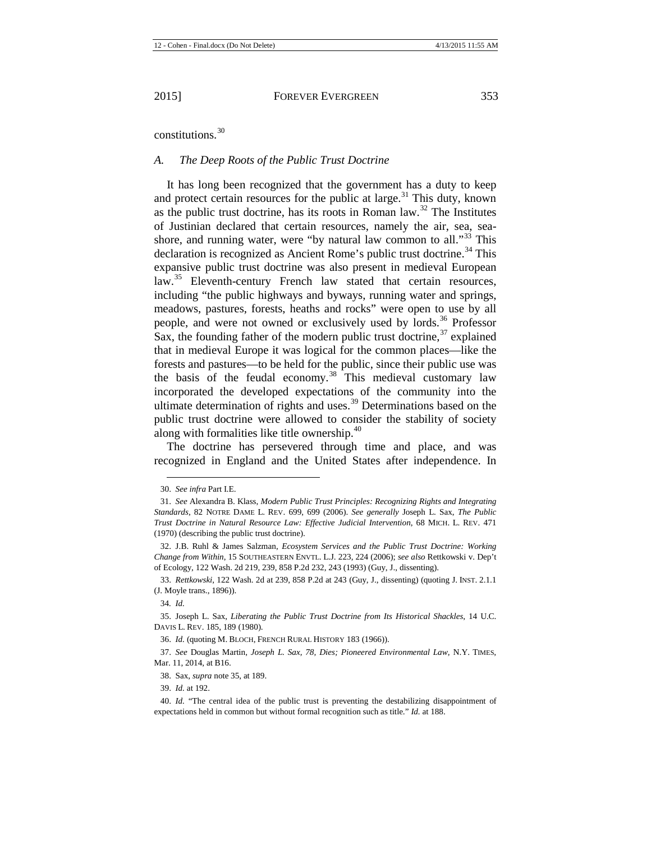constitutions.[30](#page-5-1)

#### *A. The Deep Roots of the Public Trust Doctrine*

<span id="page-5-12"></span><span id="page-5-0"></span>It has long been recognized that the government has a duty to keep and protect certain resources for the public at large.<sup>[31](#page-5-2)</sup> This duty, known as the public trust doctrine, has its roots in Roman law.<sup>[32](#page-5-3)</sup> The Institutes of Justinian declared that certain resources, namely the air, sea, sea-shore, and running water, were "by natural law common to all."<sup>[33](#page-5-4)</sup> This declaration is recognized as Ancient Rome's public trust doctrine.<sup>[34](#page-5-5)</sup> This expansive public trust doctrine was also present in medieval European law.<sup>[35](#page-5-6)</sup> Eleventh-century French law stated that certain resources, including "the public highways and byways, running water and springs, meadows, pastures, forests, heaths and rocks" were open to use by all people, and were not owned or exclusively used by lords.<sup>[36](#page-5-7)</sup> Professor Sax, the founding father of the modern public trust doctrine,  $37$  explained that in medieval Europe it was logical for the common places—like the forests and pastures—to be held for the public, since their public use was the basis of the feudal economy.<sup>[38](#page-5-9)</sup> This medieval customary law incorporated the developed expectations of the community into the ultimate determination of rights and uses. $39$  Determinations based on the public trust doctrine were allowed to consider the stability of society along with formalities like title ownership.<sup>[40](#page-5-11)</sup>

The doctrine has persevered through time and place, and was recognized in England and the United States after independence. In

**.** 

39. *Id.* at 192.

<sup>30.</sup> *See infra* Part I.E.

<span id="page-5-2"></span><span id="page-5-1"></span><sup>31.</sup> *See* Alexandra B. Klass, *Modern Public Trust Principles: Recognizing Rights and Integrating Standards*, 82 NOTRE DAME L. REV. 699, 699 (2006). *See generally* Joseph L. Sax, *The Public Trust Doctrine in Natural Resource Law: Effective Judicial Intervention*, 68 MICH. L. REV. 471 (1970) (describing the public trust doctrine).

<span id="page-5-3"></span><sup>32.</sup> J.B. Ruhl & James Salzman, *Ecosystem Services and the Public Trust Doctrine: Working Change from Within*, 15 SOUTHEASTERN ENVTL. L.J. 223, 224 (2006); *see also* Rettkowski v. Dep't of Ecology, 122 Wash. 2d 219, 239, 858 P.2d 232, 243 (1993) (Guy, J., dissenting).

<span id="page-5-5"></span><span id="page-5-4"></span><sup>33.</sup> *Rettkowski*, 122 Wash. 2d at 239, 858 P.2d at 243 (Guy, J., dissenting) (quoting J. INST. 2.1.1 (J. Moyle trans., 1896)).

<sup>34</sup>*. Id.*

<span id="page-5-6"></span><sup>35.</sup> Joseph L. Sax, *Liberating the Public Trust Doctrine from Its Historical Shackles*, 14 U.C. DAVIS L. REV. 185, 189 (1980).

<sup>36.</sup> *Id.* (quoting M. BLOCH, FRENCH RURAL HISTORY 183 (1966)).

<span id="page-5-9"></span><span id="page-5-8"></span><span id="page-5-7"></span><sup>37.</sup> *See* Douglas Martin, *Joseph L. Sax, 78, Dies; Pioneered Environmental Law*, N.Y. TIMES, Mar. 11, 2014, at B16.

<sup>38.</sup> Sax, *supra* not[e 35,](#page-5-0) at 189.

<span id="page-5-11"></span><span id="page-5-10"></span><sup>40.</sup> *Id.* "The central idea of the public trust is preventing the destabilizing disappointment of expectations held in common but without formal recognition such as title." *Id.* at 188.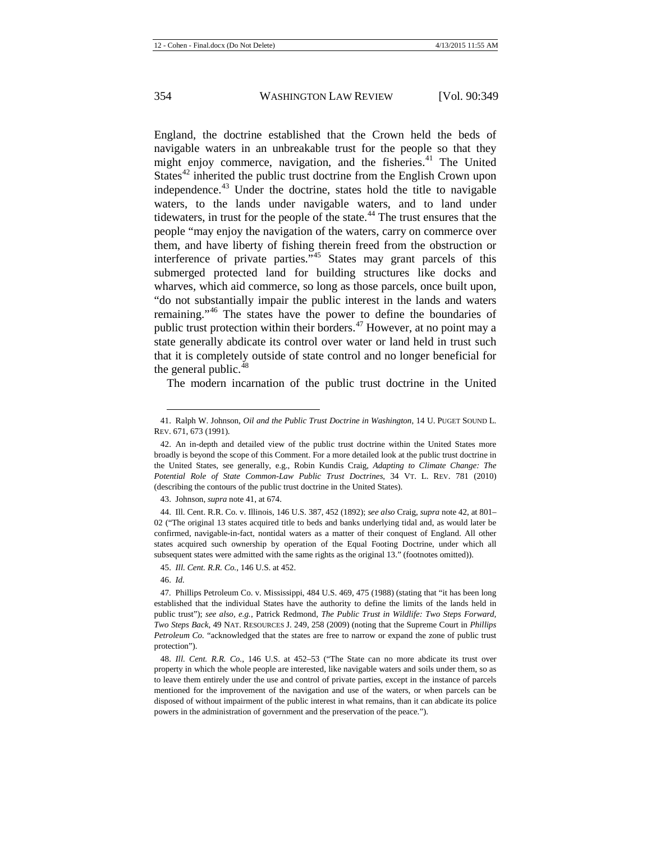<span id="page-6-1"></span><span id="page-6-0"></span>England, the doctrine established that the Crown held the beds of navigable waters in an unbreakable trust for the people so that they might enjoy commerce, navigation, and the fisheries.<sup>[41](#page-6-2)</sup> The United States<sup> $42$ </sup> inherited the public trust doctrine from the English Crown upon independence. $43$  Under the doctrine, states hold the title to navigable waters, to the lands under navigable waters, and to land under tidewaters, in trust for the people of the state.<sup>[44](#page-6-5)</sup> The trust ensures that the people "may enjoy the navigation of the waters, carry on commerce over them, and have liberty of fishing therein freed from the obstruction or interference of private parties."[45](#page-6-6) States may grant parcels of this submerged protected land for building structures like docks and wharves, which aid commerce, so long as those parcels, once built upon, "do not substantially impair the public interest in the lands and waters remaining."[46](#page-6-7) The states have the power to define the boundaries of public trust protection within their borders. $47$  However, at no point may a state generally abdicate its control over water or land held in trust such that it is completely outside of state control and no longer beneficial for the general public. $48$ 

<span id="page-6-10"></span>The modern incarnation of the public trust doctrine in the United

43. Johnson, *supra* not[e 41,](#page-6-0) at 674.

<span id="page-6-5"></span><span id="page-6-4"></span>44. Ill. Cent. R.R. Co. v. Illinois, 146 U.S. 387, 452 (1892); *see also* Craig, *supra* not[e 42,](#page-6-1) at 801– 02 ("The original 13 states acquired title to beds and banks underlying tidal and, as would later be confirmed, navigable-in-fact, nontidal waters as a matter of their conquest of England. All other states acquired such ownership by operation of the Equal Footing Doctrine, under which all subsequent states were admitted with the same rights as the original 13." (footnotes omitted)).

45. *Ill. Cent. R.R. Co.*, 146 U.S. at 452.

46. *Id.*

<span id="page-6-2"></span><sup>41.</sup> Ralph W. Johnson, *Oil and the Public Trust Doctrine in Washington*, 14 U. PUGET SOUND L. REV. 671, 673 (1991).

<span id="page-6-3"></span><sup>42.</sup> An in-depth and detailed view of the public trust doctrine within the United States more broadly is beyond the scope of this Comment. For a more detailed look at the public trust doctrine in the United States, see generally, e.g., Robin Kundis Craig, *Adapting to Climate Change: The Potential Role of State Common-Law Public Trust Doctrines*, 34 VT. L. REV. 781 (2010) (describing the contours of the public trust doctrine in the United States).

<span id="page-6-8"></span><span id="page-6-7"></span><span id="page-6-6"></span><sup>47</sup>*.* Phillips Petroleum Co. v. Mississippi, 484 U.S. 469, 475 (1988) (stating that "it has been long established that the individual States have the authority to define the limits of the lands held in public trust"); *see also, e.g.*, Patrick Redmond, *The Public Trust in Wildlife: Two Steps Forward, Two Steps Back*, 49 NAT. RESOURCES J. 249, 258 (2009) (noting that the Supreme Court in *Phillips Petroleum Co.* "acknowledged that the states are free to narrow or expand the zone of public trust protection").

<span id="page-6-9"></span><sup>48.</sup> *Ill. Cent. R.R. Co.*, 146 U.S. at 452–53 ("The State can no more abdicate its trust over property in which the whole people are interested, like navigable waters and soils under them, so as to leave them entirely under the use and control of private parties, except in the instance of parcels mentioned for the improvement of the navigation and use of the waters, or when parcels can be disposed of without impairment of the public interest in what remains, than it can abdicate its police powers in the administration of government and the preservation of the peace.").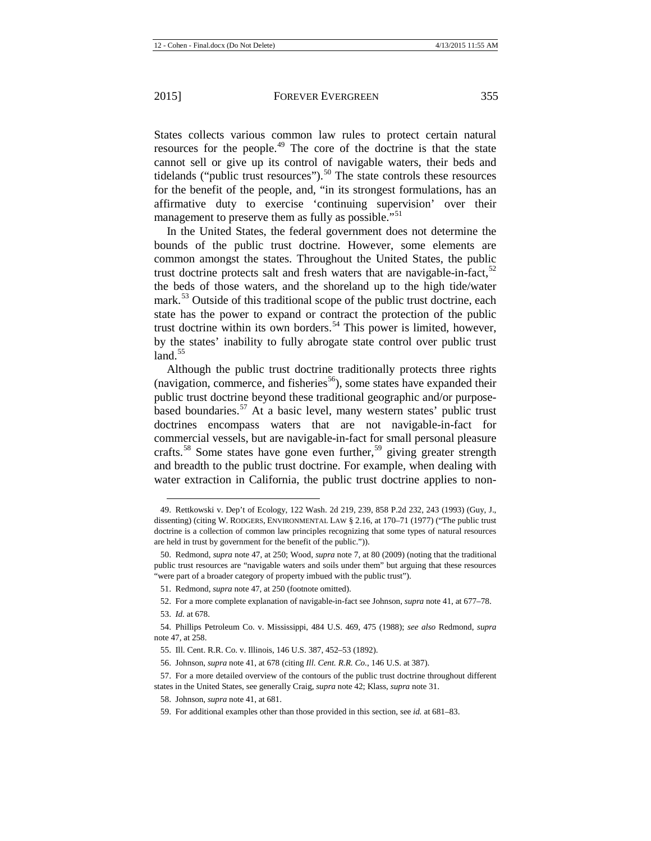States collects various common law rules to protect certain natural resources for the people.<sup>[49](#page-7-0)</sup> The core of the doctrine is that the state cannot sell or give up its control of navigable waters, their beds and tidelands ("public trust resources"). $50$  The state controls these resources for the benefit of the people, and, "in its strongest formulations, has an affirmative duty to exercise 'continuing supervision' over their management to preserve them as fully as possible."<sup>[51](#page-7-2)</sup>

In the United States, the federal government does not determine the bounds of the public trust doctrine. However, some elements are common amongst the states. Throughout the United States, the public trust doctrine protects salt and fresh waters that are navigable-in-fact,  $52$ the beds of those waters, and the shoreland up to the high tide/water mark.<sup>[53](#page-7-4)</sup> Outside of this traditional scope of the public trust doctrine, each state has the power to expand or contract the protection of the public trust doctrine within its own borders.<sup>[54](#page-7-5)</sup> This power is limited, however, by the states' inability to fully abrogate state control over public trust land $^{55}$  $^{55}$  $^{55}$ 

Although the public trust doctrine traditionally protects three rights (navigation, commerce, and fisheries<sup>[56](#page-7-7)</sup>), some states have expanded their public trust doctrine beyond these traditional geographic and/or purpose-based boundaries.<sup>[57](#page-7-8)</sup> At a basic level, many western states' public trust doctrines encompass waters that are not navigable-in-fact for commercial vessels, but are navigable-in-fact for small personal pleasure crafts.<sup>[58](#page-7-9)</sup> Some states have gone even further,<sup>[59](#page-7-10)</sup> giving greater strength and breadth to the public trust doctrine. For example, when dealing with water extraction in California, the public trust doctrine applies to non-

52. For a more complete explanation of navigable-in-fact see Johnson, *supra* not[e 41,](#page-6-0) at 677–78.

<span id="page-7-0"></span><sup>49.</sup> Rettkowski v. Dep't of Ecology, 122 Wash. 2d 219, 239, 858 P.2d 232, 243 (1993) (Guy, J., dissenting) (citing W. RODGERS, ENVIRONMENTAL LAW § 2.16, at 170–71 (1977) ("The public trust doctrine is a collection of common law principles recognizing that some types of natural resources are held in trust by government for the benefit of the public.")).

<span id="page-7-2"></span><span id="page-7-1"></span><sup>50.</sup> Redmond, *supra* not[e 47,](#page-6-10) at 250; Wood, *supra* not[e 7,](#page-2-6) at 80 (2009) (noting that the traditional public trust resources are "navigable waters and soils under them" but arguing that these resources "were part of a broader category of property imbued with the public trust").

<sup>51.</sup> Redmond*, supra* not[e 47,](#page-6-10) at 250 (footnote omitted).

<sup>53.</sup> *Id.* at 678.

<span id="page-7-6"></span><span id="page-7-5"></span><span id="page-7-4"></span><span id="page-7-3"></span><sup>54.</sup> Phillips Petroleum Co. v. Mississippi, 484 U.S. 469, 475 (1988); *see also* Redmond, *supra* note [47,](#page-6-10) at 258.

<sup>55.</sup> Ill. Cent. R.R. Co. v. Illinois, 146 U.S. 387, 452–53 (1892).

<sup>56.</sup> Johnson, *supra* not[e 41,](#page-6-0) at 678 (citing *Ill. Cent. R.R. Co.*, 146 U.S. at 387).

<span id="page-7-10"></span><span id="page-7-9"></span><span id="page-7-8"></span><span id="page-7-7"></span><sup>57.</sup> For a more detailed overview of the contours of the public trust doctrine throughout different states in the United States, see generally Craig, *supra* not[e 42;](#page-6-1) Klass, *supra* not[e 31.](#page-5-12) 

<sup>58.</sup> Johnson, *supra* not[e 41,](#page-6-0) at 681.

<sup>59.</sup> For additional examples other than those provided in this section, see *id.* at 681–83.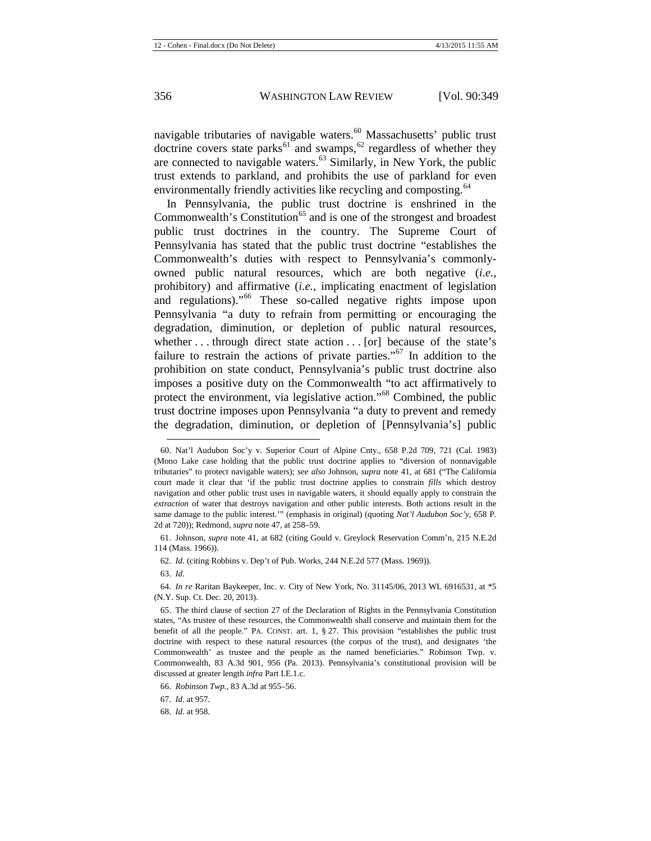navigable tributaries of navigable waters. $60$  Massachusetts' public trust doctrine covers state parks $^{61}$  $^{61}$  $^{61}$  and swamps,  $^{62}$  $^{62}$  $^{62}$  regardless of whether they are connected to navigable waters. $63$  Similarly, in New York, the public trust extends to parkland, and prohibits the use of parkland for even environmentally friendly activities like recycling and composting.<sup>[64](#page-8-4)</sup>

<span id="page-8-9"></span>In Pennsylvania, the public trust doctrine is enshrined in the Commonwealth's Constitution<sup> $65$ </sup> and is one of the strongest and broadest public trust doctrines in the country. The Supreme Court of Pennsylvania has stated that the public trust doctrine "establishes the Commonwealth's duties with respect to Pennsylvania's commonlyowned public natural resources, which are both negative (*i.e.*, prohibitory) and affirmative (*i.e.*, implicating enactment of legislation and regulations).<sup>"[66](#page-8-6)</sup> These so-called negative rights impose upon Pennsylvania "a duty to refrain from permitting or encouraging the degradation, diminution, or depletion of public natural resources, whether . . . through direct state action . . . [or] because of the state's failure to restrain the actions of private parties."<sup>[67](#page-8-7)</sup> In addition to the prohibition on state conduct, Pennsylvania's public trust doctrine also imposes a positive duty on the Commonwealth "to act affirmatively to protect the environment, via legislative action."[68](#page-8-8) Combined, the public trust doctrine imposes upon Pennsylvania "a duty to prevent and remedy the degradation, diminution, or depletion of [Pennsylvania's] public

<span id="page-8-0"></span><sup>60.</sup> Nat'l Audubon Soc'y v. Superior Court of Alpine Cnty., 658 P.2d 709, 721 (Cal. 1983) (Mono Lake case holding that the public trust doctrine applies to "diversion of nonnavigable tributaries" to protect navigable waters); *see also* Johnson, *supra* note [41,](#page-6-0) at 681 ("The California court made it clear that 'if the public trust doctrine applies to constrain *fills* which destroy navigation and other public trust uses in navigable waters, it should equally apply to constrain the *extraction* of water that destroys navigation and other public interests. Both actions result in the same damage to the public interest.'" (emphasis in original) (quoting *Nat'l Audubon Soc'y*, 658 P. 2d at 720)); Redmond, *supra* not[e 47,](#page-6-10) at 258–59.

<span id="page-8-2"></span><span id="page-8-1"></span><sup>61.</sup> Johnson, *supra* note [41,](#page-6-0) at 682 (citing Gould v. Greylock Reservation Comm'n, 215 N.E.2d 114 (Mass. 1966)).

<sup>62.</sup> *Id.* (citing Robbins v. Dep't of Pub. Works, 244 N.E.2d 577 (Mass. 1969)).

<sup>63.</sup> *Id.*

<span id="page-8-4"></span><span id="page-8-3"></span><sup>64.</sup> *In re* Raritan Baykeeper, Inc. v. City of New York, No. 31145/06, 2013 WL 6916531, at \*5 (N.Y. Sup. Ct. Dec. 20, 2013).

<span id="page-8-5"></span><sup>65.</sup> The third clause of section 27 of the Declaration of Rights in the Pennsylvania Constitution states, "As trustee of these resources, the Commonwealth shall conserve and maintain them for the benefit of all the people." PA. CONST. art. 1, § 27. This provision "establishes the public trust doctrine with respect to these natural resources (the corpus of the trust), and designates 'the Commonwealth' as trustee and the people as the named beneficiaries." Robinson Twp. v. Commonwealth, 83 A.3d 901, 956 (Pa. 2013). Pennsylvania's constitutional provision will be discussed at greater length *infra* Part I.E.1.c.

<span id="page-8-6"></span><sup>66.</sup> *Robinson Twp.*, 83 A.3d at 955–56.

<span id="page-8-7"></span><sup>67.</sup> *Id.* at 957.

<span id="page-8-8"></span><sup>68.</sup> *Id.* at 958.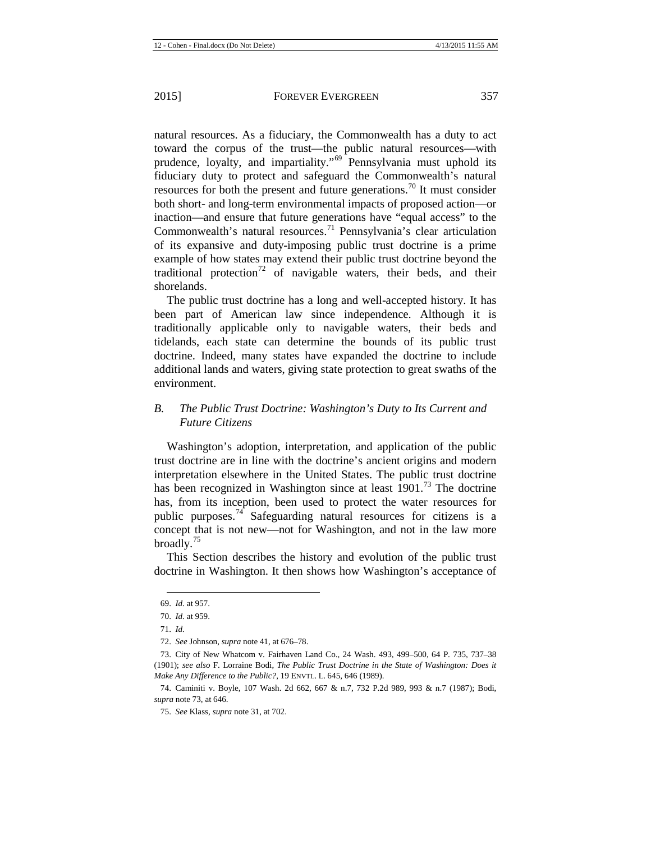natural resources. As a fiduciary, the Commonwealth has a duty to act toward the corpus of the trust—the public natural resources—with prudence, loyalty, and impartiality."<sup>[69](#page-9-1)</sup> Pennsylvania must uphold its fiduciary duty to protect and safeguard the Commonwealth's natural resources for both the present and future generations.<sup>[70](#page-9-2)</sup> It must consider both short- and long-term environmental impacts of proposed action—or inaction—and ensure that future generations have "equal access" to the Commonwealth's natural resources.<sup>[71](#page-9-3)</sup> Pennsylvania's clear articulation of its expansive and duty-imposing public trust doctrine is a prime example of how states may extend their public trust doctrine beyond the traditional protection<sup>[72](#page-9-4)</sup> of navigable waters, their beds, and their shorelands.

<span id="page-9-8"></span>The public trust doctrine has a long and well-accepted history. It has been part of American law since independence. Although it is traditionally applicable only to navigable waters, their beds and tidelands, each state can determine the bounds of its public trust doctrine. Indeed, many states have expanded the doctrine to include additional lands and waters, giving state protection to great swaths of the environment.

## *B. The Public Trust Doctrine: Washington's Duty to Its Current and Future Citizens*

<span id="page-9-0"></span>Washington's adoption, interpretation, and application of the public trust doctrine are in line with the doctrine's ancient origins and modern interpretation elsewhere in the United States. The public trust doctrine has been recognized in Washington since at least  $1901$ .<sup>[73](#page-9-5)</sup> The doctrine has, from its inception, been used to protect the water resources for public purposes.<sup>[74](#page-9-6)</sup> Safeguarding natural resources for citizens is a concept that is not new—not for Washington, and not in the law more broadly. $^{75}$  $^{75}$  $^{75}$ 

This Section describes the history and evolution of the public trust doctrine in Washington. It then shows how Washington's acceptance of

<sup>69.</sup> *Id.* at 957.

<span id="page-9-2"></span><span id="page-9-1"></span><sup>70.</sup> *Id.* at 959.

<sup>71.</sup> *Id.*

<sup>72.</sup> *See* Johnson, *supra* not[e 41,](#page-6-0) at 676–78.

<span id="page-9-5"></span><span id="page-9-4"></span><span id="page-9-3"></span><sup>73.</sup> City of New Whatcom v. Fairhaven Land Co., 24 Wash. 493, 499–500, 64 P. 735, 737–38 (1901); *see also* F. Lorraine Bodi, *The Public Trust Doctrine in the State of Washington: Does it Make Any Difference to the Public?*, 19 ENVTL. L. 645, 646 (1989).

<span id="page-9-7"></span><span id="page-9-6"></span><sup>74.</sup> Caminiti v. Boyle, 107 Wash. 2d 662, 667 & n.7, 732 P.2d 989, 993 & n.7 (1987); Bodi, *supra* not[e 73,](#page-9-0) at 646.

<sup>75.</sup> *See* Klass, *supra* not[e 31,](#page-5-12) at 702.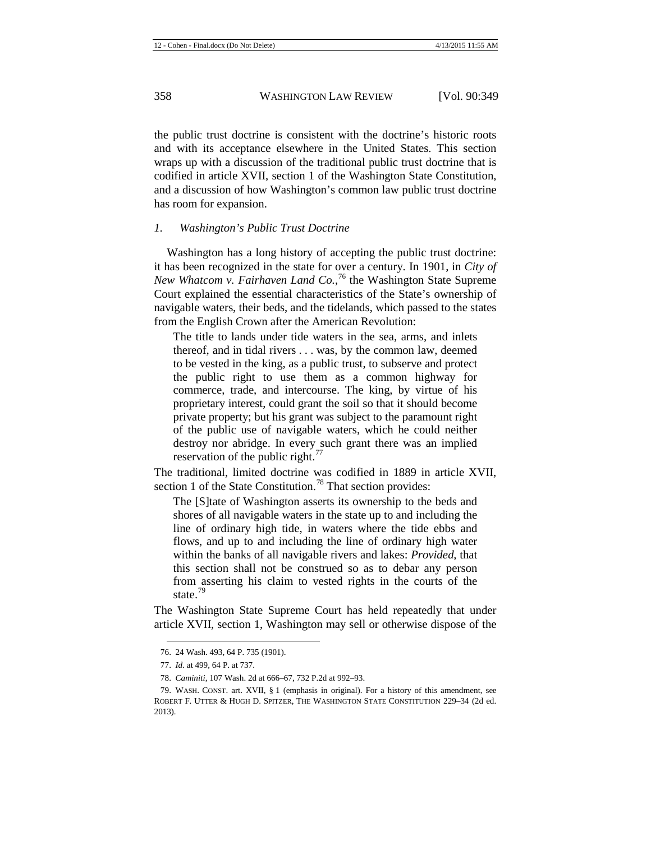the public trust doctrine is consistent with the doctrine's historic roots and with its acceptance elsewhere in the United States. This section wraps up with a discussion of the traditional public trust doctrine that is codified in article XVII, section 1 of the Washington State Constitution, and a discussion of how Washington's common law public trust doctrine has room for expansion.

## *1. Washington's Public Trust Doctrine*

Washington has a long history of accepting the public trust doctrine: it has been recognized in the state for over a century. In 1901, in *City of New Whatcom v. Fairhaven Land Co.*, [76](#page-10-0) the Washington State Supreme Court explained the essential characteristics of the State's ownership of navigable waters, their beds, and the tidelands, which passed to the states from the English Crown after the American Revolution:

The title to lands under tide waters in the sea, arms, and inlets thereof, and in tidal rivers . . . was, by the common law, deemed to be vested in the king, as a public trust, to subserve and protect the public right to use them as a common highway for commerce, trade, and intercourse. The king, by virtue of his proprietary interest, could grant the soil so that it should become private property; but his grant was subject to the paramount right of the public use of navigable waters, which he could neither destroy nor abridge. In every such grant there was an implied reservation of the public right. $^{77}$  $^{77}$  $^{77}$ 

The traditional, limited doctrine was codified in 1889 in article XVII, section 1 of the State Constitution.<sup>[78](#page-10-2)</sup> That section provides:

The [S]tate of Washington asserts its ownership to the beds and shores of all navigable waters in the state up to and including the line of ordinary high tide, in waters where the tide ebbs and flows, and up to and including the line of ordinary high water within the banks of all navigable rivers and lakes: *Provided*, that this section shall not be construed so as to debar any person from asserting his claim to vested rights in the courts of the state<sup>[79](#page-10-3)</sup>

<span id="page-10-4"></span>The Washington State Supreme Court has held repeatedly that under article XVII, section 1, Washington may sell or otherwise dispose of the

<sup>76.</sup> 24 Wash. 493, 64 P. 735 (1901).

<sup>77.</sup> *Id.* at 499, 64 P. at 737.

<sup>78.</sup> *Caminiti*, 107 Wash. 2d at 666–67, 732 P.2d at 992–93.

<span id="page-10-3"></span><span id="page-10-2"></span><span id="page-10-1"></span><span id="page-10-0"></span><sup>79.</sup> WASH. CONST. art. XVII, § 1 (emphasis in original). For a history of this amendment, see ROBERT F. UTTER & HUGH D. SPITZER, THE WASHINGTON STATE CONSTITUTION 229–34 (2d ed. 2013).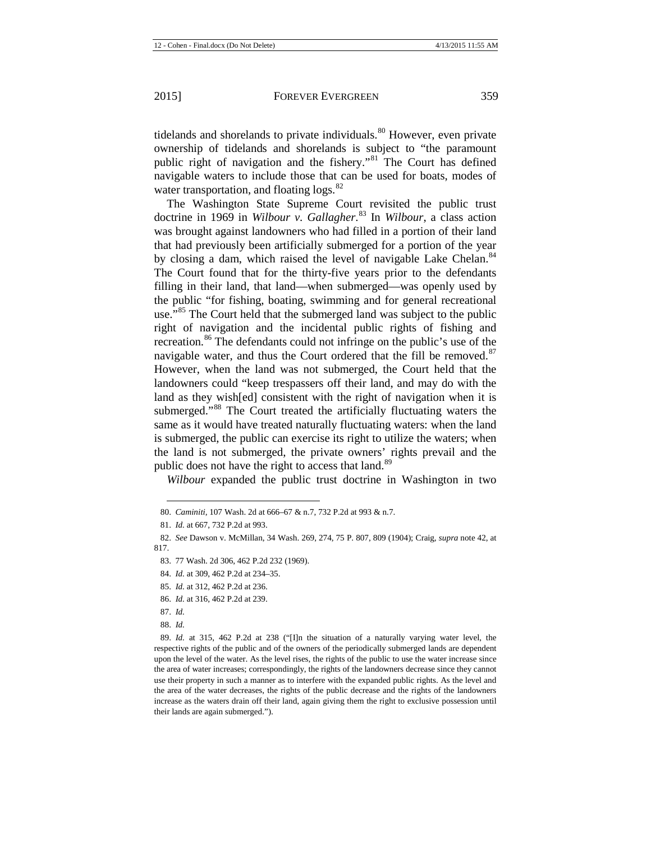tidelands and shorelands to private individuals.<sup>[80](#page-11-0)</sup> However, even private ownership of tidelands and shorelands is subject to "the paramount public right of navigation and the fishery."<sup>[81](#page-11-1)</sup> The Court has defined navigable waters to include those that can be used for boats, modes of water transportation, and floating  $\log s$ .<sup>[82](#page-11-2)</sup>

The Washington State Supreme Court revisited the public trust doctrine in 1969 in *Wilbour v. Gallagher*. [83](#page-11-3) In *Wilbour*, a class action was brought against landowners who had filled in a portion of their land that had previously been artificially submerged for a portion of the year by closing a dam, which raised the level of navigable Lake Chelan.<sup>[84](#page-11-4)</sup> The Court found that for the thirty-five years prior to the defendants filling in their land, that land—when submerged—was openly used by the public "for fishing, boating, swimming and for general recreational use."<sup>[85](#page-11-5)</sup> The Court held that the submerged land was subject to the public right of navigation and the incidental public rights of fishing and recreation.<sup>[86](#page-11-6)</sup> The defendants could not infringe on the public's use of the navigable water, and thus the Court ordered that the fill be removed. $87$ However, when the land was not submerged, the Court held that the landowners could "keep trespassers off their land, and may do with the land as they wish[ed] consistent with the right of navigation when it is submerged."[88](#page-11-8) The Court treated the artificially fluctuating waters the same as it would have treated naturally fluctuating waters: when the land is submerged, the public can exercise its right to utilize the waters; when the land is not submerged, the private owners' rights prevail and the public does not have the right to access that land.<sup>[89](#page-11-9)</sup>

*Wilbour* expanded the public trust doctrine in Washington in two

<sup>80.</sup> *Caminiti*, 107 Wash. 2d at 666–67 & n.7, 732 P.2d at 993 & n.7.

<sup>81.</sup> *Id.* at 667, 732 P.2d at 993.

<span id="page-11-4"></span><span id="page-11-3"></span><span id="page-11-2"></span><span id="page-11-1"></span><span id="page-11-0"></span><sup>82.</sup> *See* Dawson v. McMillan, 34 Wash. 269, 274, 75 P. 807, 809 (1904); Craig, *supra* not[e 42,](#page-6-1) at 817.

<sup>83.</sup> 77 Wash. 2d 306, 462 P.2d 232 (1969).

<sup>84.</sup> *Id.* at 309, 462 P.2d at 234–35.

<span id="page-11-5"></span><sup>85.</sup> *Id.* at 312, 462 P.2d at 236.

<span id="page-11-6"></span><sup>86.</sup> *Id.* at 316, 462 P.2d at 239.

<sup>87.</sup> *Id.*

<sup>88.</sup> *Id.*

<span id="page-11-9"></span><span id="page-11-8"></span><span id="page-11-7"></span><sup>89.</sup> *Id.* at 315, 462 P.2d at 238 ("[I]n the situation of a naturally varying water level, the respective rights of the public and of the owners of the periodically submerged lands are dependent upon the level of the water. As the level rises, the rights of the public to use the water increase since the area of water increases; correspondingly, the rights of the landowners decrease since they cannot use their property in such a manner as to interfere with the expanded public rights. As the level and the area of the water decreases, the rights of the public decrease and the rights of the landowners increase as the waters drain off their land, again giving them the right to exclusive possession until their lands are again submerged.").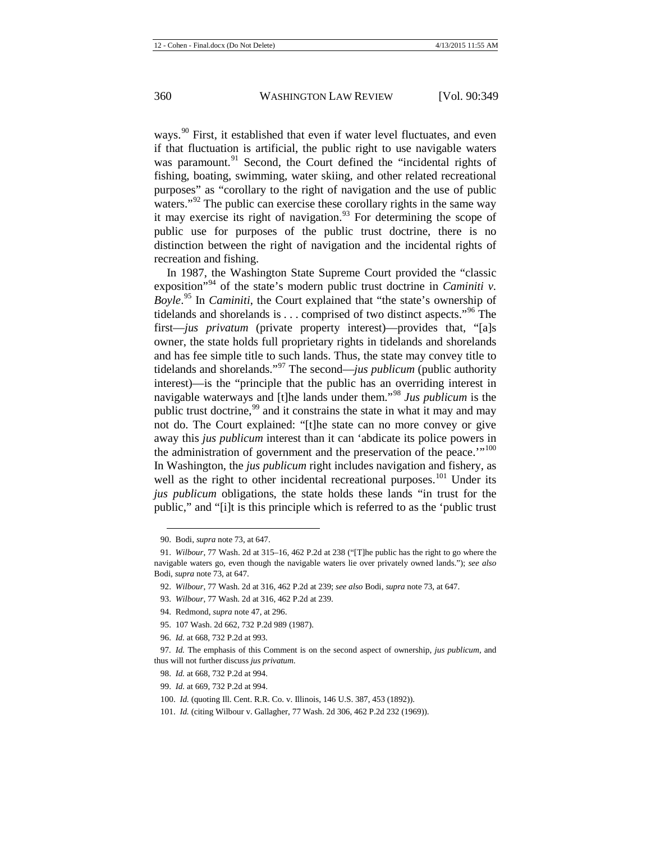ways.<sup>[90](#page-12-0)</sup> First, it established that even if water level fluctuates, and even if that fluctuation is artificial, the public right to use navigable waters was paramount.<sup>[91](#page-12-1)</sup> Second, the Court defined the "incidental rights of fishing, boating, swimming, water skiing, and other related recreational purposes" as "corollary to the right of navigation and the use of public waters."<sup>[92](#page-12-2)</sup> The public can exercise these corollary rights in the same way it may exercise its right of navigation.<sup>[93](#page-12-3)</sup> For determining the scope of public use for purposes of the public trust doctrine, there is no distinction between the right of navigation and the incidental rights of recreation and fishing.

In 1987, the Washington State Supreme Court provided the "classic exposition<sup>"[94](#page-12-4)</sup> of the state's modern public trust doctrine in *Caminiti v*. *Boyle*. [95](#page-12-5) In *Caminiti*, the Court explained that "the state's ownership of tidelands and shorelands is  $\dots$  comprised of two distinct aspects."<sup>[96](#page-12-6)</sup> The first—*jus privatum* (private property interest)—provides that, "[a]s owner, the state holds full proprietary rights in tidelands and shorelands and has fee simple title to such lands. Thus, the state may convey title to tidelands and shorelands."[97](#page-12-7) The second—*jus publicum* (public authority interest)—is the "principle that the public has an overriding interest in navigable waterways and [t]he lands under them."[98](#page-12-8) *Jus publicum* is the public trust doctrine,<sup>[99](#page-12-9)</sup> and it constrains the state in what it may and may not do. The Court explained: "[t]he state can no more convey or give away this *jus publicum* interest than it can 'abdicate its police powers in the administration of government and the preservation of the peace.'"<sup>[100](#page-12-10)</sup> In Washington, the *jus publicum* right includes navigation and fishery, as well as the right to other incidental recreational purposes.<sup>[101](#page-12-11)</sup> Under its *jus publicum* obligations, the state holds these lands "in trust for the public," and "[i]t is this principle which is referred to as the 'public trust

- 95. 107 Wash. 2d 662, 732 P.2d 989 (1987).
- 96. *Id.* at 668, 732 P.2d at 993.

- 98. *Id.* at 668, 732 P.2d at 994.
- <span id="page-12-10"></span>99. *Id.* at 669, 732 P.2d at 994.
- 100. *Id.* (quoting Ill. Cent. R.R. Co. v. Illinois, 146 U.S. 387, 453 (1892)).

<sup>90.</sup> Bodi, *supra* not[e 73,](#page-9-0) at 647.

<span id="page-12-2"></span><span id="page-12-1"></span><span id="page-12-0"></span><sup>91.</sup> *Wilbour*, 77 Wash. 2d at 315–16, 462 P.2d at 238 ("[T]he public has the right to go where the navigable waters go, even though the navigable waters lie over privately owned lands."); *see also*  Bodi, *supra* not[e 73,](#page-9-0) at 647.

<sup>92.</sup> *Wilbour*, 77 Wash. 2d at 316, 462 P.2d at 239; *see also* Bodi, *supra* note [73,](#page-9-0) at 647.

<span id="page-12-4"></span><span id="page-12-3"></span><sup>93.</sup> *Wilbour*, 77 Wash. 2d at 316, 462 P.2d at 239.

<sup>94.</sup> Redmond, *supra* not[e 47,](#page-6-10) at 296.

<span id="page-12-9"></span><span id="page-12-8"></span><span id="page-12-7"></span><span id="page-12-6"></span><span id="page-12-5"></span><sup>97</sup>*. Id.* The emphasis of this Comment is on the second aspect of ownership, *jus publicum*, and thus will not further discuss *jus privatum*.

<span id="page-12-11"></span><sup>101.</sup> *Id.* (citing Wilbour v. Gallagher, 77 Wash. 2d 306, 462 P.2d 232 (1969)).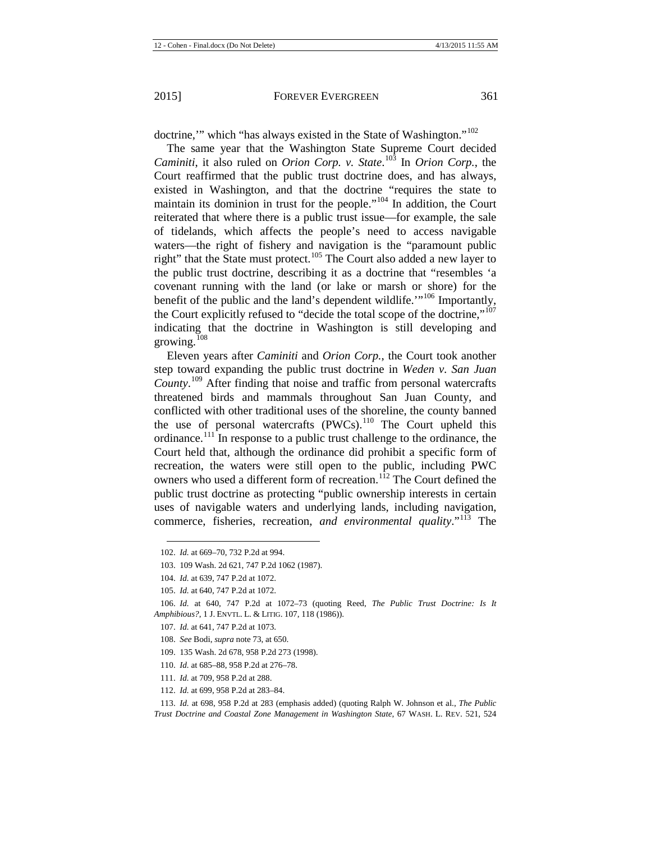doctrine," which "has always existed in the State of Washington."<sup>[102](#page-13-0)</sup>

The same year that the Washington State Supreme Court decided *Caminiti*, it also ruled on *Orion Corp. v. State*. [103](#page-13-1) In *Orion Corp.*, the Court reaffirmed that the public trust doctrine does, and has always, existed in Washington, and that the doctrine "requires the state to maintain its dominion in trust for the people."[104](#page-13-2) In addition, the Court reiterated that where there is a public trust issue—for example, the sale of tidelands, which affects the people's need to access navigable waters—the right of fishery and navigation is the "paramount public right" that the State must protect.<sup>[105](#page-13-3)</sup> The Court also added a new layer to the public trust doctrine, describing it as a doctrine that "resembles 'a covenant running with the land (or lake or marsh or shore) for the benefit of the public and the land's dependent wildlife."<sup>[106](#page-13-4)</sup> Importantly, the Court explicitly refused to "decide the total scope of the doctrine,"<sup>[107](#page-13-5)</sup> indicating that the doctrine in Washington is still developing and growing.<sup>[108](#page-13-6)</sup>

Eleven years after *Caminiti* and *Orion Corp.*, the Court took another step toward expanding the public trust doctrine in *Weden v. San Juan County*. [109](#page-13-7) After finding that noise and traffic from personal watercrafts threatened birds and mammals throughout San Juan County, and conflicted with other traditional uses of the shoreline, the county banned the use of personal watercrafts  $(PWCs)$ .<sup>[110](#page-13-8)</sup> The Court upheld this ordinance.[111](#page-13-9) In response to a public trust challenge to the ordinance, the Court held that, although the ordinance did prohibit a specific form of recreation, the waters were still open to the public, including PWC owners who used a different form of recreation.<sup>[112](#page-13-10)</sup> The Court defined the public trust doctrine as protecting "public ownership interests in certain uses of navigable waters and underlying lands, including navigation, commerce, fisheries, recreation, *and environmental quality*."[113](#page-13-11) The

- 107. *Id.* at 641, 747 P.2d at 1073.
- 108. *See* Bodi, *supra* not[e 73,](#page-9-0) at 650.
- 109. 135 Wash. 2d 678, 958 P.2d 273 (1998).
- 110. *Id.* at 685–88, 958 P.2d at 276–78.
- 111. *Id.* at 709, 958 P.2d at 288.
- 112. *Id.* at 699, 958 P.2d at 283–84.

<span id="page-13-12"></span><span id="page-13-0"></span><sup>102.</sup> *Id.* at 669–70, 732 P.2d at 994.

<sup>103.</sup> 109 Wash. 2d 621, 747 P.2d 1062 (1987).

<sup>104.</sup> *Id.* at 639, 747 P.2d at 1072.

<sup>105.</sup> *Id.* at 640, 747 P.2d at 1072.

<span id="page-13-7"></span><span id="page-13-6"></span><span id="page-13-5"></span><span id="page-13-4"></span><span id="page-13-3"></span><span id="page-13-2"></span><span id="page-13-1"></span><sup>106.</sup> *Id.* at 640, 747 P.2d at 1072–73 (quoting Reed, *The Public Trust Doctrine: Is It Amphibious?*, 1 J. ENVTL. L. & LITIG. 107, 118 (1986)).

<span id="page-13-11"></span><span id="page-13-10"></span><span id="page-13-9"></span><span id="page-13-8"></span><sup>113.</sup> *Id.* at 698, 958 P.2d at 283 (emphasis added) (quoting Ralph W. Johnson et al., *The Public Trust Doctrine and Coastal Zone Management in Washington State*, 67 WASH. L. REV. 521, 524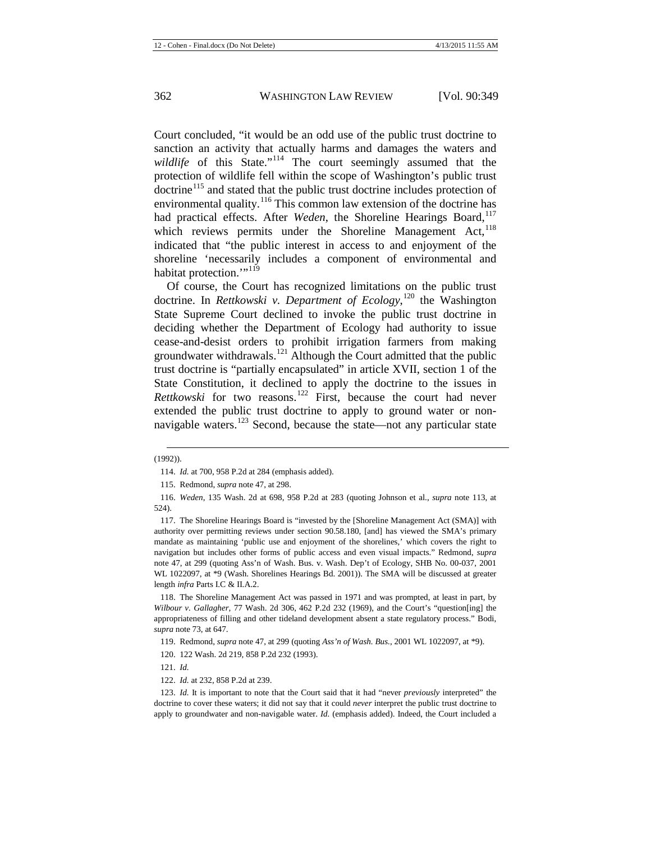Court concluded, "it would be an odd use of the public trust doctrine to sanction an activity that actually harms and damages the waters and wildlife of this State."<sup>[114](#page-14-0)</sup> The court seemingly assumed that the protection of wildlife fell within the scope of Washington's public trust doctrine<sup>[115](#page-14-1)</sup> and stated that the public trust doctrine includes protection of environmental quality.<sup>[116](#page-14-2)</sup> This common law extension of the doctrine has had practical effects. After *Weden*, the Shoreline Hearings Board,<sup>[117](#page-14-3)</sup> which reviews permits under the Shoreline Management Act,<sup>[118](#page-14-4)</sup> indicated that "the public interest in access to and enjoyment of the shoreline 'necessarily includes a component of environmental and habitat protection."<sup>[119](#page-14-5)</sup>

Of course, the Court has recognized limitations on the public trust doctrine. In *Rettkowski v. Department of Ecology*, [120](#page-14-6) the Washington State Supreme Court declined to invoke the public trust doctrine in deciding whether the Department of Ecology had authority to issue cease-and-desist orders to prohibit irrigation farmers from making groundwater withdrawals.<sup>[121](#page-14-7)</sup> Although the Court admitted that the public trust doctrine is "partially encapsulated" in article XVII, section 1 of the State Constitution, it declined to apply the doctrine to the issues in *Rettkowski* for two reasons.<sup>[122](#page-14-8)</sup> First, because the court had never extended the public trust doctrine to apply to ground water or non-navigable waters.<sup>[123](#page-14-9)</sup> Second, because the state—not any particular state

121. *Id.*

<span id="page-14-0"></span><sup>(1992)).</sup>  $\overline{a}$ 

<sup>114.</sup> *Id.* at 700, 958 P.2d at 284 (emphasis added).

<sup>115.</sup> Redmond, *supra* not[e 47,](#page-6-10) at 298.

<span id="page-14-2"></span><span id="page-14-1"></span><sup>116.</sup> *Weden*, 135 Wash. 2d at 698, 958 P.2d at 283 (quoting Johnson et al., *supra* note [113,](#page-13-12) at 524).

<span id="page-14-3"></span><sup>117.</sup> The Shoreline Hearings Board is "invested by the [Shoreline Management Act (SMA)] with authority over permitting reviews under section 90.58.180, [and] has viewed the SMA's primary mandate as maintaining 'public use and enjoyment of the shorelines,' which covers the right to navigation but includes other forms of public access and even visual impacts." Redmond, *supra* note [47,](#page-6-10) at 299 (quoting Ass'n of Wash. Bus. v. Wash. Dep't of Ecology, SHB No. 00-037, 2001 WL 1022097, at \*9 (Wash. Shorelines Hearings Bd. 2001)). The SMA will be discussed at greater length *infra* Parts I.C & II.A.2.

<span id="page-14-4"></span><sup>118.</sup> The Shoreline Management Act was passed in 1971 and was prompted, at least in part, by *Wilbour v. Gallagher*, 77 Wash. 2d 306, 462 P.2d 232 (1969), and the Court's "question[ing] the appropriateness of filling and other tideland development absent a state regulatory process." Bodi, *supra* not[e 73,](#page-9-0) at 647.

<span id="page-14-5"></span><sup>119.</sup> Redmond, *supra* not[e 47,](#page-6-10) at 299 (quoting *Ass'n of Wash. Bus.*, 2001 WL 1022097, at \*9).

<sup>120.</sup> 122 Wash. 2d 219, 858 P.2d 232 (1993).

<sup>122.</sup> *Id.* at 232, 858 P.2d at 239.

<span id="page-14-9"></span><span id="page-14-8"></span><span id="page-14-7"></span><span id="page-14-6"></span><sup>123.</sup> *Id.* It is important to note that the Court said that it had "never *previously* interpreted" the doctrine to cover these waters; it did not say that it could *never* interpret the public trust doctrine to apply to groundwater and non-navigable water. *Id.* (emphasis added). Indeed, the Court included a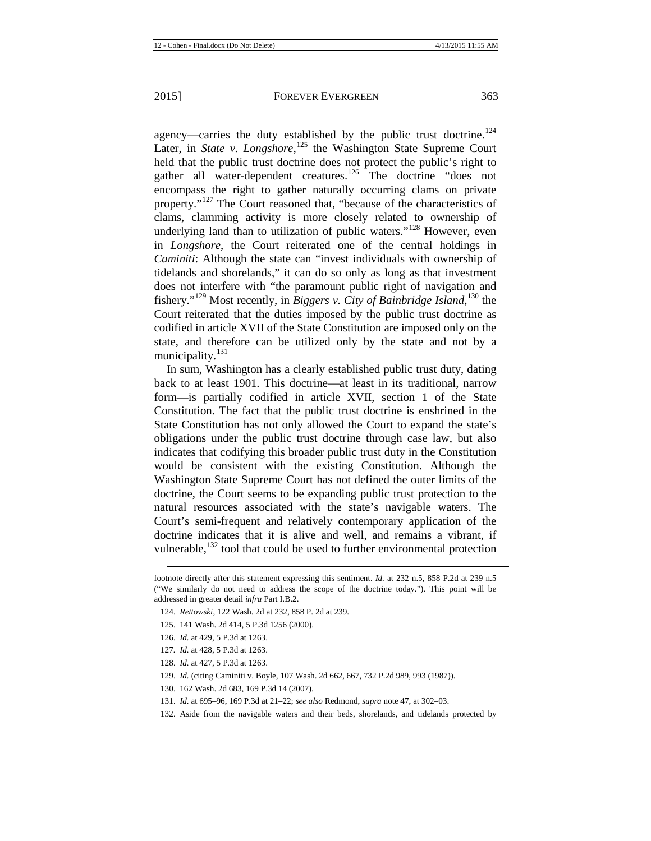agency—carries the duty established by the public trust doctrine.<sup>[124](#page-15-0)</sup> Later, in *State v. Longshore*,<sup>[125](#page-15-1)</sup> the Washington State Supreme Court held that the public trust doctrine does not protect the public's right to gather all water-dependent creatures.<sup>[126](#page-15-2)</sup> The doctrine "does not encompass the right to gather naturally occurring clams on private property."[127](#page-15-3) The Court reasoned that, "because of the characteristics of clams, clamming activity is more closely related to ownership of underlying land than to utilization of public waters."<sup>[128](#page-15-4)</sup> However, even in *Longshore*, the Court reiterated one of the central holdings in *Caminiti*: Although the state can "invest individuals with ownership of tidelands and shorelands," it can do so only as long as that investment does not interfere with "the paramount public right of navigation and fishery."[129](#page-15-5) Most recently, in *Biggers v. City of Bainbridge Island*, [130](#page-15-6) the Court reiterated that the duties imposed by the public trust doctrine as codified in article XVII of the State Constitution are imposed only on the state, and therefore can be utilized only by the state and not by a municipality.<sup>[131](#page-15-7)</sup>

In sum, Washington has a clearly established public trust duty, dating back to at least 1901. This doctrine—at least in its traditional, narrow form—is partially codified in article XVII, section 1 of the State Constitution. The fact that the public trust doctrine is enshrined in the State Constitution has not only allowed the Court to expand the state's obligations under the public trust doctrine through case law, but also indicates that codifying this broader public trust duty in the Constitution would be consistent with the existing Constitution. Although the Washington State Supreme Court has not defined the outer limits of the doctrine, the Court seems to be expanding public trust protection to the natural resources associated with the state's navigable waters. The Court's semi-frequent and relatively contemporary application of the doctrine indicates that it is alive and well, and remains a vibrant, if vulnerable,<sup>[132](#page-15-8)</sup> tool that could be used to further environmental protection

- <span id="page-15-4"></span>128. *Id.* at 427, 5 P.3d at 1263.
- <span id="page-15-5"></span>129. *Id.* (citing Caminiti v. Boyle, 107 Wash. 2d 662, 667, 732 P.2d 989, 993 (1987)).
- <span id="page-15-7"></span><span id="page-15-6"></span>130. 162 Wash. 2d 683, 169 P.3d 14 (2007).
- 131. *Id.* at 695–96, 169 P.3d at 21–22; *see also* Redmond, *supra* not[e 47,](#page-6-10) at 302–03.
- <span id="page-15-8"></span>132. Aside from the navigable waters and their beds, shorelands, and tidelands protected by

<span id="page-15-0"></span>footnote directly after this statement expressing this sentiment. *Id.* at 232 n.5, 858 P.2d at 239 n.5 ("We similarly do not need to address the scope of the doctrine today."). This point will be addressed in greater detail *infra* Part I.B.2.

<sup>124.</sup> *Rettowski*, 122 Wash. 2d at 232, 858 P. 2d at 239.

<span id="page-15-1"></span><sup>125.</sup> 141 Wash. 2d 414, 5 P.3d 1256 (2000).

<span id="page-15-2"></span><sup>126.</sup> *Id.* at 429, 5 P.3d at 1263.

<span id="page-15-3"></span><sup>127</sup>*. Id.* at 428, 5 P.3d at 1263.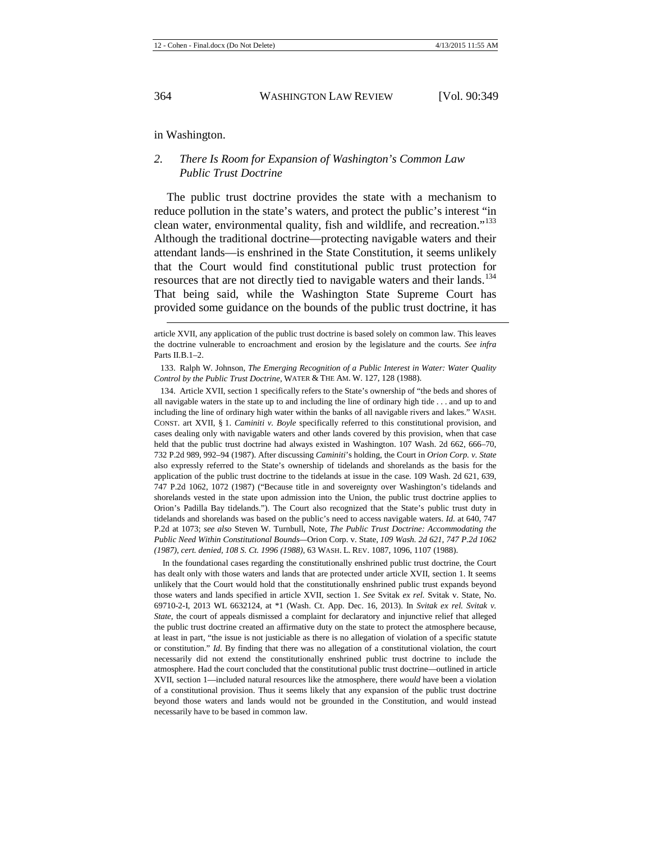in Washington.

### *2. There Is Room for Expansion of Washington's Common Law Public Trust Doctrine*

The public trust doctrine provides the state with a mechanism to reduce pollution in the state's waters, and protect the public's interest "in clean water, environmental quality, fish and wildlife, and recreation."<sup>[133](#page-16-0)</sup> Although the traditional doctrine—protecting navigable waters and their attendant lands—is enshrined in the State Constitution, it seems unlikely that the Court would find constitutional public trust protection for resources that are not directly tied to navigable waters and their lands.<sup>[134](#page-16-1)</sup> That being said, while the Washington State Supreme Court has provided some guidance on the bounds of the public trust doctrine, it has

<span id="page-16-1"></span>134. Article XVII, section 1 specifically refers to the State's ownership of "the beds and shores of all navigable waters in the state up to and including the line of ordinary high tide . . . and up to and including the line of ordinary high water within the banks of all navigable rivers and lakes." WASH. CONST. art XVII, § 1. *Caminiti v. Boyle* specifically referred to this constitutional provision, and cases dealing only with navigable waters and other lands covered by this provision, when that case held that the public trust doctrine had always existed in Washington. 107 Wash. 2d 662, 666–70, 732 P.2d 989, 992–94 (1987). After discussing *Caminiti*'s holding, the Court in *Orion Corp. v. State* also expressly referred to the State's ownership of tidelands and shorelands as the basis for the application of the public trust doctrine to the tidelands at issue in the case. 109 Wash. 2d 621, 639, 747 P.2d 1062, 1072 (1987) ("Because title in and sovereignty over Washington's tidelands and shorelands vested in the state upon admission into the Union, the public trust doctrine applies to Orion's Padilla Bay tidelands."). The Court also recognized that the State's public trust duty in tidelands and shorelands was based on the public's need to access navigable waters. *Id.* at 640, 747 P.2d at 1073; *see also* Steven W. Turnbull, Note, *The Public Trust Doctrine: Accommodating the Public Need Within Constitutional Bounds—*Orion Corp. v. State, *109 Wash. 2d 621, 747 P.2d 1062 (1987), cert. denied, 108 S. Ct. 1996 (1988)*, 63 WASH. L. REV. 1087, 1096, 1107 (1988).

In the foundational cases regarding the constitutionally enshrined public trust doctrine, the Court has dealt only with those waters and lands that are protected under article XVII, section 1. It seems unlikely that the Court would hold that the constitutionally enshrined public trust expands beyond those waters and lands specified in article XVII, section 1. *See* Svitak *ex rel.* Svitak v. State, No. 69710-2-I, 2013 WL 6632124, at \*1 (Wash. Ct. App. Dec. 16, 2013). In *Svitak ex rel. Svitak v. State*, the court of appeals dismissed a complaint for declaratory and injunctive relief that alleged the public trust doctrine created an affirmative duty on the state to protect the atmosphere because, at least in part, "the issue is not justiciable as there is no allegation of violation of a specific statute or constitution." *Id.* By finding that there was no allegation of a constitutional violation, the court necessarily did not extend the constitutionally enshrined public trust doctrine to include the atmosphere. Had the court concluded that the constitutional public trust doctrine—outlined in article XVII, section 1—included natural resources like the atmosphere, there *would* have been a violation of a constitutional provision. Thus it seems likely that any expansion of the public trust doctrine beyond those waters and lands would not be grounded in the Constitution, and would instead necessarily have to be based in common law.

article XVII, any application of the public trust doctrine is based solely on common law. This leaves the doctrine vulnerable to encroachment and erosion by the legislature and the courts. *See infra*  Parts II.B.1–2.

<span id="page-16-0"></span><sup>133.</sup> Ralph W. Johnson, *The Emerging Recognition of a Public Interest in Water: Water Quality Control by the Public Trust Doctrine*, WATER & THE AM. W. 127, 128 (1988).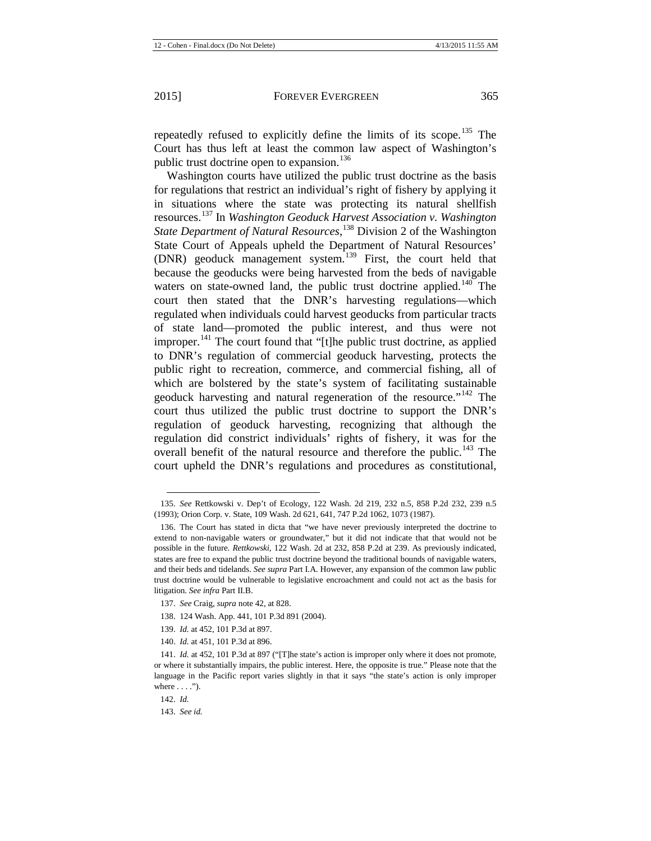repeatedly refused to explicitly define the limits of its scope.<sup>[135](#page-17-0)</sup> The Court has thus left at least the common law aspect of Washington's public trust doctrine open to expansion.<sup>[136](#page-17-1)</sup>

Washington courts have utilized the public trust doctrine as the basis for regulations that restrict an individual's right of fishery by applying it in situations where the state was protecting its natural shellfish resources.[137](#page-17-2) In *Washington Geoduck Harvest Association v. Washington State Department of Natural Resources*, [138](#page-17-3) Division 2 of the Washington State Court of Appeals upheld the Department of Natural Resources' (DNR) geoduck management system.<sup>[139](#page-17-4)</sup> First, the court held that because the geoducks were being harvested from the beds of navigable waters on state-owned land, the public trust doctrine applied.<sup>[140](#page-17-5)</sup> The court then stated that the DNR's harvesting regulations—which regulated when individuals could harvest geoducks from particular tracts of state land—promoted the public interest, and thus were not improper.<sup>[141](#page-17-6)</sup> The court found that "[t]he public trust doctrine, as applied to DNR's regulation of commercial geoduck harvesting, protects the public right to recreation, commerce, and commercial fishing, all of which are bolstered by the state's system of facilitating sustainable geoduck harvesting and natural regeneration of the resource."<sup>[142](#page-17-7)</sup> The court thus utilized the public trust doctrine to support the DNR's regulation of geoduck harvesting, recognizing that although the regulation did constrict individuals' rights of fishery, it was for the overall benefit of the natural resource and therefore the public.<sup>[143](#page-17-8)</sup> The court upheld the DNR's regulations and procedures as constitutional,

<span id="page-17-0"></span><sup>135.</sup> *See* Rettkowski v. Dep't of Ecology, 122 Wash. 2d 219, 232 n.5, 858 P.2d 232, 239 n.5 (1993); Orion Corp. v. State, 109 Wash. 2d 621, 641, 747 P.2d 1062, 1073 (1987).

<span id="page-17-1"></span><sup>136.</sup> The Court has stated in dicta that "we have never previously interpreted the doctrine to extend to non-navigable waters or groundwater," but it did not indicate that that would not be possible in the future. *Rettkowski*, 122 Wash. 2d at 232, 858 P.2d at 239. As previously indicated, states are free to expand the public trust doctrine beyond the traditional bounds of navigable waters, and their beds and tidelands. *See supra* Part I.A. However, any expansion of the common law public trust doctrine would be vulnerable to legislative encroachment and could not act as the basis for litigation. *See infra* Part II.B.

<span id="page-17-2"></span><sup>137.</sup> *See* Craig, *supra* not[e 42,](#page-6-1) at 828.

<sup>138.</sup> 124 Wash. App. 441, 101 P.3d 891 (2004).

<sup>139.</sup> *Id.* at 452, 101 P.3d at 897.

<sup>140.</sup> *Id.* at 451, 101 P.3d at 896.

<span id="page-17-6"></span><span id="page-17-5"></span><span id="page-17-4"></span><span id="page-17-3"></span><sup>141.</sup> *Id.* at 452, 101 P.3d at 897 ("[T]he state's action is improper only where it does not promote, or where it substantially impairs, the public interest. Here, the opposite is true." Please note that the language in the Pacific report varies slightly in that it says "the state's action is only improper where  $\dots$ .").

<span id="page-17-7"></span><sup>142.</sup> *Id.*

<span id="page-17-8"></span><sup>143.</sup> *See id.*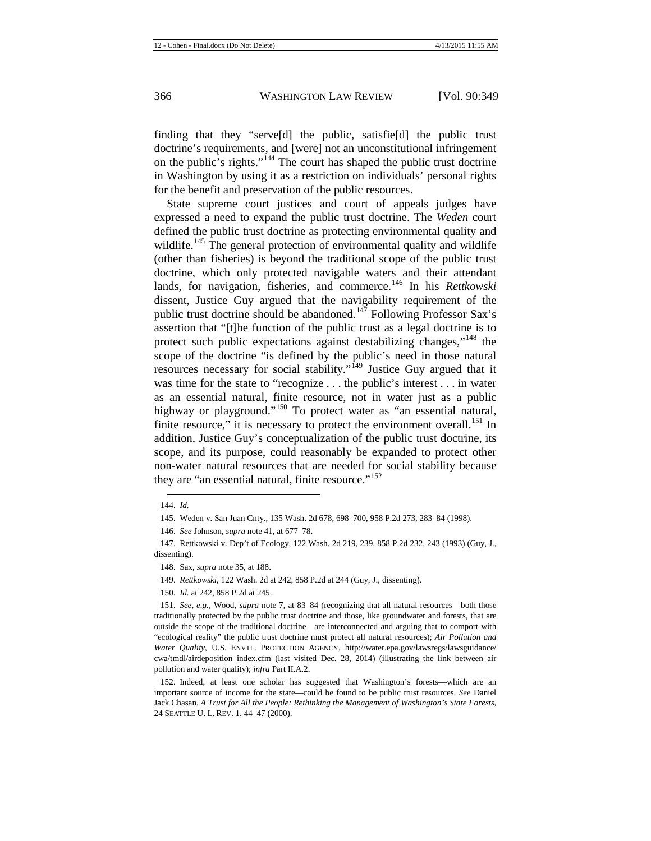finding that they "serve[d] the public, satisfie[d] the public trust doctrine's requirements, and [were] not an unconstitutional infringement on the public's rights."[144](#page-18-0) The court has shaped the public trust doctrine in Washington by using it as a restriction on individuals' personal rights for the benefit and preservation of the public resources.

State supreme court justices and court of appeals judges have expressed a need to expand the public trust doctrine. The *Weden* court defined the public trust doctrine as protecting environmental quality and wildlife.<sup>[145](#page-18-1)</sup> The general protection of environmental quality and wildlife (other than fisheries) is beyond the traditional scope of the public trust doctrine, which only protected navigable waters and their attendant lands, for navigation, fisheries, and commerce.<sup>[146](#page-18-2)</sup> In his *Rettkowski* dissent, Justice Guy argued that the navigability requirement of the public trust doctrine should be abandoned.<sup>[147](#page-18-3)</sup> Following Professor Sax's assertion that "[t]he function of the public trust as a legal doctrine is to protect such public expectations against destabilizing changes,"<sup>[148](#page-18-4)</sup> the scope of the doctrine "is defined by the public's need in those natural resources necessary for social stability."<sup>[149](#page-18-5)</sup> Justice Guy argued that it was time for the state to "recognize . . . the public's interest . . . in water as an essential natural, finite resource, not in water just as a public highway or playground."<sup>[150](#page-18-6)</sup> To protect water as "an essential natural, finite resource," it is necessary to protect the environment overall.<sup>[151](#page-18-7)</sup> In addition, Justice Guy's conceptualization of the public trust doctrine, its scope, and its purpose, could reasonably be expanded to protect other non-water natural resources that are needed for social stability because they are "an essential natural, finite resource."<sup>[152](#page-18-8)</sup>

<sup>144.</sup> *Id.*

<sup>145.</sup> Weden v. San Juan Cnty., 135 Wash. 2d 678, 698–700, 958 P.2d 273, 283–84 (1998).

<sup>146.</sup> *See* Johnson, *supra* not[e 41,](#page-6-0) at 677–78.

<span id="page-18-4"></span><span id="page-18-3"></span><span id="page-18-2"></span><span id="page-18-1"></span><span id="page-18-0"></span><sup>147.</sup> Rettkowski v. Dep't of Ecology, 122 Wash. 2d 219, 239, 858 P.2d 232, 243 (1993) (Guy, J., dissenting).

<sup>148.</sup> Sax, *supra* not[e 35,](#page-5-0) at 188.

<sup>149.</sup> *Rettkowski*, 122 Wash. 2d at 242, 858 P.2d at 244 (Guy, J., dissenting).

<sup>150.</sup> *Id.* at 242, 858 P.2d at 245.

<span id="page-18-7"></span><span id="page-18-6"></span><span id="page-18-5"></span><sup>151.</sup> *See, e.g.*, Wood, *supra* note [7,](#page-2-6) at 83–84 (recognizing that all natural resources—both those traditionally protected by the public trust doctrine and those, like groundwater and forests, that are outside the scope of the traditional doctrine—are interconnected and arguing that to comport with "ecological reality" the public trust doctrine must protect all natural resources); *Air Pollution and Water Quality*, U.S. ENVTL. PROTECTION AGENCY, http://water.epa.gov/lawsregs/lawsguidance/ cwa/tmdl/airdeposition\_index.cfm (last visited Dec. 28, 2014) (illustrating the link between air pollution and water quality); *infra* Part II.A.2.

<span id="page-18-8"></span><sup>152.</sup> Indeed, at least one scholar has suggested that Washington's forests—which are an important source of income for the state—could be found to be public trust resources. *See* Daniel Jack Chasan, *A Trust for All the People: Rethinking the Management of Washington's State Forests*, 24 SEATTLE U. L. REV. 1, 44–47 (2000).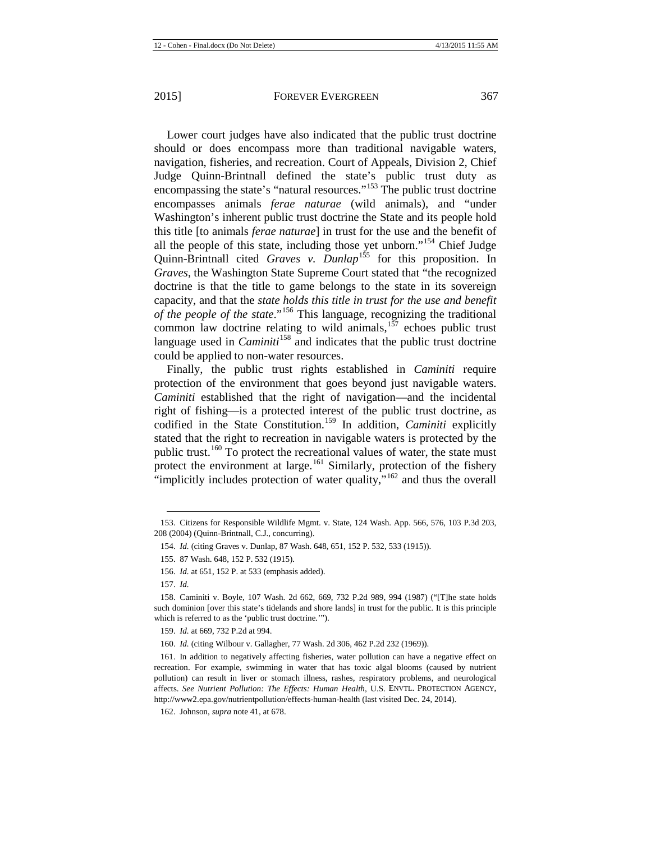Lower court judges have also indicated that the public trust doctrine should or does encompass more than traditional navigable waters, navigation, fisheries, and recreation. Court of Appeals, Division 2, Chief Judge Quinn-Brintnall defined the state's public trust duty as encompassing the state's "natural resources."<sup>[153](#page-19-0)</sup> The public trust doctrine encompasses animals *ferae naturae* (wild animals), and "under Washington's inherent public trust doctrine the State and its people hold this title [to animals *ferae naturae*] in trust for the use and the benefit of all the people of this state, including those yet unborn."[154](#page-19-1) Chief Judge Quinn-Brintnall cited *Graves v. Dunlap*<sup>[155](#page-19-2)</sup> for this proposition. In *Graves*, the Washington State Supreme Court stated that "the recognized doctrine is that the title to game belongs to the state in its sovereign capacity, and that the *state holds this title in trust for the use and benefit of the people of the state*."[156](#page-19-3) This language, recognizing the traditional common law doctrine relating to wild animals, $157$  echoes public trust language used in *Caminiti*<sup>[158](#page-19-5)</sup> and indicates that the public trust doctrine could be applied to non-water resources.

Finally, the public trust rights established in *Caminiti* require protection of the environment that goes beyond just navigable waters. *Caminiti* established that the right of navigation—and the incidental right of fishing—is a protected interest of the public trust doctrine, as codified in the State Constitution.<sup>[159](#page-19-6)</sup> In addition, *Caminiti* explicitly stated that the right to recreation in navigable waters is protected by the public trust.<sup>[160](#page-19-7)</sup> To protect the recreational values of water, the state must protect the environment at large.<sup>[161](#page-19-8)</sup> Similarly, protection of the fishery "implicitly includes protection of water quality,"<sup>[162](#page-19-9)</sup> and thus the overall

<span id="page-19-2"></span><span id="page-19-1"></span><span id="page-19-0"></span><sup>153.</sup> Citizens for Responsible Wildlife Mgmt. v. State, 124 Wash. App. 566, 576, 103 P.3d 203, 208 (2004) (Quinn-Brintnall, C.J., concurring).

<sup>154.</sup> *Id.* (citing Graves v. Dunlap, 87 Wash. 648, 651, 152 P. 532, 533 (1915)).

<sup>155.</sup> 87 Wash. 648, 152 P. 532 (1915).

<sup>156.</sup> *Id.* at 651, 152 P. at 533 (emphasis added).

<sup>157.</sup> *Id.*

<span id="page-19-5"></span><span id="page-19-4"></span><span id="page-19-3"></span><sup>158.</sup> Caminiti v. Boyle, 107 Wash. 2d 662, 669, 732 P.2d 989, 994 (1987) ("[T]he state holds such dominion [over this state's tidelands and shore lands] in trust for the public. It is this principle which is referred to as the 'public trust doctrine.'").

<sup>159.</sup> *Id.* at 669, 732 P.2d at 994.

<sup>160.</sup> *Id.* (citing Wilbour v. Gallagher, 77 Wash. 2d 306, 462 P.2d 232 (1969)).

<span id="page-19-8"></span><span id="page-19-7"></span><span id="page-19-6"></span><sup>161.</sup> In addition to negatively affecting fisheries, water pollution can have a negative effect on recreation. For example, swimming in water that has toxic algal blooms (caused by nutrient pollution) can result in liver or stomach illness, rashes, respiratory problems, and neurological affects. *See Nutrient Pollution: The Effects: Human Health*, U.S. ENVTL. PROTECTION AGENCY, http://www2.epa.gov/nutrientpollution/effects-human-health (last visited Dec. 24, 2014).

<span id="page-19-9"></span><sup>162.</sup> Johnson, *supra* not[e 41,](#page-6-0) at 678.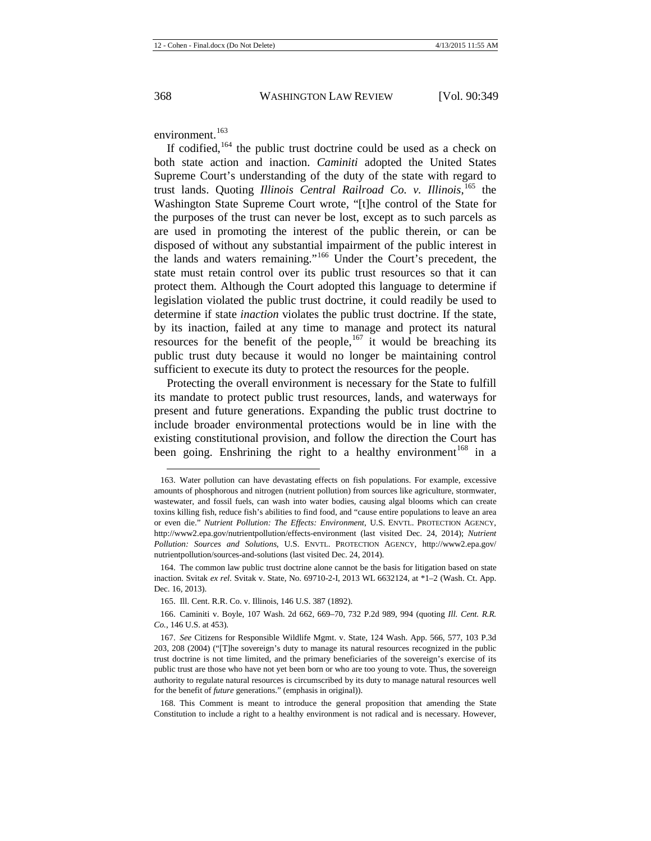environment.<sup>[163](#page-20-0)</sup>

If codified,  $164$  the public trust doctrine could be used as a check on both state action and inaction. *Caminiti* adopted the United States Supreme Court's understanding of the duty of the state with regard to trust lands. Quoting *Illinois Central Railroad Co. v. Illinois*, [165](#page-20-2) the Washington State Supreme Court wrote, "[t]he control of the State for the purposes of the trust can never be lost, except as to such parcels as are used in promoting the interest of the public therein, or can be disposed of without any substantial impairment of the public interest in the lands and waters remaining."[166](#page-20-3) Under the Court's precedent, the state must retain control over its public trust resources so that it can protect them. Although the Court adopted this language to determine if legislation violated the public trust doctrine, it could readily be used to determine if state *inaction* violates the public trust doctrine. If the state, by its inaction, failed at any time to manage and protect its natural resources for the benefit of the people,  $167$  it would be breaching its public trust duty because it would no longer be maintaining control sufficient to execute its duty to protect the resources for the people.

Protecting the overall environment is necessary for the State to fulfill its mandate to protect public trust resources, lands, and waterways for present and future generations. Expanding the public trust doctrine to include broader environmental protections would be in line with the existing constitutional provision, and follow the direction the Court has been going. Enshrining the right to a healthy environment<sup>[168](#page-20-5)</sup> in a

<span id="page-20-0"></span><sup>163.</sup> Water pollution can have devastating effects on fish populations. For example, excessive amounts of phosphorous and nitrogen (nutrient pollution) from sources like agriculture, stormwater, wastewater, and fossil fuels, can wash into water bodies, causing algal blooms which can create toxins killing fish, reduce fish's abilities to find food, and "cause entire populations to leave an area or even die." *Nutrient Pollution: The Effects: Environment*, U.S. ENVTL. PROTECTION AGENCY, http://www2.epa.gov/nutrientpollution/effects-environment (last visited Dec. 24, 2014); *Nutrient Pollution: Sources and Solutions*, U.S. ENVTL. PROTECTION AGENCY, http://www2.epa.gov/ nutrientpollution/sources-and-solutions (last visited Dec. 24, 2014).

<span id="page-20-1"></span><sup>164.</sup> The common law public trust doctrine alone cannot be the basis for litigation based on state inaction. Svitak *ex rel.* Svitak v. State, No. 69710-2-I, 2013 WL 6632124, at \*1–2 (Wash. Ct. App. Dec. 16, 2013).

<sup>165.</sup> Ill. Cent. R.R. Co. v. Illinois, 146 U.S. 387 (1892).

<span id="page-20-3"></span><span id="page-20-2"></span><sup>166.</sup> Caminiti v. Boyle, 107 Wash. 2d 662, 669–70, 732 P.2d 989, 994 (quoting *Ill. Cent. R.R. Co.*, 146 U.S. at 453).

<span id="page-20-4"></span><sup>167.</sup> *See* Citizens for Responsible Wildlife Mgmt. v. State, 124 Wash. App. 566, 577, 103 P.3d 203, 208 (2004) ("[T]he sovereign's duty to manage its natural resources recognized in the public trust doctrine is not time limited, and the primary beneficiaries of the sovereign's exercise of its public trust are those who have not yet been born or who are too young to vote. Thus, the sovereign authority to regulate natural resources is circumscribed by its duty to manage natural resources well for the benefit of *future* generations." (emphasis in original)).

<span id="page-20-5"></span><sup>168.</sup> This Comment is meant to introduce the general proposition that amending the State Constitution to include a right to a healthy environment is not radical and is necessary. However,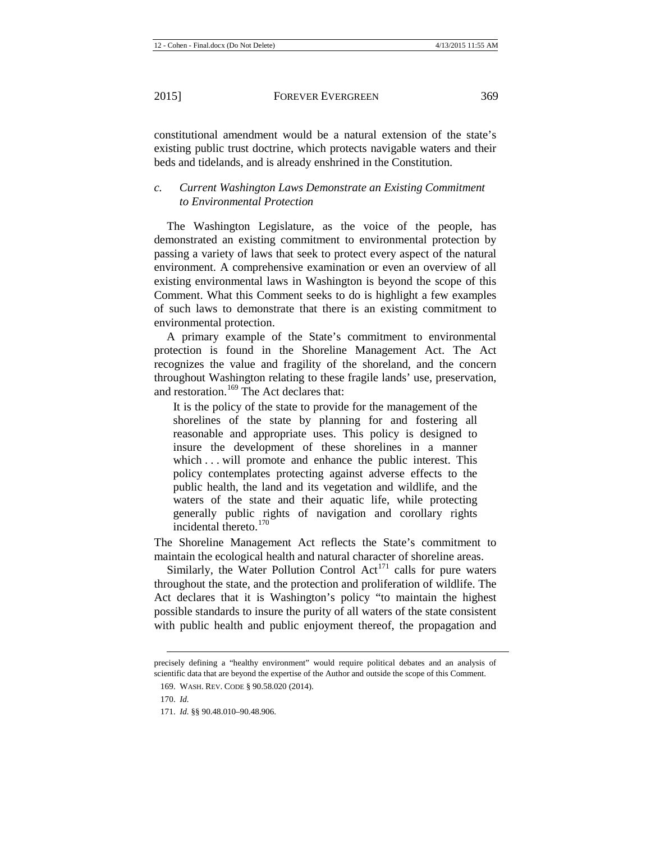constitutional amendment would be a natural extension of the state's existing public trust doctrine, which protects navigable waters and their beds and tidelands, and is already enshrined in the Constitution.

## *c. Current Washington Laws Demonstrate an Existing Commitment to Environmental Protection*

The Washington Legislature, as the voice of the people, has demonstrated an existing commitment to environmental protection by passing a variety of laws that seek to protect every aspect of the natural environment. A comprehensive examination or even an overview of all existing environmental laws in Washington is beyond the scope of this Comment. What this Comment seeks to do is highlight a few examples of such laws to demonstrate that there is an existing commitment to environmental protection.

A primary example of the State's commitment to environmental protection is found in the Shoreline Management Act. The Act recognizes the value and fragility of the shoreland, and the concern throughout Washington relating to these fragile lands' use, preservation, and restoration.<sup>[169](#page-21-0)</sup> The Act declares that:

It is the policy of the state to provide for the management of the shorelines of the state by planning for and fostering all reasonable and appropriate uses. This policy is designed to insure the development of these shorelines in a manner which . . . will promote and enhance the public interest. This policy contemplates protecting against adverse effects to the public health, the land and its vegetation and wildlife, and the waters of the state and their aquatic life, while protecting generally public rights of navigation and corollary rights incidental thereto.[170](#page-21-1)

The Shoreline Management Act reflects the State's commitment to maintain the ecological health and natural character of shoreline areas.

Similarly, the Water Pollution Control  $Act^{171}$  $Act^{171}$  $Act^{171}$  calls for pure waters throughout the state, and the protection and proliferation of wildlife. The Act declares that it is Washington's policy "to maintain the highest possible standards to insure the purity of all waters of the state consistent with public health and public enjoyment thereof, the propagation and

<span id="page-21-1"></span><span id="page-21-0"></span>precisely defining a "healthy environment" would require political debates and an analysis of scientific data that are beyond the expertise of the Author and outside the scope of this Comment.

<sup>169.</sup> WASH. REV. CODE § 90.58.020 (2014).

<sup>170.</sup> *Id.*

<span id="page-21-2"></span><sup>171.</sup> *Id.* §§ 90.48.010–90.48.906.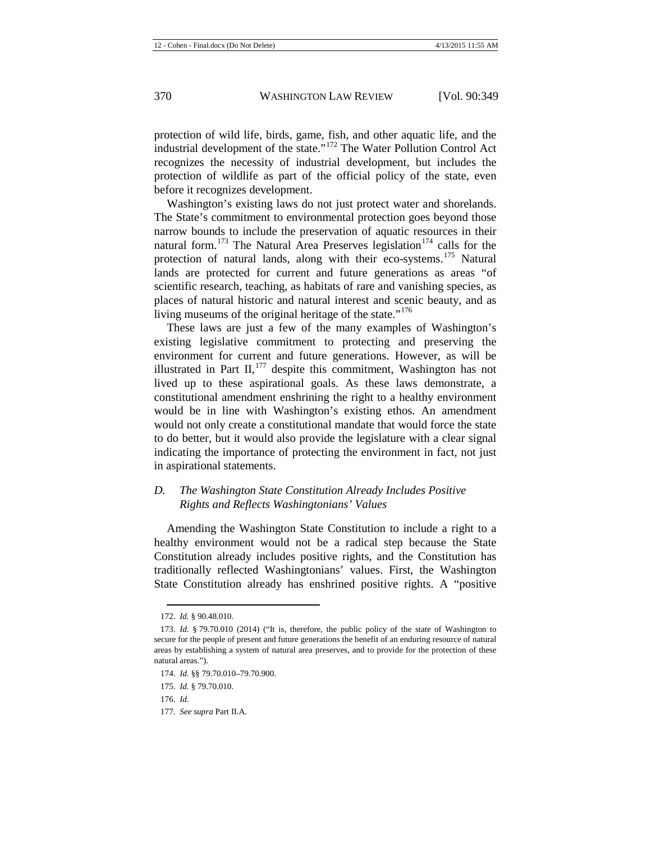protection of wild life, birds, game, fish, and other aquatic life, and the industrial development of the state."[172](#page-22-0) The Water Pollution Control Act recognizes the necessity of industrial development, but includes the protection of wildlife as part of the official policy of the state, even before it recognizes development.

Washington's existing laws do not just protect water and shorelands. The State's commitment to environmental protection goes beyond those narrow bounds to include the preservation of aquatic resources in their natural form.<sup>[173](#page-22-1)</sup> The Natural Area Preserves legislation<sup>[174](#page-22-2)</sup> calls for the protection of natural lands, along with their eco-systems.<sup>[175](#page-22-3)</sup> Natural lands are protected for current and future generations as areas "of scientific research, teaching, as habitats of rare and vanishing species, as places of natural historic and natural interest and scenic beauty, and as living museums of the original heritage of the state."<sup>[176](#page-22-4)</sup>

These laws are just a few of the many examples of Washington's existing legislative commitment to protecting and preserving the environment for current and future generations. However, as will be illustrated in Part II, $177$  despite this commitment, Washington has not lived up to these aspirational goals. As these laws demonstrate, a constitutional amendment enshrining the right to a healthy environment would be in line with Washington's existing ethos. An amendment would not only create a constitutional mandate that would force the state to do better, but it would also provide the legislature with a clear signal indicating the importance of protecting the environment in fact, not just in aspirational statements.

## *D. The Washington State Constitution Already Includes Positive Rights and Reflects Washingtonians' Values*

Amending the Washington State Constitution to include a right to a healthy environment would not be a radical step because the State Constitution already includes positive rights, and the Constitution has traditionally reflected Washingtonians' values. First, the Washington State Constitution already has enshrined positive rights. A "positive

<sup>172.</sup> *Id.* § 90.48.010.

<span id="page-22-1"></span><span id="page-22-0"></span><sup>173.</sup> *Id.* § 79.70.010 (2014) ("It is, therefore, the public policy of the state of Washington to secure for the people of present and future generations the benefit of an enduring resource of natural areas by establishing a system of natural area preserves, and to provide for the protection of these natural areas.").

<span id="page-22-3"></span><span id="page-22-2"></span><sup>174.</sup> *Id.* §§ 79.70.010–79.70.900.

<span id="page-22-4"></span><sup>175.</sup> *Id.* § 79.70.010.

<sup>176.</sup> *Id.*

<span id="page-22-5"></span><sup>177.</sup> *See supra* Part II.A.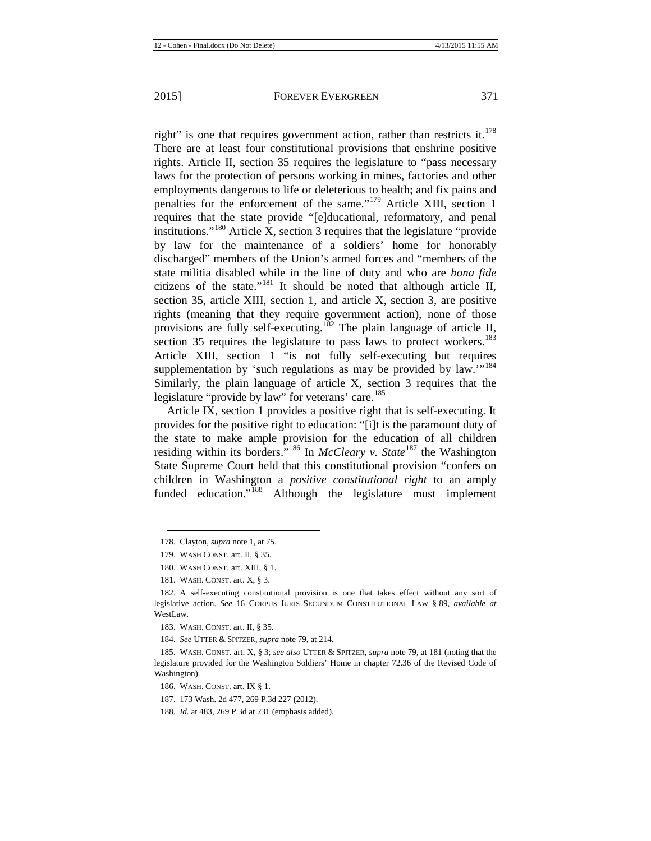right" is one that requires government action, rather than restricts it. $178$ There are at least four constitutional provisions that enshrine positive rights. Article II, section 35 requires the legislature to "pass necessary laws for the protection of persons working in mines, factories and other employments dangerous to life or deleterious to health; and fix pains and penalties for the enforcement of the same."[179](#page-23-1) Article XIII, section 1 requires that the state provide "[e]ducational, reformatory, and penal institutions."[180](#page-23-2) Article X, section 3 requires that the legislature "provide by law for the maintenance of a soldiers' home for honorably discharged" members of the Union's armed forces and "members of the state militia disabled while in the line of duty and who are *bona fide* citizens of the state."[181](#page-23-3) It should be noted that although article II, section 35, article XIII, section 1, and article X, section 3, are positive rights (meaning that they require government action), none of those provisions are fully self-executing.<sup>[182](#page-23-4)</sup> The plain language of article II, section 35 requires the legislature to pass laws to protect workers.<sup>[183](#page-23-5)</sup> Article XIII, section 1 "is not fully self-executing but requires supplementation by 'such regulations as may be provided by law."<sup>[184](#page-23-6)</sup> Similarly, the plain language of article X, section 3 requires that the legislature "provide by law" for veterans' care.<sup>[185](#page-23-7)</sup>

Article IX, section 1 provides a positive right that is self-executing. It provides for the positive right to education: "[i]t is the paramount duty of the state to make ample provision for the education of all children residing within its borders."[186](#page-23-8) In *McCleary v. State* [187](#page-23-9) the Washington State Supreme Court held that this constitutional provision "confers on children in Washington a *positive constitutional right* to an amply funded education."<sup>[188](#page-23-10)</sup> Although the legislature must implement

<span id="page-23-0"></span><sup>178.</sup> Clayton, *supra* not[e 1,](#page-1-1) at 75.

<sup>179.</sup> WASH CONST. art. II, § 35.

<sup>180.</sup> WASH CONST. art. XIII, § 1.

<sup>181.</sup> WASH. CONST. art. X, § 3.

<span id="page-23-4"></span><span id="page-23-3"></span><span id="page-23-2"></span><span id="page-23-1"></span><sup>182.</sup> A self-executing constitutional provision is one that takes effect without any sort of legislative action. *See* 16 CORPUS JURIS SECUNDUM CONSTITUTIONAL LAW § 89, *available at*  WestLaw.

<sup>183.</sup> WASH. CONST. art. II, § 35.

<sup>184.</sup> *See* UTTER & SPITZER, *supra* not[e 79,](#page-10-4) at 214.

<span id="page-23-8"></span><span id="page-23-7"></span><span id="page-23-6"></span><span id="page-23-5"></span><sup>185.</sup> WASH. CONST. art. X, § 3; *see also* UTTER & SPITZER, *supra* not[e 79,](#page-10-4) at 181 (noting that the legislature provided for the Washington Soldiers' Home in chapter 72.36 of the Revised Code of Washington).

<sup>186.</sup> WASH. CONST. art. IX § 1.

<span id="page-23-9"></span><sup>187.</sup> 173 Wash. 2d 477, 269 P.3d 227 (2012).

<span id="page-23-10"></span><sup>188.</sup> *Id.* at 483, 269 P.3d at 231 (emphasis added).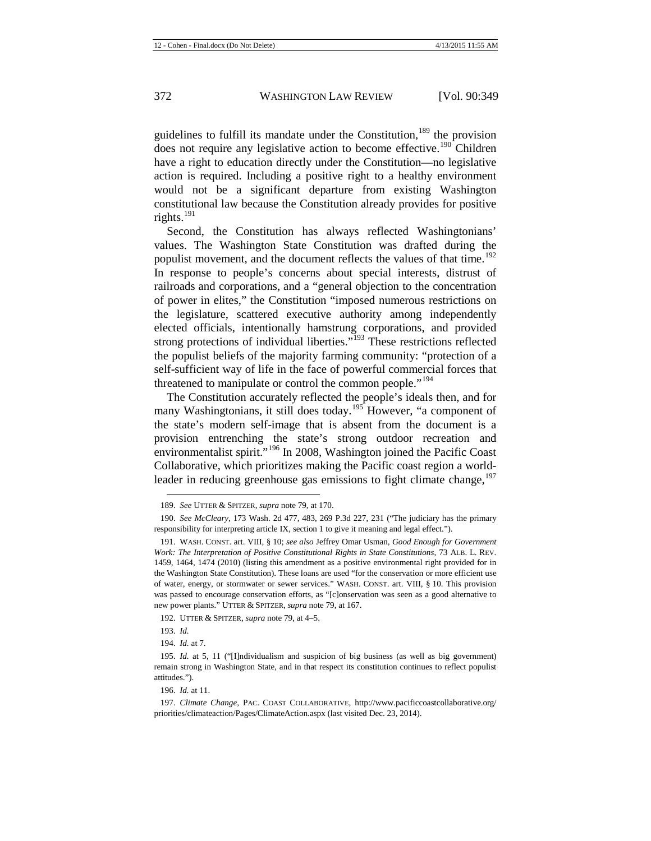guidelines to fulfill its mandate under the Constitution,<sup>[189](#page-24-0)</sup> the provision does not require any legislative action to become effective.<sup>[190](#page-24-1)</sup> Children have a right to education directly under the Constitution—no legislative action is required. Including a positive right to a healthy environment would not be a significant departure from existing Washington constitutional law because the Constitution already provides for positive rights. $^{191}$  $^{191}$  $^{191}$ 

Second, the Constitution has always reflected Washingtonians' values. The Washington State Constitution was drafted during the populist movement, and the document reflects the values of that time.<sup>[192](#page-24-3)</sup> In response to people's concerns about special interests, distrust of railroads and corporations, and a "general objection to the concentration of power in elites," the Constitution "imposed numerous restrictions on the legislature, scattered executive authority among independently elected officials, intentionally hamstrung corporations, and provided strong protections of individual liberties."<sup>[193](#page-24-4)</sup> These restrictions reflected the populist beliefs of the majority farming community: "protection of a self-sufficient way of life in the face of powerful commercial forces that threatened to manipulate or control the common people."<sup>[194](#page-24-5)</sup>

The Constitution accurately reflected the people's ideals then, and for many Washingtonians, it still does today.<sup>[195](#page-24-6)</sup> However, "a component of the state's modern self-image that is absent from the document is a provision entrenching the state's strong outdoor recreation and environmentalist spirit."<sup>[196](#page-24-7)</sup> In 2008, Washington joined the Pacific Coast Collaborative, which prioritizes making the Pacific coast region a world-leader in reducing greenhouse gas emissions to fight climate change,<sup>[197](#page-24-8)</sup>

<sup>189.</sup> *See* UTTER & SPITZER, *supra* not[e 79,](#page-10-4) at 170.

<span id="page-24-1"></span><span id="page-24-0"></span><sup>190.</sup> *See McCleary*, 173 Wash. 2d 477, 483, 269 P.3d 227, 231 ("The judiciary has the primary responsibility for interpreting article IX, section 1 to give it meaning and legal effect.").

<span id="page-24-2"></span><sup>191.</sup> WASH. CONST. art. VIII, § 10; *see also* Jeffrey Omar Usman, *Good Enough for Government Work: The Interpretation of Positive Constitutional Rights in State Constitutions*, 73 ALB. L. REV. 1459, 1464, 1474 (2010) (listing this amendment as a positive environmental right provided for in the Washington State Constitution). These loans are used "for the conservation or more efficient use of water, energy, or stormwater or sewer services." WASH. CONST. art. VIII, § 10. This provision was passed to encourage conservation efforts, as "[c]onservation was seen as a good alternative to new power plants." UTTER & SPITZER, *supra* not[e 79,](#page-10-4) at 167.

<sup>192.</sup> UTTER & SPITZER, *supra* not[e 79,](#page-10-4) at 4–5.

<sup>193.</sup> *Id.*

<sup>194.</sup> *Id.* at 7.

<span id="page-24-6"></span><span id="page-24-5"></span><span id="page-24-4"></span><span id="page-24-3"></span><sup>195.</sup> *Id.* at 5, 11 ("[I]ndividualism and suspicion of big business (as well as big government) remain strong in Washington State, and in that respect its constitution continues to reflect populist attitudes.").

<sup>196.</sup> *Id.* at 11.

<span id="page-24-8"></span><span id="page-24-7"></span><sup>197.</sup> *Climate Change*, PAC. COAST COLLABORATIVE, http://www.pacificcoastcollaborative.org/ priorities/climateaction/Pages/ClimateAction.aspx (last visited Dec. 23, 2014).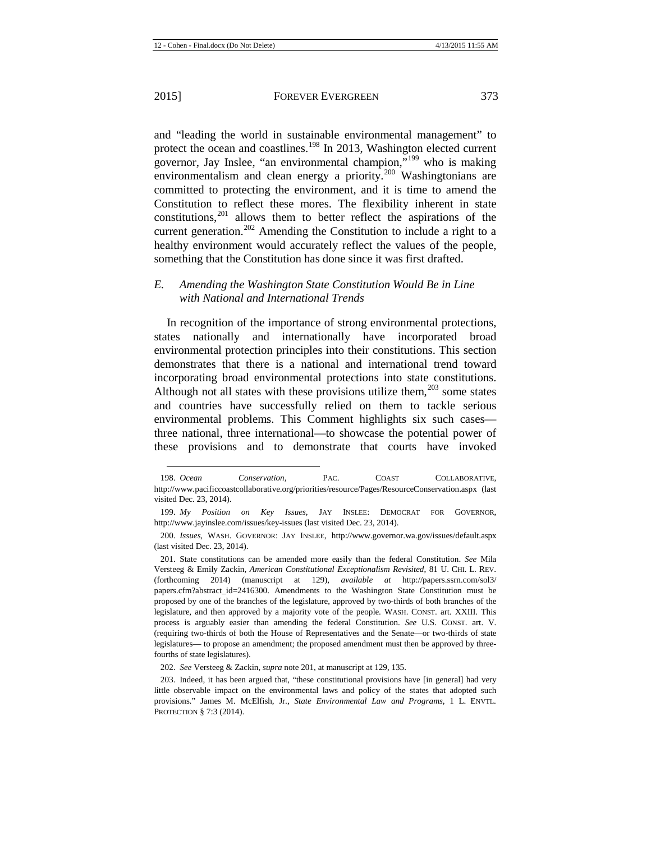<span id="page-25-7"></span> $\overline{a}$ 

and "leading the world in sustainable environmental management" to protect the ocean and coastlines.<sup>[198](#page-25-1)</sup> In 2013, Washington elected current governor, Jay Inslee, "an environmental champion,"<sup>[199](#page-25-2)</sup> who is making environmentalism and clean energy a priority.<sup>[200](#page-25-3)</sup> Washingtonians are committed to protecting the environment, and it is time to amend the Constitution to reflect these mores. The flexibility inherent in state constitutions,<sup>[201](#page-25-4)</sup> allows them to better reflect the aspirations of the current generation.<sup>[202](#page-25-5)</sup> Amending the Constitution to include a right to a healthy environment would accurately reflect the values of the people, something that the Constitution has done since it was first drafted.

#### <span id="page-25-0"></span>*E. Amending the Washington State Constitution Would Be in Line with National and International Trends*

In recognition of the importance of strong environmental protections, states nationally and internationally have incorporated broad environmental protection principles into their constitutions. This section demonstrates that there is a national and international trend toward incorporating broad environmental protections into state constitutions. Although not all states with these provisions utilize them, $^{203}$  $^{203}$  $^{203}$  some states and countries have successfully relied on them to tackle serious environmental problems. This Comment highlights six such cases three national, three international—to showcase the potential power of these provisions and to demonstrate that courts have invoked

202. *See* Versteeg & Zackin, *supra* not[e 201,](#page-25-0) at manuscript at 129, 135.

<span id="page-25-1"></span><sup>198.</sup> *Ocean Conservation*, PAC. COAST COLLABORATIVE, http://www.pacificcoastcollaborative.org/priorities/resource/Pages/ResourceConservation.aspx (last visited Dec. 23, 2014).

<span id="page-25-2"></span><sup>199.</sup> *My Position on Key Issues*, JAY INSLEE: DEMOCRAT FOR GOVERNOR, http://www.jayinslee.com/issues/key-issues (last visited Dec. 23, 2014).

<span id="page-25-3"></span><sup>200.</sup> *Issues*, WASH. GOVERNOR: JAY INSLEE, http://www.governor.wa.gov/issues/default.aspx (last visited Dec. 23, 2014).

<span id="page-25-4"></span><sup>201.</sup> State constitutions can be amended more easily than the federal Constitution. *See* Mila Versteeg & Emily Zackin, *American Constitutional Exceptionalism Revisited*, 81 U. CHI. L. REV. (forthcoming 2014) (manuscript at 129), *available at* http://papers.ssrn.com/sol3/ papers.cfm?abstract\_id=2416300. Amendments to the Washington State Constitution must be proposed by one of the branches of the legislature, approved by two-thirds of both branches of the legislature, and then approved by a majority vote of the people. WASH. CONST. art. XXIII. This process is arguably easier than amending the federal Constitution. *See* U.S. CONST. art. V. (requiring two-thirds of both the House of Representatives and the Senate—or two-thirds of state legislatures— to propose an amendment; the proposed amendment must then be approved by threefourths of state legislatures).

<span id="page-25-6"></span><span id="page-25-5"></span><sup>203.</sup> Indeed, it has been argued that, "these constitutional provisions have [in general] had very little observable impact on the environmental laws and policy of the states that adopted such provisions." James M. McElfish, Jr., *State Environmental Law and Programs*, 1 L. ENVTL. PROTECTION § 7:3 (2014).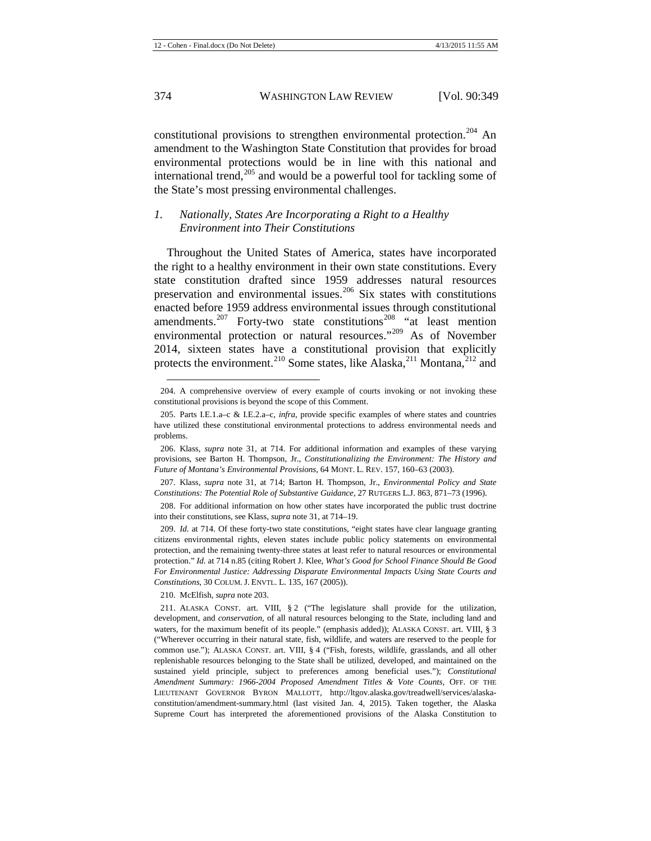constitutional provisions to strengthen environmental protection.<sup>[204](#page-26-0)</sup> An amendment to the Washington State Constitution that provides for broad environmental protections would be in line with this national and international trend,<sup>[205](#page-26-1)</sup> and would be a powerful tool for tackling some of the State's most pressing environmental challenges.

## *1. Nationally, States Are Incorporating a Right to a Healthy Environment into Their Constitutions*

<span id="page-26-9"></span>Throughout the United States of America, states have incorporated the right to a healthy environment in their own state constitutions. Every state constitution drafted since 1959 addresses natural resources preservation and environmental issues.<sup>[206](#page-26-2)</sup> Six states with constitutions enacted before 1959 address environmental issues through constitutional amendments.<sup>[207](#page-26-3)</sup> Forty-two state constitutions<sup>[208](#page-26-4)</sup> "at least mention environmental protection or natural resources."<sup>[209](#page-26-5)</sup> As of November 2014, sixteen states have a constitutional provision that explicitly protects the environment.<sup>[210](#page-26-6)</sup> Some states, like Alaska,<sup>[211](#page-26-7)</sup> Montana,<sup>[212](#page-26-8)</sup> and

<span id="page-26-4"></span>208. For additional information on how other states have incorporated the public trust doctrine into their constitutions, see Klass, *supra* not[e 31,](#page-5-12) at 714–19.

<span id="page-26-5"></span>209. *Id.* at 714. Of these forty-two state constitutions, "eight states have clear language granting citizens environmental rights, eleven states include public policy statements on environmental protection, and the remaining twenty-three states at least refer to natural resources or environmental protection." *Id.* at 714 n.85 (citing Robert J. Klee, *What's Good for School Finance Should Be Good For Environmental Justice: Addressing Disparate Environmental Impacts Using State Courts and Constitutions*, 30 COLUM. J. ENVTL. L. 135, 167 (2005)).

210. McElfish, *supra* not[e 203.](#page-25-7)

<span id="page-26-8"></span><span id="page-26-0"></span><sup>204.</sup> A comprehensive overview of every example of courts invoking or not invoking these constitutional provisions is beyond the scope of this Comment.

<span id="page-26-1"></span><sup>205.</sup> Parts I.E.1.a–c & I.E.2.a–c, *infra*, provide specific examples of where states and countries have utilized these constitutional environmental protections to address environmental needs and problems.

<span id="page-26-2"></span><sup>206.</sup> Klass, *supra* note [31,](#page-5-12) at 714. For additional information and examples of these varying provisions, see Barton H. Thompson, Jr., *Constitutionalizing the Environment: The History and Future of Montana's Environmental Provisions*, 64 MONT. L. REV. 157, 160–63 (2003).

<span id="page-26-3"></span><sup>207.</sup> Klass, *supra* note [31,](#page-5-12) at 714; Barton H. Thompson, Jr., *Environmental Policy and State Constitutions: The Potential Role of Substantive Guidance*, 27 RUTGERS L.J. 863, 871–73 (1996).

<span id="page-26-7"></span><span id="page-26-6"></span><sup>211.</sup> ALASKA CONST. art. VIII, § 2 ("The legislature shall provide for the utilization, development, and *conservation*, of all natural resources belonging to the State, including land and waters, for the maximum benefit of its people." (emphasis added)); ALASKA CONST. art. VIII, § 3 ("Wherever occurring in their natural state, fish, wildlife, and waters are reserved to the people for common use."); ALASKA CONST. art. VIII, § 4 ("Fish, forests, wildlife, grasslands, and all other replenishable resources belonging to the State shall be utilized, developed, and maintained on the sustained yield principle, subject to preferences among beneficial uses."); *Constitutional Amendment Summary: 1966-2004 Proposed Amendment Titles & Vote Counts*, OFF. OF THE LIEUTENANT GOVERNOR BYRON MALLOTT, http://ltgov.alaska.gov/treadwell/services/alaskaconstitution/amendment-summary.html (last visited Jan. 4, 2015). Taken together, the Alaska Supreme Court has interpreted the aforementioned provisions of the Alaska Constitution to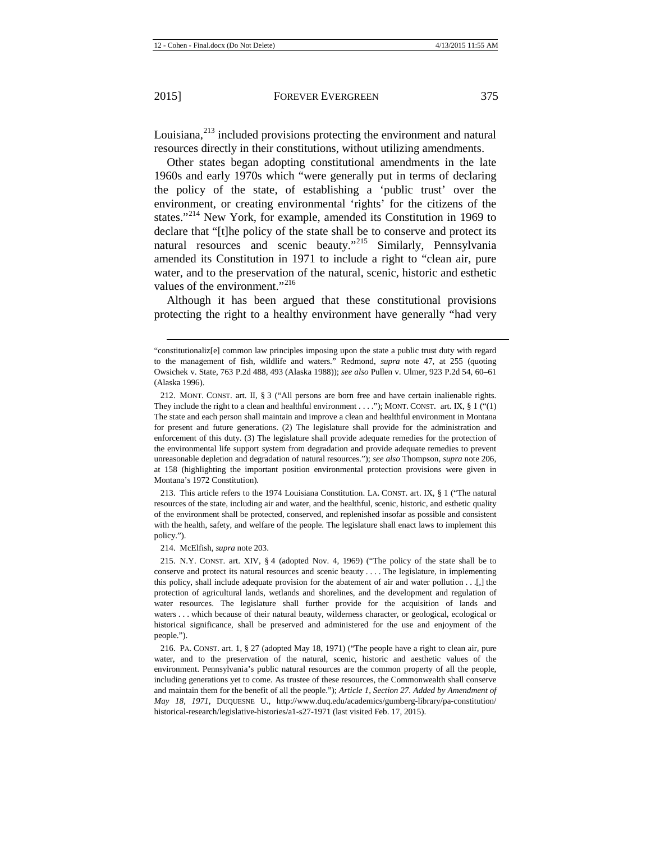$\overline{a}$ 

Louisiana,<sup>[213](#page-27-0)</sup> included provisions protecting the environment and natural resources directly in their constitutions, without utilizing amendments.

Other states began adopting constitutional amendments in the late 1960s and early 1970s which "were generally put in terms of declaring the policy of the state, of establishing a 'public trust' over the environment, or creating environmental 'rights' for the citizens of the states."<sup>[214](#page-27-1)</sup> New York, for example, amended its Constitution in 1969 to declare that "[t]he policy of the state shall be to conserve and protect its natural resources and scenic beauty."<sup>[215](#page-27-2)</sup> Similarly, Pennsylvania amended its Constitution in 1971 to include a right to "clean air, pure water, and to the preservation of the natural, scenic, historic and esthetic values of the environment."<sup>[216](#page-27-3)</sup>

Although it has been argued that these constitutional provisions protecting the right to a healthy environment have generally "had very

<span id="page-27-0"></span>213. This article refers to the 1974 Louisiana Constitution. LA. CONST. art. IX, § 1 ("The natural resources of the state, including air and water, and the healthful, scenic, historic, and esthetic quality of the environment shall be protected, conserved, and replenished insofar as possible and consistent with the health, safety, and welfare of the people. The legislature shall enact laws to implement this policy.").

214. McElfish, *supra* not[e 203.](#page-25-7)

<span id="page-27-2"></span><span id="page-27-1"></span>215. N.Y. CONST. art. XIV, § 4 (adopted Nov. 4, 1969) ("The policy of the state shall be to conserve and protect its natural resources and scenic beauty . . . . The legislature, in implementing this policy, shall include adequate provision for the abatement of air and water pollution . . .[,] the protection of agricultural lands, wetlands and shorelines, and the development and regulation of water resources. The legislature shall further provide for the acquisition of lands and waters . . . which because of their natural beauty, wilderness character, or geological, ecological or historical significance, shall be preserved and administered for the use and enjoyment of the people.").

<span id="page-27-3"></span>216. PA. CONST. art. 1, § 27 (adopted May 18, 1971) ("The people have a right to clean air, pure water, and to the preservation of the natural, scenic, historic and aesthetic values of the environment. Pennsylvania's public natural resources are the common property of all the people, including generations yet to come. As trustee of these resources, the Commonwealth shall conserve and maintain them for the benefit of all the people."); *Article 1, Section 27. Added by Amendment of May 18, 1971*, DUQUESNE U., http://www.duq.edu/academics/gumberg-library/pa-constitution/ historical-research/legislative-histories/a1-s27-1971 (last visited Feb. 17, 2015).

<sup>&</sup>quot;constitutionaliz[e] common law principles imposing upon the state a public trust duty with regard to the management of fish, wildlife and waters." Redmond, *supra* note [47,](#page-6-10) at 255 (quoting Owsichek v. State, 763 P.2d 488, 493 (Alaska 1988)); *see also* Pullen v. Ulmer, 923 P.2d 54, 60–61 (Alaska 1996).

<sup>212.</sup> MONT. CONST. art. II, § 3 ("All persons are born free and have certain inalienable rights. They include the right to a clean and healthful environment . . . ."); MONT. CONST. art. IX,  $\S 1$  ("(1) The state and each person shall maintain and improve a clean and healthful environment in Montana for present and future generations. (2) The legislature shall provide for the administration and enforcement of this duty. (3) The legislature shall provide adequate remedies for the protection of the environmental life support system from degradation and provide adequate remedies to prevent unreasonable depletion and degradation of natural resources."); *see also* Thompson, *supra* note [206,](#page-26-9)  at 158 (highlighting the important position environmental protection provisions were given in Montana's 1972 Constitution).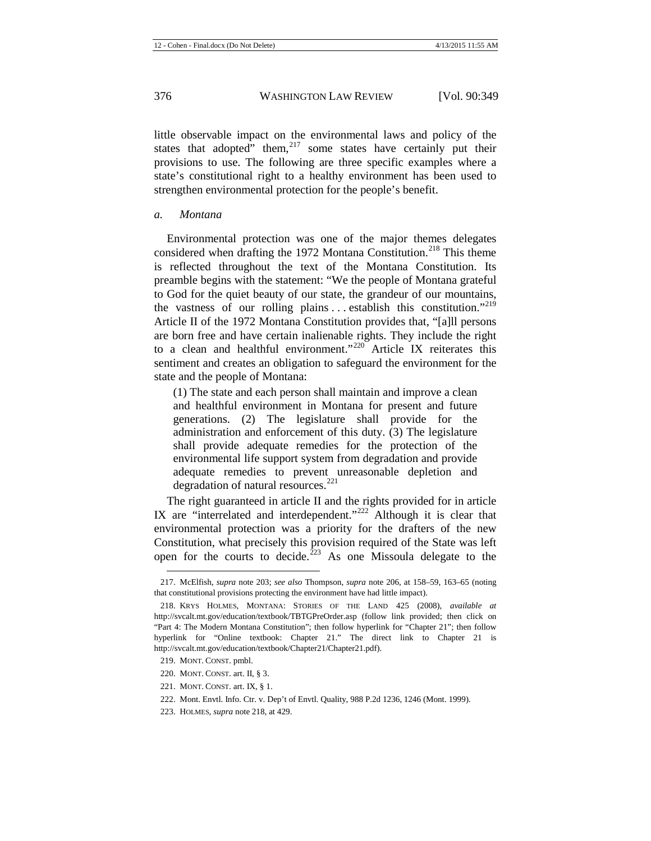little observable impact on the environmental laws and policy of the states that adopted" them,  $217$  some states have certainly put their provisions to use. The following are three specific examples where a state's constitutional right to a healthy environment has been used to strengthen environmental protection for the people's benefit.

#### *a. Montana*

<span id="page-28-0"></span>Environmental protection was one of the major themes delegates considered when drafting the 1972 Montana Constitution.<sup>[218](#page-28-2)</sup> This theme is reflected throughout the text of the Montana Constitution. Its preamble begins with the statement: "We the people of Montana grateful to God for the quiet beauty of our state, the grandeur of our mountains, the vastness of our rolling plains  $\ldots$  establish this constitution.<sup>"[219](#page-28-3)</sup> Article II of the 1972 Montana Constitution provides that, "[a]ll persons are born free and have certain inalienable rights. They include the right to a clean and healthful environment."<sup>[220](#page-28-4)</sup> Article IX reiterates this sentiment and creates an obligation to safeguard the environment for the state and the people of Montana:

(1) The state and each person shall maintain and improve a clean and healthful environment in Montana for present and future generations. (2) The legislature shall provide for the administration and enforcement of this duty. (3) The legislature shall provide adequate remedies for the protection of the environmental life support system from degradation and provide adequate remedies to prevent unreasonable depletion and degradation of natural resources. $^{221}$  $^{221}$  $^{221}$ 

The right guaranteed in article II and the rights provided for in article IX are "interrelated and interdependent."<sup>[222](#page-28-6)</sup> Although it is clear that environmental protection was a priority for the drafters of the new Constitution, what precisely this provision required of the State was left open for the courts to decide.<sup> $223$ </sup> As one Missoula delegate to the

<span id="page-28-1"></span><sup>217.</sup> McElfish, *supra* note [203;](#page-25-7) *see also* Thompson, *supra* note [206,](#page-26-9) at 158–59, 163–65 (noting that constitutional provisions protecting the environment have had little impact).

<span id="page-28-2"></span><sup>218.</sup> KRYS HOLMES, MONTANA: STORIES OF THE LAND 425 (2008), *available at*  http://svcalt.mt.gov/education/textbook/TBTGPreOrder.asp (follow link provided; then click on "Part 4: The Modern Montana Constitution"; then follow hyperlink for "Chapter 21"; then follow hyperlink for "Online textbook: Chapter 21." The direct link to Chapter 21 is http://svcalt.mt.gov/education/textbook/Chapter21/Chapter21.pdf).

<span id="page-28-4"></span><span id="page-28-3"></span><sup>219.</sup> MONT. CONST. pmbl.

<sup>220.</sup> MONT. CONST. art. II, § 3.

<span id="page-28-5"></span><sup>221.</sup> MONT. CONST. art. IX, § 1.

<span id="page-28-6"></span><sup>222.</sup> Mont. Envtl. Info. Ctr. v. Dep't of Envtl. Quality, 988 P.2d 1236, 1246 (Mont. 1999).

<span id="page-28-7"></span><sup>223.</sup> HOLMES, *supra* not[e 218,](#page-28-0) at 429.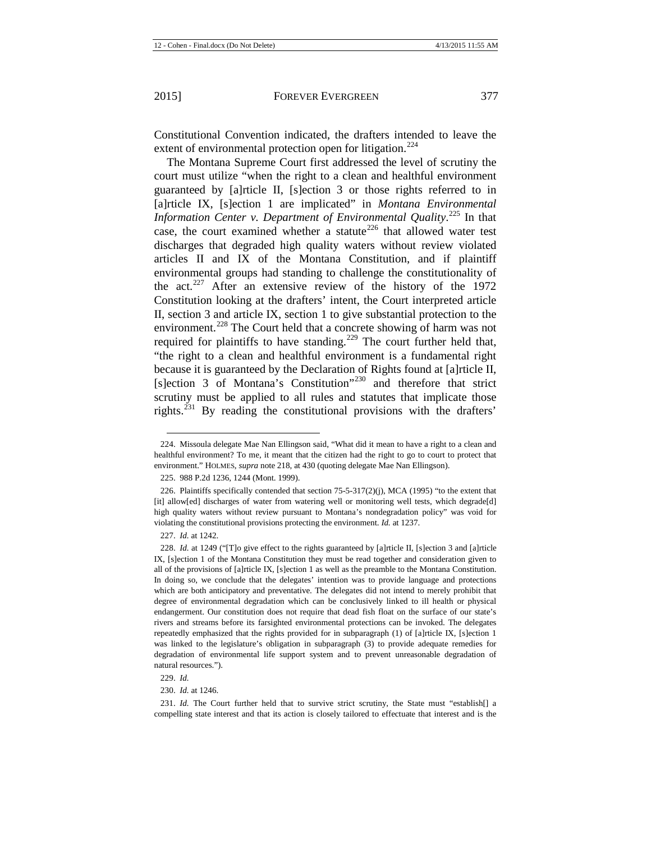Constitutional Convention indicated, the drafters intended to leave the extent of environmental protection open for litigation.<sup>[224](#page-29-0)</sup>

The Montana Supreme Court first addressed the level of scrutiny the court must utilize "when the right to a clean and healthful environment guaranteed by [a]rticle II, [s]ection 3 or those rights referred to in [a]rticle IX, [s]ection 1 are implicated" in *Montana Environmental*  Information Center v. Department of Environmental Quality.<sup>[225](#page-29-1)</sup> In that case, the court examined whether a statute<sup>[226](#page-29-2)</sup> that allowed water test discharges that degraded high quality waters without review violated articles II and IX of the Montana Constitution, and if plaintiff environmental groups had standing to challenge the constitutionality of the act.<sup>[227](#page-29-3)</sup> After an extensive review of the history of the 1972 Constitution looking at the drafters' intent, the Court interpreted article II, section 3 and article IX, section 1 to give substantial protection to the environment.<sup>[228](#page-29-4)</sup> The Court held that a concrete showing of harm was not required for plaintiffs to have standing.<sup>[229](#page-29-5)</sup> The court further held that, "the right to a clean and healthful environment is a fundamental right because it is guaranteed by the Declaration of Rights found at [a]rticle II, [s]ection 3 of Montana's Constitution"<sup>[230](#page-29-6)</sup> and therefore that strict scrutiny must be applied to all rules and statutes that implicate those rights.<sup>[231](#page-29-7)</sup> By reading the constitutional provisions with the drafters'

225. 988 P.2d 1236, 1244 (Mont. 1999).

**.** 

229. *Id.*

230. *Id.* at 1246.

<span id="page-29-7"></span><span id="page-29-6"></span><span id="page-29-5"></span>231. *Id.* The Court further held that to survive strict scrutiny, the State must "establish[] a compelling state interest and that its action is closely tailored to effectuate that interest and is the

<span id="page-29-0"></span><sup>224.</sup> Missoula delegate Mae Nan Ellingson said, "What did it mean to have a right to a clean and healthful environment? To me, it meant that the citizen had the right to go to court to protect that environment." HOLMES, *supra* note [218,](#page-28-0) at 430 (quoting delegate Mae Nan Ellingson).

<span id="page-29-2"></span><span id="page-29-1"></span><sup>226.</sup> Plaintiffs specifically contended that section 75-5-317(2)(j), MCA (1995) "to the extent that [it] allow[ed] discharges of water from watering well or monitoring well tests, which degrade[d] high quality waters without review pursuant to Montana's nondegradation policy" was void for violating the constitutional provisions protecting the environment. *Id.* at 1237.

<sup>227.</sup> *Id.* at 1242.

<span id="page-29-4"></span><span id="page-29-3"></span><sup>228.</sup> *Id.* at 1249 ("[T]o give effect to the rights guaranteed by [a]rticle II, [s]ection 3 and [a]rticle IX, [s]ection 1 of the Montana Constitution they must be read together and consideration given to all of the provisions of [a]rticle IX, [s]ection 1 as well as the preamble to the Montana Constitution. In doing so, we conclude that the delegates' intention was to provide language and protections which are both anticipatory and preventative. The delegates did not intend to merely prohibit that degree of environmental degradation which can be conclusively linked to ill health or physical endangerment. Our constitution does not require that dead fish float on the surface of our state's rivers and streams before its farsighted environmental protections can be invoked. The delegates repeatedly emphasized that the rights provided for in subparagraph (1) of [a]rticle IX, [s]ection 1 was linked to the legislature's obligation in subparagraph (3) to provide adequate remedies for degradation of environmental life support system and to prevent unreasonable degradation of natural resources.").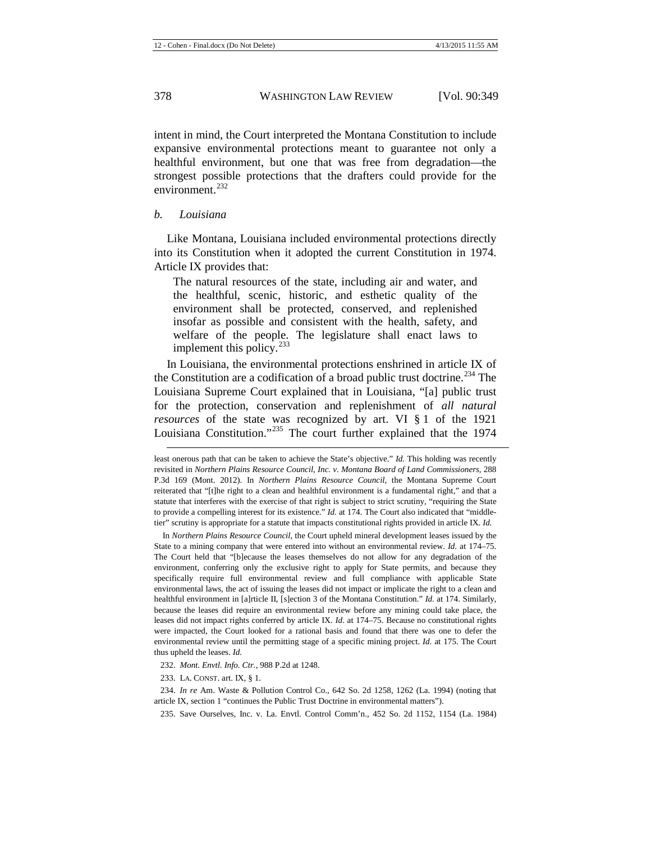intent in mind, the Court interpreted the Montana Constitution to include expansive environmental protections meant to guarantee not only a healthful environment, but one that was free from degradation—the strongest possible protections that the drafters could provide for the environment $^{232}$  $^{232}$  $^{232}$ 

#### *b. Louisiana*

 $\overline{a}$ 

Like Montana, Louisiana included environmental protections directly into its Constitution when it adopted the current Constitution in 1974. Article IX provides that:

The natural resources of the state, including air and water, and the healthful, scenic, historic, and esthetic quality of the environment shall be protected, conserved, and replenished insofar as possible and consistent with the health, safety, and welfare of the people. The legislature shall enact laws to implement this policy.<sup>[233](#page-30-1)</sup>

In Louisiana, the environmental protections enshrined in article IX of the Constitution are a codification of a broad public trust doctrine.<sup>[234](#page-30-2)</sup> The Louisiana Supreme Court explained that in Louisiana, "[a] public trust for the protection, conservation and replenishment of *all natural resources* of the state was recognized by art. VI § 1 of the 1921 Louisiana Constitution."[235](#page-30-3) The court further explained that the 1974

In *Northern Plains Resource Council*, the Court upheld mineral development leases issued by the State to a mining company that were entered into without an environmental review. *Id.* at 174–75. The Court held that "[b]ecause the leases themselves do not allow for any degradation of the environment, conferring only the exclusive right to apply for State permits, and because they specifically require full environmental review and full compliance with applicable State environmental laws, the act of issuing the leases did not impact or implicate the right to a clean and healthful environment in [a]rticle II, [s]ection 3 of the Montana Constitution." *Id.* at 174. Similarly, because the leases did require an environmental review before any mining could take place, the leases did not impact rights conferred by article IX. *Id.* at 174–75. Because no constitutional rights were impacted, the Court looked for a rational basis and found that there was one to defer the environmental review until the permitting stage of a specific mining project. *Id.* at 175. The Court thus upheld the leases. *Id.*

232. *Mont. Envtl. Info. Ctr.*, 988 P.2d at 1248.

233. LA. CONST. art. IX, § 1.

<span id="page-30-3"></span><span id="page-30-2"></span><span id="page-30-1"></span><span id="page-30-0"></span>234. *In re* Am. Waste & Pollution Control Co., 642 So. 2d 1258, 1262 (La. 1994) (noting that article IX, section 1 "continues the Public Trust Doctrine in environmental matters").

235. Save Ourselves, Inc. v. La. Envtl. Control Comm'n., 452 So. 2d 1152, 1154 (La. 1984)

least onerous path that can be taken to achieve the State's objective." *Id.* This holding was recently revisited in *Northern Plains Resource Council, Inc. v. Montana Board of Land Commissioners*, 288 P.3d 169 (Mont. 2012). In *Northern Plains Resource Council*, the Montana Supreme Court reiterated that "[t]he right to a clean and healthful environment is a fundamental right," and that a statute that interferes with the exercise of that right is subject to strict scrutiny, "requiring the State to provide a compelling interest for its existence." *Id.* at 174. The Court also indicated that "middletier" scrutiny is appropriate for a statute that impacts constitutional rights provided in article IX. *Id.*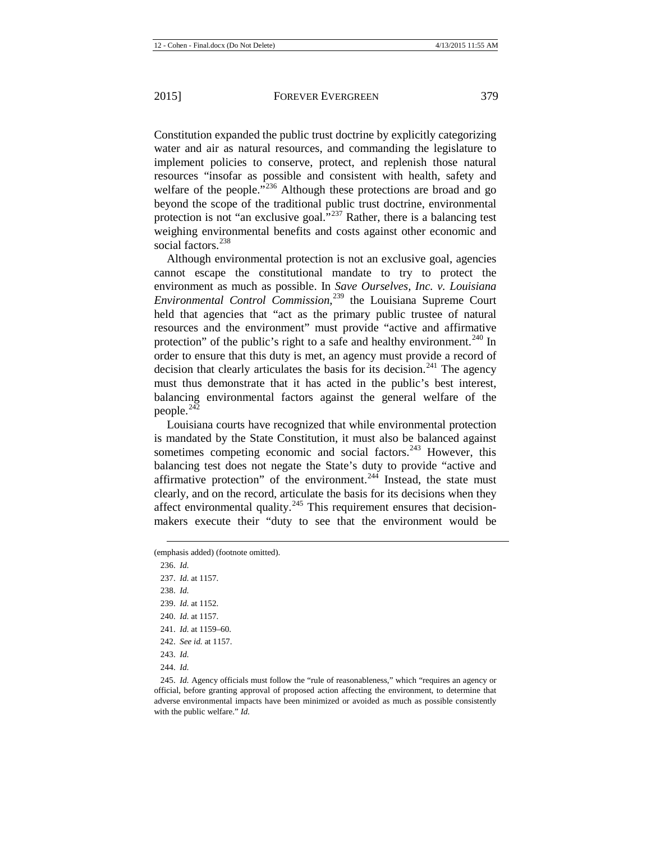Constitution expanded the public trust doctrine by explicitly categorizing water and air as natural resources, and commanding the legislature to implement policies to conserve, protect, and replenish those natural resources "insofar as possible and consistent with health, safety and welfare of the people. $\frac{1}{236}$  $\frac{1}{236}$  $\frac{1}{236}$  Although these protections are broad and go beyond the scope of the traditional public trust doctrine, environmental protection is not "an exclusive goal. $^{2237}$  $^{2237}$  $^{2237}$  Rather, there is a balancing test weighing environmental benefits and costs against other economic and social factors.<sup>[238](#page-31-2)</sup>

Although environmental protection is not an exclusive goal, agencies cannot escape the constitutional mandate to try to protect the environment as much as possible. In *Save Ourselves, Inc. v. Louisiana Environmental Control Commission*, [239](#page-31-3) the Louisiana Supreme Court held that agencies that "act as the primary public trustee of natural resources and the environment" must provide "active and affirmative protection" of the public's right to a safe and healthy environment.<sup>[240](#page-31-4)</sup> In order to ensure that this duty is met, an agency must provide a record of decision that clearly articulates the basis for its decision.<sup>[241](#page-31-5)</sup> The agency must thus demonstrate that it has acted in the public's best interest, balancing environmental factors against the general welfare of the people. $^{242}$  $^{242}$  $^{242}$ 

Louisiana courts have recognized that while environmental protection is mandated by the State Constitution, it must also be balanced against sometimes competing economic and social factors. $243$  However, this balancing test does not negate the State's duty to provide "active and affirmative protection" of the environment.<sup>[244](#page-31-8)</sup> Instead, the state must clearly, and on the record, articulate the basis for its decisions when they affect environmental quality. $245$  This requirement ensures that decisionmakers execute their "duty to see that the environment would be

 $\overline{a}$ 

<span id="page-31-9"></span><span id="page-31-8"></span><span id="page-31-7"></span><span id="page-31-6"></span><span id="page-31-5"></span>245. *Id.* Agency officials must follow the "rule of reasonableness," which "requires an agency or official, before granting approval of proposed action affecting the environment, to determine that adverse environmental impacts have been minimized or avoided as much as possible consistently with the public welfare." *Id.*

<span id="page-31-4"></span><span id="page-31-3"></span><span id="page-31-2"></span><span id="page-31-1"></span><span id="page-31-0"></span><sup>(</sup>emphasis added) (footnote omitted).

<sup>236.</sup> *Id.* 237. *Id.* at 1157. 238. *Id.* 239. *Id.* at 1152. 240. *Id.* at 1157. 241. *Id.* at 1159–60. 242. *See id.* at 1157. 243. *Id.* 244. *Id.*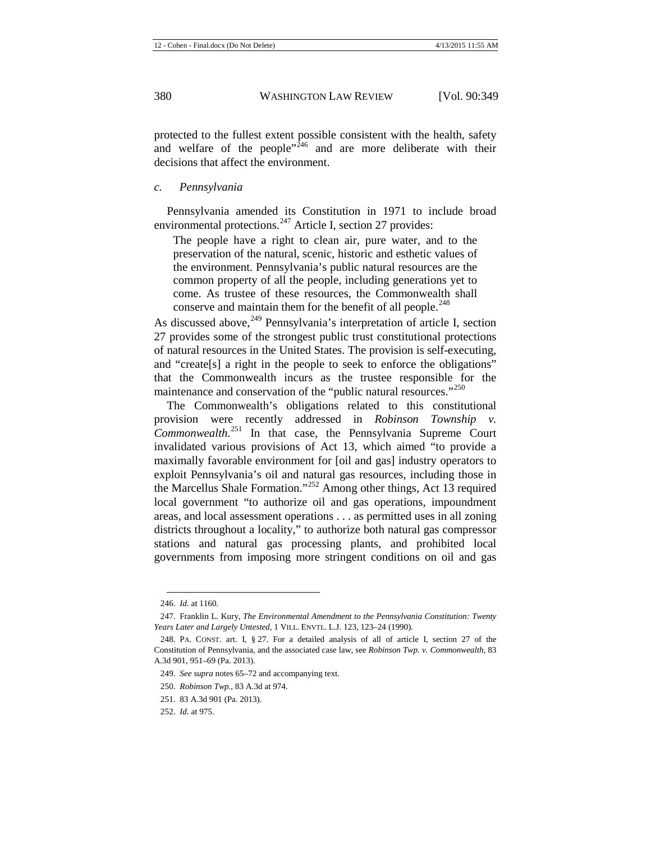protected to the fullest extent possible consistent with the health, safety and welfare of the people $n^{\overline{246}}$  $n^{\overline{246}}$  $n^{\overline{246}}$  and are more deliberate with their decisions that affect the environment.

#### *c. Pennsylvania*

Pennsylvania amended its Constitution in 1971 to include broad environmental protections.<sup>[247](#page-32-1)</sup> Article I, section 27 provides:

The people have a right to clean air, pure water, and to the preservation of the natural, scenic, historic and esthetic values of the environment. Pennsylvania's public natural resources are the common property of all the people, including generations yet to come. As trustee of these resources, the Commonwealth shall conserve and maintain them for the benefit of all people.<sup>[248](#page-32-2)</sup>

As discussed above,  $249$  Pennsylvania's interpretation of article I, section 27 provides some of the strongest public trust constitutional protections of natural resources in the United States. The provision is self-executing, and "create[s] a right in the people to seek to enforce the obligations" that the Commonwealth incurs as the trustee responsible for the maintenance and conservation of the "public natural resources."<sup>[250](#page-32-4)</sup>

The Commonwealth's obligations related to this constitutional provision were recently addressed in *Robinson Township v. Commonwealth*. [251](#page-32-5) In that case, the Pennsylvania Supreme Court invalidated various provisions of Act 13, which aimed "to provide a maximally favorable environment for [oil and gas] industry operators to exploit Pennsylvania's oil and natural gas resources, including those in the Marcellus Shale Formation."[252](#page-32-6) Among other things, Act 13 required local government "to authorize oil and gas operations, impoundment areas, and local assessment operations . . . as permitted uses in all zoning districts throughout a locality," to authorize both natural gas compressor stations and natural gas processing plants, and prohibited local governments from imposing more stringent conditions on oil and gas

<sup>246.</sup> *Id.* at 1160.

<span id="page-32-1"></span><span id="page-32-0"></span><sup>247.</sup> Franklin L. Kury, *The Environmental Amendment to the Pennsylvania Constitution: Twenty Years Later and Largely Untested*, 1 VILL. ENVTL. L.J. 123, 123–24 (1990).

<span id="page-32-3"></span><span id="page-32-2"></span><sup>248.</sup> PA. CONST. art. I, § 27. For a detailed analysis of all of article I, section 27 of the Constitution of Pennsylvania, and the associated case law, see *Robinson Twp. v. Commonwealth*, 83 A.3d 901, 951–69 (Pa. 2013).

<sup>249.</sup> *See supra* note[s 65](#page-8-9)[–72](#page-9-8) and accompanying text.

<span id="page-32-4"></span><sup>250.</sup> *Robinson Twp.*, 83 A.3d at 974.

<span id="page-32-5"></span><sup>251.</sup> 83 A.3d 901 (Pa. 2013).

<span id="page-32-6"></span><sup>252.</sup> *Id.* at 975.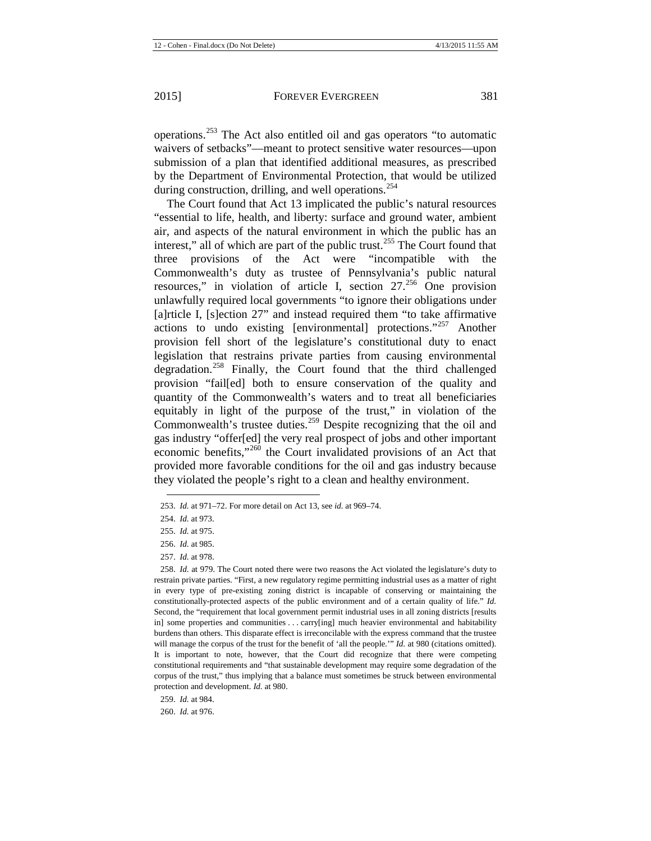operations.[253](#page-33-0) The Act also entitled oil and gas operators "to automatic waivers of setbacks"—meant to protect sensitive water resources—upon submission of a plan that identified additional measures, as prescribed by the Department of Environmental Protection, that would be utilized during construction, drilling, and well operations.<sup>[254](#page-33-1)</sup>

The Court found that Act 13 implicated the public's natural resources "essential to life, health, and liberty: surface and ground water, ambient air, and aspects of the natural environment in which the public has an interest," all of which are part of the public trust.<sup>[255](#page-33-2)</sup> The Court found that three provisions of the Act were "incompatible with the Commonwealth's duty as trustee of Pennsylvania's public natural resources," in violation of article I, section  $27.^{256}$  $27.^{256}$  $27.^{256}$  One provision unlawfully required local governments "to ignore their obligations under [a]rticle I, [s]ection 27" and instead required them "to take affirmative actions to undo existing [environmental] protections."[257](#page-33-4) Another provision fell short of the legislature's constitutional duty to enact legislation that restrains private parties from causing environmental degradation.[258](#page-33-5) Finally, the Court found that the third challenged provision "fail[ed] both to ensure conservation of the quality and quantity of the Commonwealth's waters and to treat all beneficiaries equitably in light of the purpose of the trust," in violation of the Commonwealth's trustee duties.<sup>[259](#page-33-6)</sup> Despite recognizing that the oil and gas industry "offer[ed] the very real prospect of jobs and other important economic benefits,"[260](#page-33-7) the Court invalidated provisions of an Act that provided more favorable conditions for the oil and gas industry because they violated the people's right to a clean and healthy environment.

**.** 

257. *Id.* at 978.

<span id="page-33-7"></span>260. *Id.* at 976.

<span id="page-33-0"></span><sup>253.</sup> *Id.* at 971–72. For more detail on Act 13, see *id.* at 969–74.

<span id="page-33-1"></span><sup>254.</sup> *Id.* at 973.

<sup>255.</sup> *Id.* at 975.

<sup>256.</sup> *Id.* at 985.

<span id="page-33-5"></span><span id="page-33-4"></span><span id="page-33-3"></span><span id="page-33-2"></span><sup>258.</sup> *Id.* at 979. The Court noted there were two reasons the Act violated the legislature's duty to restrain private parties. "First, a new regulatory regime permitting industrial uses as a matter of right in every type of pre-existing zoning district is incapable of conserving or maintaining the constitutionally-protected aspects of the public environment and of a certain quality of life." *Id.* Second, the "requirement that local government permit industrial uses in all zoning districts [results in] some properties and communities . . . carry[ing] much heavier environmental and habitability burdens than others. This disparate effect is irreconcilable with the express command that the trustee will manage the corpus of the trust for the benefit of 'all the people.'" *Id.* at 980 (citations omitted). It is important to note, however, that the Court did recognize that there were competing constitutional requirements and "that sustainable development may require some degradation of the corpus of the trust," thus implying that a balance must sometimes be struck between environmental protection and development. *Id.* at 980.

<span id="page-33-6"></span><sup>259.</sup> *Id.* at 984.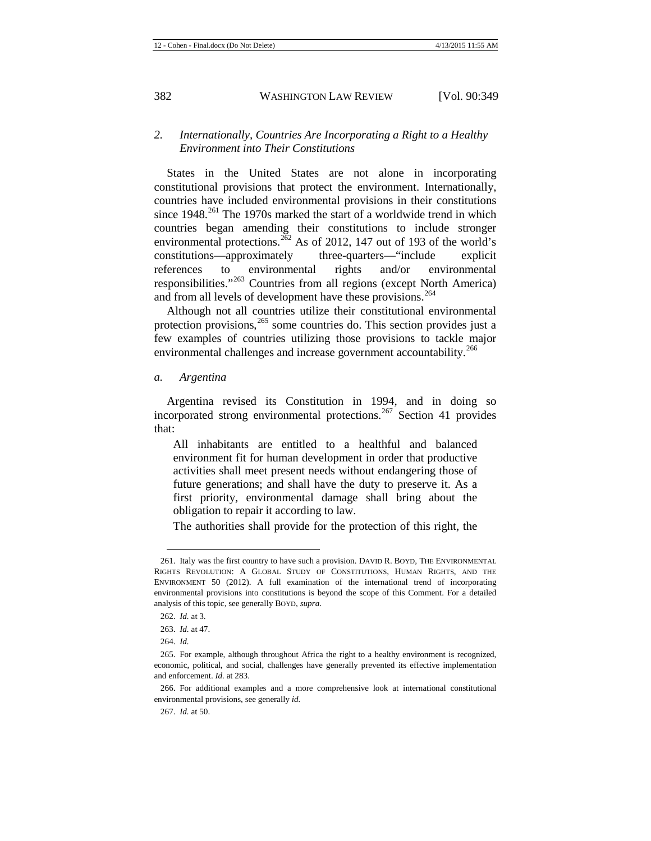## *2. Internationally, Countries Are Incorporating a Right to a Healthy Environment into Their Constitutions*

<span id="page-34-7"></span>States in the United States are not alone in incorporating constitutional provisions that protect the environment. Internationally, countries have included environmental provisions in their constitutions since  $1948$ <sup>[261](#page-34-0)</sup> The 1970s marked the start of a worldwide trend in which countries began amending their constitutions to include stronger environmental protections.<sup>[262](#page-34-1)</sup> As of 2012, 147 out of 193 of the world's constitutions—approximately three-quarters—"include explicit references to environmental rights and/or environmental responsibilities."[263](#page-34-2) Countries from all regions (except North America) and from all levels of development have these provisions.<sup>[264](#page-34-3)</sup>

Although not all countries utilize their constitutional environmental protection provisions,<sup>[265](#page-34-4)</sup> some countries do. This section provides just a few examples of countries utilizing those provisions to tackle major environmental challenges and increase government accountability.<sup>[266](#page-34-5)</sup>

*a. Argentina*

Argentina revised its Constitution in 1994, and in doing so incorporated strong environmental protections.<sup>[267](#page-34-6)</sup> Section 41 provides that:

All inhabitants are entitled to a healthful and balanced environment fit for human development in order that productive activities shall meet present needs without endangering those of future generations; and shall have the duty to preserve it. As a first priority, environmental damage shall bring about the obligation to repair it according to law.

The authorities shall provide for the protection of this right, the

<span id="page-34-0"></span><sup>261.</sup> Italy was the first country to have such a provision. DAVID R. BOYD, THE ENVIRONMENTAL RIGHTS REVOLUTION: A GLOBAL STUDY OF CONSTITUTIONS, HUMAN RIGHTS, AND THE ENVIRONMENT 50 (2012). A full examination of the international trend of incorporating environmental provisions into constitutions is beyond the scope of this Comment. For a detailed analysis of this topic, see generally BOYD, *supra*.

<sup>262.</sup> *Id.* at 3.

<sup>263.</sup> *Id.* at 47.

<sup>264.</sup> *Id.*

<span id="page-34-4"></span><span id="page-34-3"></span><span id="page-34-2"></span><span id="page-34-1"></span><sup>265.</sup> For example, although throughout Africa the right to a healthy environment is recognized, economic, political, and social, challenges have generally prevented its effective implementation and enforcement. *Id.* at 283.

<span id="page-34-6"></span><span id="page-34-5"></span><sup>266.</sup> For additional examples and a more comprehensive look at international constitutional environmental provisions, see generally *id.*

<sup>267.</sup> *Id.* at 50.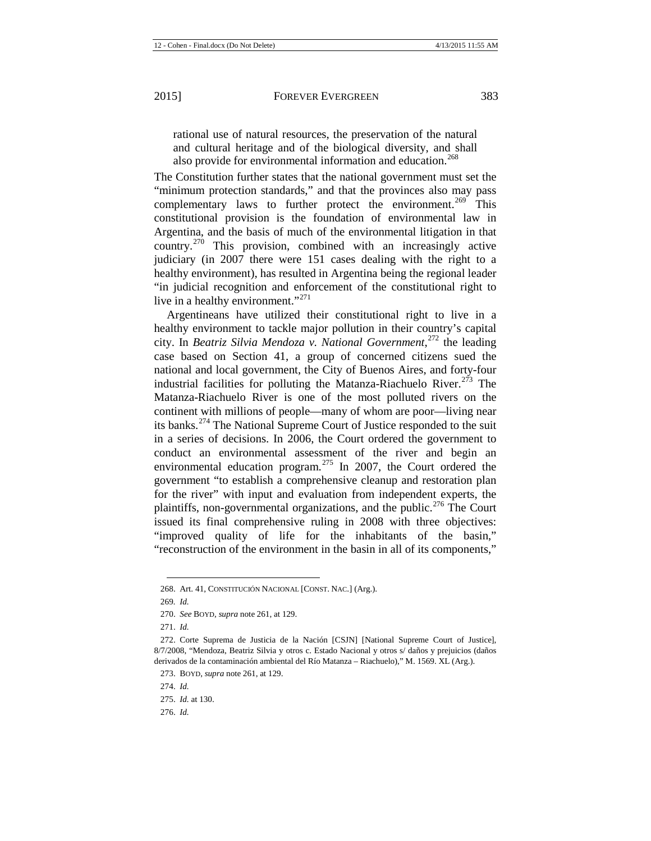rational use of natural resources, the preservation of the natural and cultural heritage and of the biological diversity, and shall also provide for environmental information and education.<sup>[268](#page-35-0)</sup>

The Constitution further states that the national government must set the "minimum protection standards," and that the provinces also may pass complementary laws to further protect the environment.<sup>[269](#page-35-1)</sup> This constitutional provision is the foundation of environmental law in Argentina, and the basis of much of the environmental litigation in that country.<sup>[270](#page-35-2)</sup> This provision, combined with an increasingly active judiciary (in 2007 there were 151 cases dealing with the right to a healthy environment), has resulted in Argentina being the regional leader "in judicial recognition and enforcement of the constitutional right to live in a healthy environment."<sup>[271](#page-35-3)</sup>

Argentineans have utilized their constitutional right to live in a healthy environment to tackle major pollution in their country's capital city. In *Beatriz Silvia Mendoza v. National Government*, [272](#page-35-4) the leading case based on Section 41, a group of concerned citizens sued the national and local government, the City of Buenos Aires, and forty-four industrial facilities for polluting the Matanza-Riachuelo River.<sup>[273](#page-35-5)</sup> The Matanza-Riachuelo River is one of the most polluted rivers on the continent with millions of people—many of whom are poor—living near its banks.[274](#page-35-6) The National Supreme Court of Justice responded to the suit in a series of decisions. In 2006, the Court ordered the government to conduct an environmental assessment of the river and begin an environmental education program.[275](#page-35-7) In 2007, the Court ordered the government "to establish a comprehensive cleanup and restoration plan for the river" with input and evaluation from independent experts, the plaintiffs, non-governmental organizations, and the public.<sup>[276](#page-35-8)</sup> The Court issued its final comprehensive ruling in 2008 with three objectives: "improved quality of life for the inhabitants of the basin," "reconstruction of the environment in the basin in all of its components,"

1

<span id="page-35-0"></span><sup>268.</sup> Art. 41, CONSTITUCIÓN NACIONAL [CONST. NAC.] (Arg.).

<span id="page-35-1"></span><sup>269</sup>*. Id.*

<sup>270.</sup> *See* BOYD, *supra* not[e 261,](#page-34-7) at 129.

<sup>271.</sup> *Id.*

<span id="page-35-5"></span><span id="page-35-4"></span><span id="page-35-3"></span><span id="page-35-2"></span><sup>272.</sup> Corte Suprema de Justicia de la Nación [CSJN] [National Supreme Court of Justice], 8/7/2008, "Mendoza, Beatriz Silvia y otros c. Estado Nacional y otros s/ daños y prejuicios (daños derivados de la contaminación ambiental del Río Matanza – Riachuelo)," M. 1569. XL (Arg.).

<span id="page-35-6"></span><sup>273.</sup> BOYD, *supra* not[e 261,](#page-34-7) at 129.

<sup>274.</sup> *Id.*

<span id="page-35-8"></span><span id="page-35-7"></span><sup>275.</sup> *Id.* at 130.

<sup>276.</sup> *Id.*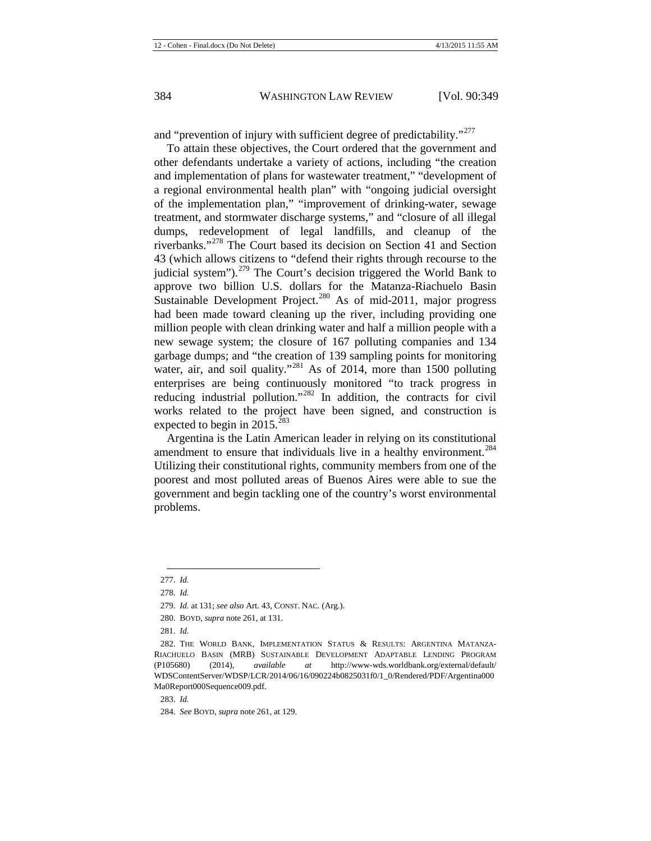and "prevention of injury with sufficient degree of predictability."<sup>[277](#page-36-0)</sup>

To attain these objectives, the Court ordered that the government and other defendants undertake a variety of actions, including "the creation and implementation of plans for wastewater treatment," "development of a regional environmental health plan" with "ongoing judicial oversight of the implementation plan," "improvement of drinking-water, sewage treatment, and stormwater discharge systems," and "closure of all illegal dumps, redevelopment of legal landfills, and cleanup of the riverbanks."[278](#page-36-1) The Court based its decision on Section 41 and Section 43 (which allows citizens to "defend their rights through recourse to the judicial system"). $^{279}$  $^{279}$  $^{279}$  The Court's decision triggered the World Bank to approve two billion U.S. dollars for the Matanza-Riachuelo Basin Sustainable Development Project.<sup>[280](#page-36-3)</sup> As of mid-2011, major progress had been made toward cleaning up the river, including providing one million people with clean drinking water and half a million people with a new sewage system; the closure of 167 polluting companies and 134 garbage dumps; and "the creation of 139 sampling points for monitoring water, air, and soil quality."<sup>[281](#page-36-4)</sup> As of 2014, more than 1500 polluting enterprises are being continuously monitored "to track progress in reducing industrial pollution."<sup>[282](#page-36-5)</sup> In addition, the contracts for civil works related to the project have been signed, and construction is expected to begin in 2015.<sup>[283](#page-36-6)</sup>

Argentina is the Latin American leader in relying on its constitutional amendment to ensure that individuals live in a healthy environment.<sup>[284](#page-36-7)</sup> Utilizing their constitutional rights, community members from one of the poorest and most polluted areas of Buenos Aires were able to sue the government and begin tackling one of the country's worst environmental problems.

<span id="page-36-0"></span><sup>277.</sup> *Id.*  $\overline{a}$ 

<span id="page-36-1"></span><sup>278.</sup> *Id.*

<sup>279.</sup> *Id.* at 131; *see also* Art. 43, CONST. NAC. (Arg.).

<sup>280.</sup> BOYD, *supra* not[e 261,](#page-34-7) at 131.

<sup>281.</sup> *Id.*

<span id="page-36-5"></span><span id="page-36-4"></span><span id="page-36-3"></span><span id="page-36-2"></span><sup>282.</sup> THE WORLD BANK, IMPLEMENTATION STATUS & RESULTS: ARGENTINA MATANZA-RIACHUELO BASIN (MRB) SUSTAINABLE DEVELOPMENT ADAPTABLE LENDING PROGRAM (P105680) (2014), *available at* http://www-wds.worldbank.org/external/default/ WDSContentServer/WDSP/LCR/2014/06/16/090224b0825031f0/1\_0/Rendered/PDF/Argentina000 Ma0Report000Sequence009.pdf.

<span id="page-36-6"></span><sup>283.</sup> *Id.*

<span id="page-36-7"></span><sup>284.</sup> *See* BOYD, *supra* not[e 261,](#page-34-7) at 129.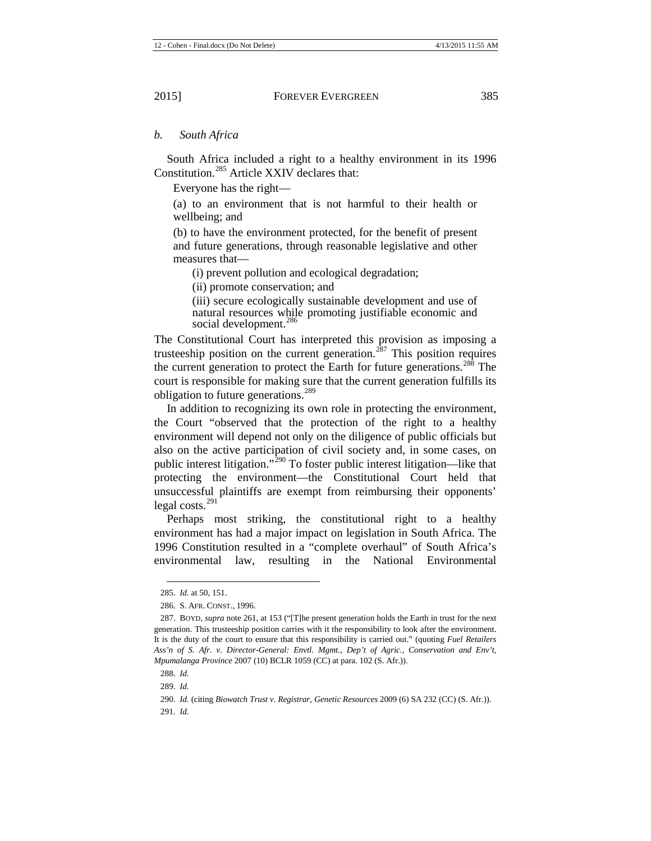#### *b. South Africa*

South Africa included a right to a healthy environment in its 1996 Constitution.<sup>[285](#page-37-0)</sup> Article XXIV declares that:

Everyone has the right—

(a) to an environment that is not harmful to their health or wellbeing; and

(b) to have the environment protected, for the benefit of present and future generations, through reasonable legislative and other measures that—

(i) prevent pollution and ecological degradation;

(ii) promote conservation; and

(iii) secure ecologically sustainable development and use of natural resources while promoting justifiable economic and social development.<sup>[286](#page-37-1)</sup>

The Constitutional Court has interpreted this provision as imposing a trusteeship position on the current generation.<sup>[287](#page-37-2)</sup> This position requires the current generation to protect the Earth for future generations.<sup>[288](#page-37-3)</sup> The court is responsible for making sure that the current generation fulfills its obligation to future generations.[289](#page-37-4)

In addition to recognizing its own role in protecting the environment, the Court "observed that the protection of the right to a healthy environment will depend not only on the diligence of public officials but also on the active participation of civil society and, in some cases, on public interest litigation."<sup>[290](#page-37-5)</sup> To foster public interest litigation—like that protecting the environment—the Constitutional Court held that unsuccessful plaintiffs are exempt from reimbursing their opponents' legal costs. $^{291}$  $^{291}$  $^{291}$ 

Perhaps most striking, the constitutional right to a healthy environment has had a major impact on legislation in South Africa. The 1996 Constitution resulted in a "complete overhaul" of South Africa's environmental law, resulting in the National Environmental

<sup>285.</sup> *Id.* at 50, 151.

<sup>286.</sup> S. AFR. CONST., 1996.

<span id="page-37-2"></span><span id="page-37-1"></span><span id="page-37-0"></span><sup>287.</sup> BOYD, *supra* not[e 261,](#page-34-7) at 153 ("[T]he present generation holds the Earth in trust for the next generation. This trusteeship position carries with it the responsibility to look after the environment. It is the duty of the court to ensure that this responsibility is carried out." (quoting *Fuel Retailers Ass'n of S. Afr. v. Director-General: Envtl. Mgmt., Dep't of Agric., Conservation and Env't, Mpumalanga Province* 2007 (10) BCLR 1059 (CC) at para. 102 (S. Afr.)).

<span id="page-37-3"></span><sup>288.</sup> *Id.*

<sup>289.</sup> *Id.*

<span id="page-37-6"></span><span id="page-37-5"></span><span id="page-37-4"></span><sup>290.</sup> *Id.* (citing *Biowatch Trust v. Registrar, Genetic Resources* 2009 (6) SA 232 (CC) (S. Afr.)).

<sup>291.</sup> *Id.*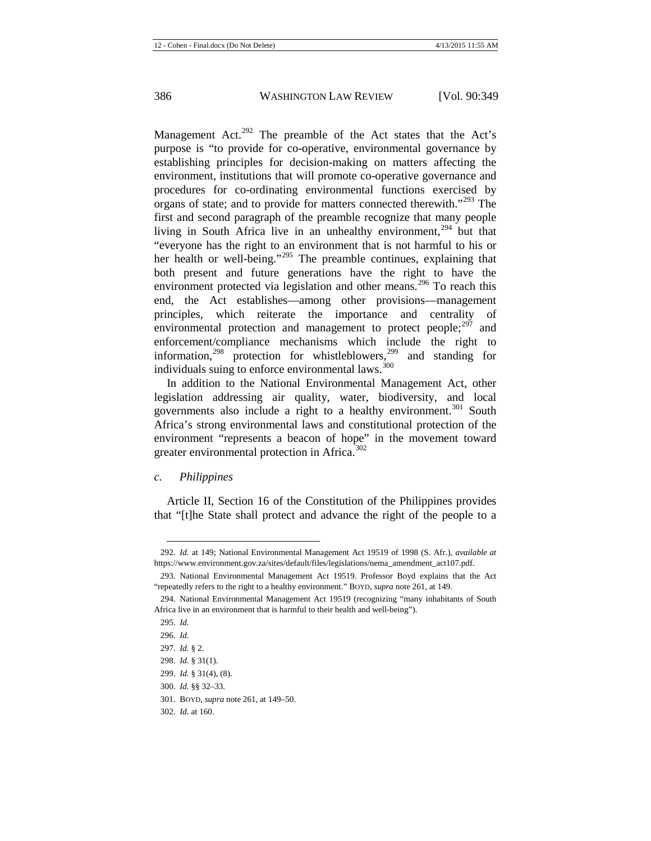Management Act.<sup>[292](#page-38-0)</sup> The preamble of the Act states that the Act's purpose is "to provide for co-operative, environmental governance by establishing principles for decision-making on matters affecting the environment, institutions that will promote co-operative governance and procedures for co-ordinating environmental functions exercised by organs of state; and to provide for matters connected therewith."<sup>[293](#page-38-1)</sup> The first and second paragraph of the preamble recognize that many people living in South Africa live in an unhealthy environment,<sup>[294](#page-38-2)</sup> but that "everyone has the right to an environment that is not harmful to his or her health or well-being."<sup>[295](#page-38-3)</sup> The preamble continues, explaining that both present and future generations have the right to have the environment protected via legislation and other means.<sup>[296](#page-38-4)</sup> To reach this end, the Act establishes—among other provisions—management principles, which reiterate the importance and centrality of environmental protection and management to protect people; $297$  and enforcement/compliance mechanisms which include the right to information,<sup>[298](#page-38-6)</sup> protection for whistleblowers,<sup>[299](#page-38-7)</sup> and standing for individuals suing to enforce environmental laws.<sup>[300](#page-38-8)</sup>

In addition to the National Environmental Management Act, other legislation addressing air quality, water, biodiversity, and local governments also include a right to a healthy environment.<sup>[301](#page-38-9)</sup> South Africa's strong environmental laws and constitutional protection of the environment "represents a beacon of hope" in the movement toward greater environmental protection in Africa.<sup>[302](#page-38-10)</sup>

#### *c. Philippines*

Article II, Section 16 of the Constitution of the Philippines provides that "[t]he State shall protect and advance the right of the people to a

<span id="page-38-0"></span><sup>292.</sup> *Id.* at 149; National Environmental Management Act 19519 of 1998 (S. Afr.), *available at* https://www.environment.gov.za/sites/default/files/legislations/nema\_amendment\_act107.pdf.

<span id="page-38-1"></span><sup>293.</sup> National Environmental Management Act 19519. Professor Boyd explains that the Act "repeatedly refers to the right to a healthy environment." BOYD, *supra* not[e 261,](#page-34-7) at 149.

<span id="page-38-4"></span><span id="page-38-3"></span><span id="page-38-2"></span><sup>294.</sup> National Environmental Management Act 19519 (recognizing "many inhabitants of South Africa live in an environment that is harmful to their health and well-being").

<sup>295.</sup> *Id.*

<sup>296.</sup> *Id.*

<span id="page-38-5"></span><sup>297.</sup> *Id.* § 2.

<span id="page-38-6"></span><sup>298.</sup> *Id.* § 31(1).

<span id="page-38-7"></span><sup>299.</sup> *Id.* § 31(4), (8).

<span id="page-38-8"></span><sup>300.</sup> *Id.* §§ 32–33.

<span id="page-38-9"></span><sup>301.</sup> BOYD, *supra* not[e 261,](#page-34-7) at 149–50.

<span id="page-38-10"></span><sup>302.</sup> *Id.* at 160.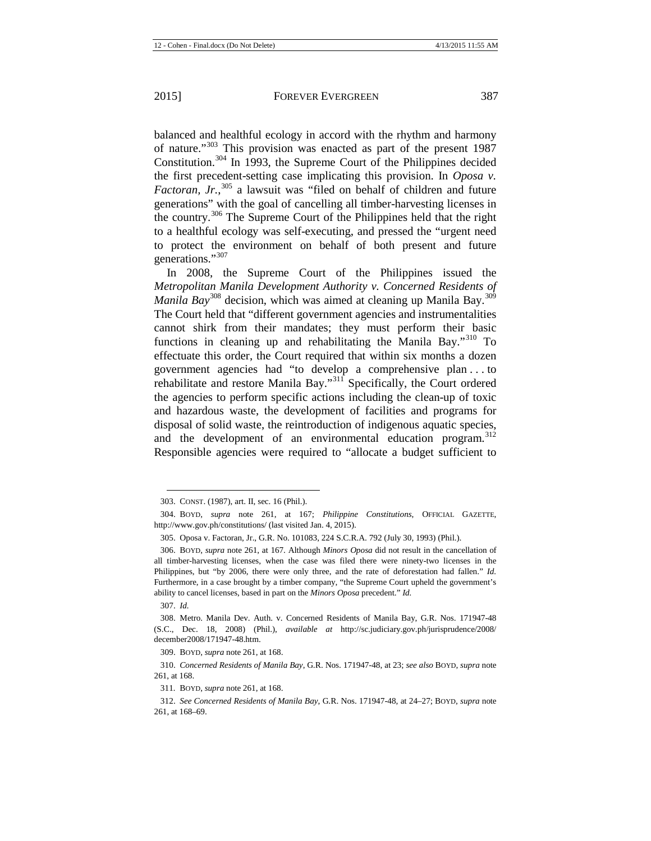balanced and healthful ecology in accord with the rhythm and harmony of nature."[303](#page-39-0) This provision was enacted as part of the present 1987 Constitution.[304](#page-39-1) In 1993, the Supreme Court of the Philippines decided the first precedent-setting case implicating this provision. In *Oposa v. Factoran, Jr.*, [305](#page-39-2) a lawsuit was "filed on behalf of children and future generations" with the goal of cancelling all timber-harvesting licenses in the country.[306](#page-39-3) The Supreme Court of the Philippines held that the right to a healthful ecology was self-executing, and pressed the "urgent need to protect the environment on behalf of both present and future

generations."<sup>[307](#page-39-4)</sup> In 2008, the Supreme Court of the Philippines issued the *Metropolitan Manila Development Authority v. Concerned Residents of Manila Bay*<sup>[308](#page-39-5)</sup> decision, which was aimed at cleaning up Manila Bay.<sup>[309](#page-39-6)</sup> The Court held that "different government agencies and instrumentalities cannot shirk from their mandates; they must perform their basic functions in cleaning up and rehabilitating the Manila Bay."<sup>[310](#page-39-7)</sup> To effectuate this order, the Court required that within six months a dozen government agencies had "to develop a comprehensive plan . . . to rehabilitate and restore Manila Bay."[311](#page-39-8) Specifically, the Court ordered the agencies to perform specific actions including the clean-up of toxic and hazardous waste, the development of facilities and programs for disposal of solid waste, the reintroduction of indigenous aquatic species, and the development of an environmental education program.<sup>[312](#page-39-9)</sup> Responsible agencies were required to "allocate a budget sufficient to

**.** 

309. BOYD, *supra* not[e 261,](#page-34-7) at 168.

<sup>303.</sup> CONST. (1987), art. II, sec. 16 (Phil.).

<span id="page-39-1"></span><span id="page-39-0"></span><sup>304.</sup> BOYD, *supra* note [261,](#page-34-7) at 167; *Philippine Constitutions*, OFFICIAL GAZETTE, http://www.gov.ph/constitutions/ (last visited Jan. 4, 2015).

<sup>305.</sup> Oposa v. Factoran, Jr., G.R. No. 101083, 224 S.C.R.A. 792 (July 30, 1993) (Phil.).

<span id="page-39-3"></span><span id="page-39-2"></span><sup>306.</sup> BOYD, *supra* note [261,](#page-34-7) at 167. Although *Minors Oposa* did not result in the cancellation of all timber-harvesting licenses, when the case was filed there were ninety-two licenses in the Philippines, but "by 2006, there were only three, and the rate of deforestation had fallen." *Id.* Furthermore, in a case brought by a timber company, "the Supreme Court upheld the government's ability to cancel licenses, based in part on the *Minors Oposa* precedent." *Id.*

<sup>307.</sup> *Id.*

<span id="page-39-5"></span><span id="page-39-4"></span><sup>308.</sup> Metro. Manila Dev. Auth. v. Concerned Residents of Manila Bay, G.R. Nos. 171947-48 (S.C., Dec. 18, 2008) (Phil.), *available at* http://sc.judiciary.gov.ph/jurisprudence/2008/ december2008/171947-48.htm.

<span id="page-39-8"></span><span id="page-39-7"></span><span id="page-39-6"></span><sup>310.</sup> *Concerned Residents of Manila Bay*, G.R. Nos. 171947-48, at 23; *see also* BOYD, *supra* note [261,](#page-34-7) at 168.

<sup>311</sup>*.* BOYD, *supra* not[e 261,](#page-34-7) at 168.

<span id="page-39-9"></span><sup>312.</sup> *See Concerned Residents of Manila Bay*, G.R. Nos. 171947-48, at 24–27; BOYD, *supra* note [261,](#page-34-7) at 168–69.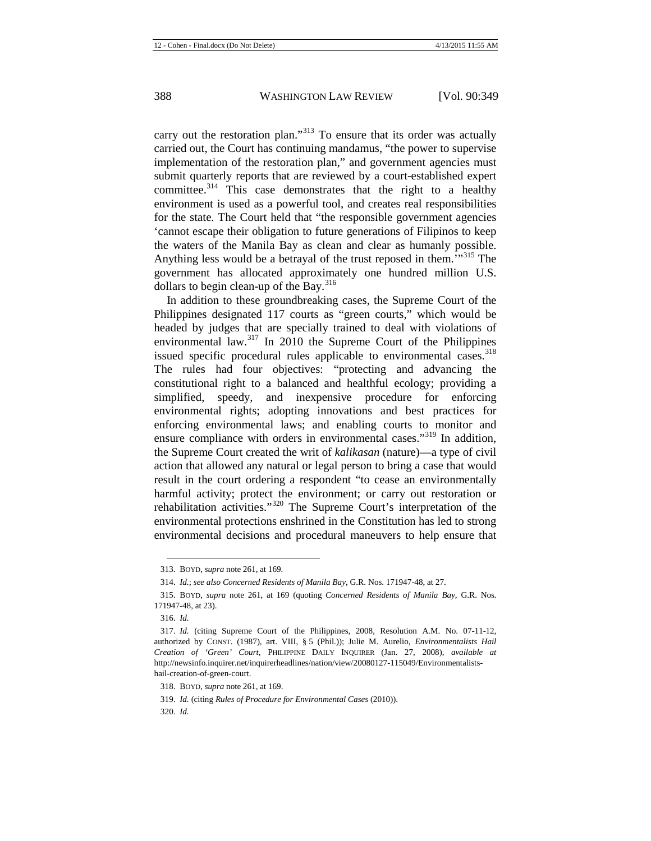carry out the restoration plan."<sup>[313](#page-40-0)</sup> To ensure that its order was actually carried out, the Court has continuing mandamus, "the power to supervise implementation of the restoration plan," and government agencies must submit quarterly reports that are reviewed by a court-established expert committee.<sup>[314](#page-40-1)</sup> This case demonstrates that the right to a healthy environment is used as a powerful tool, and creates real responsibilities for the state. The Court held that "the responsible government agencies 'cannot escape their obligation to future generations of Filipinos to keep the waters of the Manila Bay as clean and clear as humanly possible. Anything less would be a betrayal of the trust reposed in them.<sup>"[315](#page-40-2)</sup> The government has allocated approximately one hundred million U.S. dollars to begin clean-up of the Bay.<sup>[316](#page-40-3)</sup>

In addition to these groundbreaking cases, the Supreme Court of the Philippines designated 117 courts as "green courts," which would be headed by judges that are specially trained to deal with violations of environmental law.<sup>[317](#page-40-4)</sup> In 2010 the Supreme Court of the Philippines issued specific procedural rules applicable to environmental cases.<sup>[318](#page-40-5)</sup> The rules had four objectives: "protecting and advancing the constitutional right to a balanced and healthful ecology; providing a simplified, speedy, and inexpensive procedure for enforcing environmental rights; adopting innovations and best practices for enforcing environmental laws; and enabling courts to monitor and ensure compliance with orders in environmental cases."<sup>[319](#page-40-6)</sup> In addition. the Supreme Court created the writ of *kalikasan* (nature)—a type of civil action that allowed any natural or legal person to bring a case that would result in the court ordering a respondent "to cease an environmentally harmful activity; protect the environment; or carry out restoration or rehabilitation activities."[320](#page-40-7) The Supreme Court's interpretation of the environmental protections enshrined in the Constitution has led to strong environmental decisions and procedural maneuvers to help ensure that

<sup>313.</sup> BOYD, *supra* not[e 261,](#page-34-7) at 169*.*

<sup>314.</sup> *Id.*; *see also Concerned Residents of Manila Bay*, G.R. Nos. 171947-48, at 27.

<span id="page-40-2"></span><span id="page-40-1"></span><span id="page-40-0"></span><sup>315.</sup> BOYD, *supra* note [261,](#page-34-7) at 169 (quoting *Concerned Residents of Manila Bay*, G.R. Nos. 171947-48, at 23).

<sup>316.</sup> *Id.*

<span id="page-40-4"></span><span id="page-40-3"></span><sup>317.</sup> *Id.* (citing Supreme Court of the Philippines, 2008, Resolution A.M. No. 07-11-12, authorized by CONST. (1987), art. VIII, § 5 (Phil.)); Julie M. Aurelio, *Environmentalists Hail Creation of 'Green' Court*, PHILIPPINE DAILY INQUIRER (Jan. 27, 2008), *available at* http://newsinfo.inquirer.net/inquirerheadlines/nation/view/20080127-115049/Environmentalistshail-creation-of-green-court.

<span id="page-40-6"></span><span id="page-40-5"></span><sup>318.</sup> BOYD, *supra* not[e 261,](#page-34-7) at 169.

<sup>319.</sup> *Id.* (citing *Rules of Procedure for Environmental Cases* (2010)).

<span id="page-40-7"></span><sup>320.</sup> *Id.*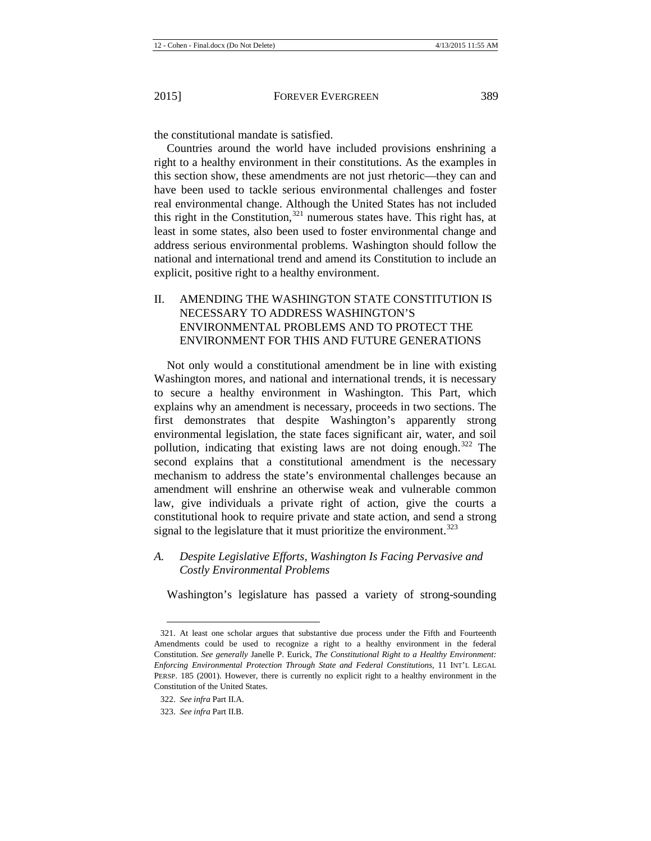the constitutional mandate is satisfied.

Countries around the world have included provisions enshrining a right to a healthy environment in their constitutions. As the examples in this section show, these amendments are not just rhetoric—they can and have been used to tackle serious environmental challenges and foster real environmental change. Although the United States has not included this right in the Constitution, $321$  numerous states have. This right has, at least in some states, also been used to foster environmental change and address serious environmental problems. Washington should follow the national and international trend and amend its Constitution to include an explicit, positive right to a healthy environment.

II. AMENDING THE WASHINGTON STATE CONSTITUTION IS NECESSARY TO ADDRESS WASHINGTON'S ENVIRONMENTAL PROBLEMS AND TO PROTECT THE ENVIRONMENT FOR THIS AND FUTURE GENERATIONS

Not only would a constitutional amendment be in line with existing Washington mores, and national and international trends, it is necessary to secure a healthy environment in Washington. This Part, which explains why an amendment is necessary, proceeds in two sections. The first demonstrates that despite Washington's apparently strong environmental legislation, the state faces significant air, water, and soil pollution, indicating that existing laws are not doing enough.<sup>[322](#page-41-1)</sup> The second explains that a constitutional amendment is the necessary mechanism to address the state's environmental challenges because an amendment will enshrine an otherwise weak and vulnerable common law, give individuals a private right of action, give the courts a constitutional hook to require private and state action, and send a strong signal to the legislature that it must prioritize the environment.<sup>[323](#page-41-2)</sup>

*A. Despite Legislative Efforts, Washington Is Facing Pervasive and Costly Environmental Problems*

Washington's legislature has passed a variety of strong-sounding

<span id="page-41-0"></span><sup>321.</sup> At least one scholar argues that substantive due process under the Fifth and Fourteenth Amendments could be used to recognize a right to a healthy environment in the federal Constitution. *See generally* Janelle P. Eurick, *The Constitutional Right to a Healthy Environment: Enforcing Environmental Protection Through State and Federal Constitutions*, 11 INT'L LEGAL PERSP. 185 (2001). However, there is currently no explicit right to a healthy environment in the Constitution of the United States.

<span id="page-41-1"></span><sup>322.</sup> *See infra* Part II.A.

<span id="page-41-2"></span><sup>323.</sup> *See infra* Part II.B.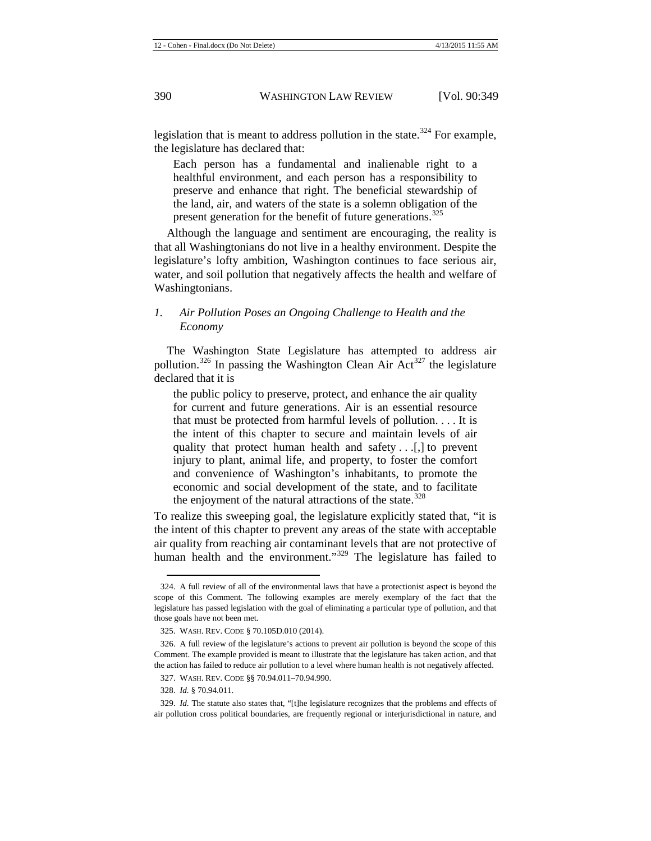legislation that is meant to address pollution in the state.<sup>[324](#page-42-0)</sup> For example, the legislature has declared that:

Each person has a fundamental and inalienable right to a healthful environment, and each person has a responsibility to preserve and enhance that right. The beneficial stewardship of the land, air, and waters of the state is a solemn obligation of the present generation for the benefit of future generations.<sup>[325](#page-42-1)</sup>

Although the language and sentiment are encouraging, the reality is that all Washingtonians do not live in a healthy environment. Despite the legislature's lofty ambition, Washington continues to face serious air, water, and soil pollution that negatively affects the health and welfare of Washingtonians.

## *1. Air Pollution Poses an Ongoing Challenge to Health and the Economy*

The Washington State Legislature has attempted to address air pollution.<sup>[326](#page-42-2)</sup> In passing the Washington Clean Air  $Act^{327}$  $Act^{327}$  $Act^{327}$  the legislature declared that it is

the public policy to preserve, protect, and enhance the air quality for current and future generations. Air is an essential resource that must be protected from harmful levels of pollution. . . . It is the intent of this chapter to secure and maintain levels of air quality that protect human health and safety . . .[,] to prevent injury to plant, animal life, and property, to foster the comfort and convenience of Washington's inhabitants, to promote the economic and social development of the state, and to facilitate the enjoyment of the natural attractions of the state. $328$ 

To realize this sweeping goal, the legislature explicitly stated that, "it is the intent of this chapter to prevent any areas of the state with acceptable air quality from reaching air contaminant levels that are not protective of human health and the environment."<sup>[329](#page-42-5)</sup> The legislature has failed to

<span id="page-42-0"></span><sup>324.</sup> A full review of all of the environmental laws that have a protectionist aspect is beyond the scope of this Comment. The following examples are merely exemplary of the fact that the legislature has passed legislation with the goal of eliminating a particular type of pollution, and that those goals have not been met.

<sup>325.</sup> WASH. REV. CODE § 70.105D.010 (2014).

<span id="page-42-2"></span><span id="page-42-1"></span><sup>326.</sup> A full review of the legislature's actions to prevent air pollution is beyond the scope of this Comment. The example provided is meant to illustrate that the legislature has taken action, and that the action has failed to reduce air pollution to a level where human health is not negatively affected.

<sup>327.</sup> WASH. REV. CODE §§ 70.94.011–70.94.990.

<sup>328.</sup> *Id.* § 70.94.011.

<span id="page-42-5"></span><span id="page-42-4"></span><span id="page-42-3"></span><sup>329.</sup> *Id.* The statute also states that, "[t]he legislature recognizes that the problems and effects of air pollution cross political boundaries, are frequently regional or interjurisdictional in nature, and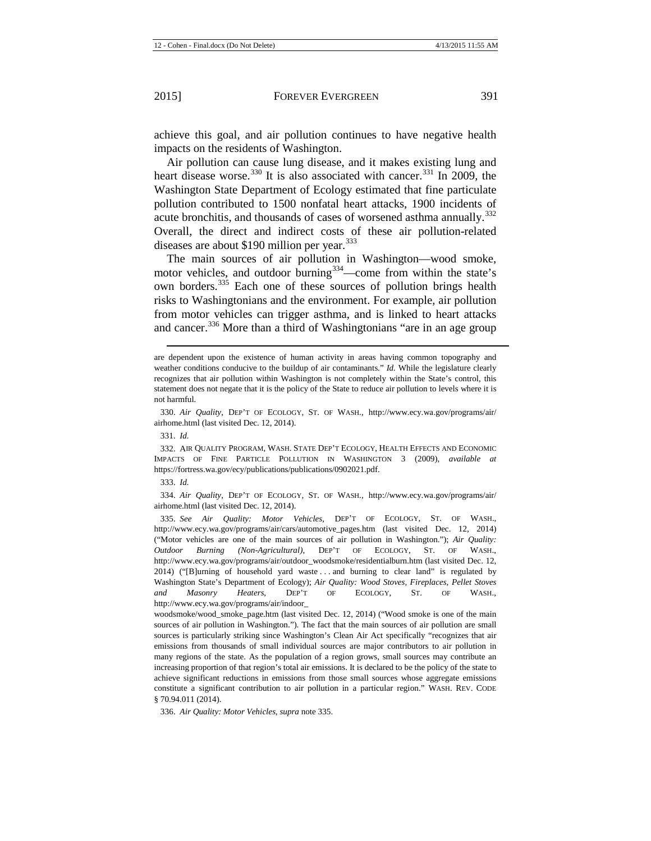achieve this goal, and air pollution continues to have negative health impacts on the residents of Washington.

Air pollution can cause lung disease, and it makes existing lung and heart disease worse.<sup>[330](#page-43-1)</sup> It is also associated with cancer.<sup>[331](#page-43-2)</sup> In 2009, the Washington State Department of Ecology estimated that fine particulate pollution contributed to 1500 nonfatal heart attacks, 1900 incidents of acute bronchitis, and thousands of cases of worsened asthma annually.<sup>[332](#page-43-3)</sup> Overall, the direct and indirect costs of these air pollution-related diseases are about \$190 million per year. $333$ 

<span id="page-43-0"></span>The main sources of air pollution in Washington—wood smoke, motor vehicles, and outdoor burning  $334$  —come from within the state's own borders.[335](#page-43-6) Each one of these sources of pollution brings health risks to Washingtonians and the environment. For example, air pollution from motor vehicles can trigger asthma, and is linked to heart attacks and cancer.<sup>[336](#page-43-7)</sup> More than a third of Washingtonians "are in an age group

 $\overline{a}$ 

<span id="page-43-3"></span><span id="page-43-2"></span>332. AIR QUALITY PROGRAM, WASH. STATE DEP'T ECOLOGY, HEALTH EFFECTS AND ECONOMIC IMPACTS OF FINE PARTICLE POLLUTION IN WASHINGTON 3 (2009), *available at* https://fortress.wa.gov/ecy/publications/publications/0902021.pdf.

<span id="page-43-5"></span><span id="page-43-4"></span>334. *Air Quality*, DEP'T OF ECOLOGY, ST. OF WASH., http://www.ecy.wa.gov/programs/air/ airhome.html (last visited Dec. 12, 2014).

<span id="page-43-6"></span>335. *See Air Quality: Motor Vehicles*, DEP'T OF ECOLOGY, ST. OF WASH., http://www.ecy.wa.gov/programs/air/cars/automotive\_pages.htm (last visited Dec. 12, 2014) ("Motor vehicles are one of the main sources of air pollution in Washington."); *Air Quality: Outdoor Burning (Non-Agricultural)*, DEP'T OF ECOLOGY, ST. OF WASH., http://www.ecy.wa.gov/programs/air/outdoor\_woodsmoke/residentialburn.htm (last visited Dec. 12, 2014) ("[B]urning of household yard waste . . . and burning to clear land" is regulated by Washington State's Department of Ecology); *Air Quality: Wood Stoves, Fireplaces, Pellet Stoves and Masonry Heaters*, DEP'T OF ECOLOGY, ST. OF WASH., http://www.ecy.wa.gov/programs/air/indoor\_

woodsmoke/wood\_smoke\_page.htm (last visited Dec. 12, 2014) ("Wood smoke is one of the main sources of air pollution in Washington."). The fact that the main sources of air pollution are small sources is particularly striking since Washington's Clean Air Act specifically "recognizes that air emissions from thousands of small individual sources are major contributors to air pollution in many regions of the state. As the population of a region grows, small sources may contribute an increasing proportion of that region's total air emissions. It is declared to be the policy of the state to achieve significant reductions in emissions from those small sources whose aggregate emissions constitute a significant contribution to air pollution in a particular region." WASH. REV. CODE § 70.94.011 (2014).

<span id="page-43-7"></span>336. *Air Quality: Motor Vehicles*, *supra* not[e 335.](#page-43-0)

are dependent upon the existence of human activity in areas having common topography and weather conditions conducive to the buildup of air contaminants." *Id.* While the legislature clearly recognizes that air pollution within Washington is not completely within the State's control, this statement does not negate that it is the policy of the State to reduce air pollution to levels where it is not harmful.

<span id="page-43-1"></span><sup>330.</sup> *Air Quality*, DEP'T OF ECOLOGY, ST. OF WASH., http://www.ecy.wa.gov/programs/air/ airhome.html (last visited Dec. 12, 2014).

<sup>331.</sup> *Id.*

<sup>333.</sup> *Id.*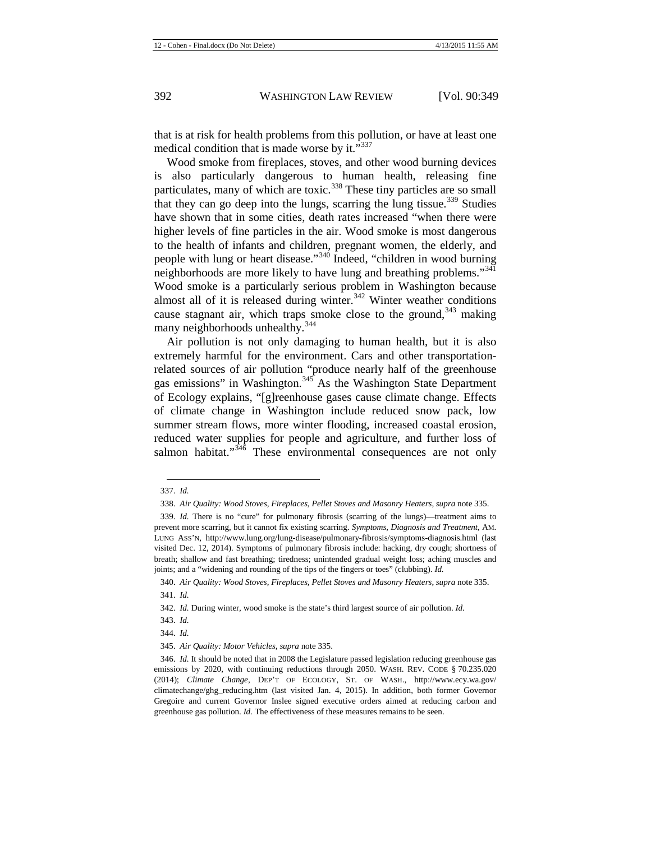that is at risk for health problems from this pollution, or have at least one medical condition that is made worse by it."<sup>[337](#page-44-0)</sup>

Wood smoke from fireplaces, stoves, and other wood burning devices is also particularly dangerous to human health, releasing fine particulates, many of which are toxic.<sup>[338](#page-44-1)</sup> These tiny particles are so small that they can go deep into the lungs, scarring the lung tissue.<sup>[339](#page-44-2)</sup> Studies have shown that in some cities, death rates increased "when there were higher levels of fine particles in the air. Wood smoke is most dangerous to the health of infants and children, pregnant women, the elderly, and people with lung or heart disease."[340](#page-44-3) Indeed, "children in wood burning neighborhoods are more likely to have lung and breathing problems."<sup>[341](#page-44-4)</sup> Wood smoke is a particularly serious problem in Washington because almost all of it is released during winter. $342$  Winter weather conditions cause stagnant air, which traps smoke close to the ground,  $343$  making many neighborhoods unhealthy.<sup>[344](#page-44-7)</sup>

Air pollution is not only damaging to human health, but it is also extremely harmful for the environment. Cars and other transportationrelated sources of air pollution "produce nearly half of the greenhouse gas emissions" in Washington.[345](#page-44-8) As the Washington State Department of Ecology explains, "[g]reenhouse gases cause climate change. Effects of climate change in Washington include reduced snow pack, low summer stream flows, more winter flooding, increased coastal erosion, reduced water supplies for people and agriculture, and further loss of salmon habitat." $346$  These environmental consequences are not only

<sup>337.</sup> *Id.*  $\overline{a}$ 

<sup>338.</sup> *Air Quality: Wood Stoves, Fireplaces, Pellet Stoves and Masonry Heaters*, *supra* not[e 335.](#page-43-0)

<span id="page-44-2"></span><span id="page-44-1"></span><span id="page-44-0"></span><sup>339.</sup> *Id.* There is no "cure" for pulmonary fibrosis (scarring of the lungs)—treatment aims to prevent more scarring, but it cannot fix existing scarring. *Symptoms, Diagnosis and Treatment*, AM. LUNG ASS'N, http://www.lung.org/lung-disease/pulmonary-fibrosis/symptoms-diagnosis.html (last visited Dec. 12, 2014). Symptoms of pulmonary fibrosis include: hacking, dry cough; shortness of breath; shallow and fast breathing; tiredness; unintended gradual weight loss; aching muscles and joints; and a "widening and rounding of the tips of the fingers or toes" (clubbing). *Id.*

<sup>340.</sup> *Air Quality: Wood Stoves, Fireplaces, Pellet Stoves and Masonry Heaters*, *supra* not[e 335.](#page-43-0)

<span id="page-44-4"></span><span id="page-44-3"></span><sup>341.</sup> *Id.*

<span id="page-44-5"></span><sup>342.</sup> *Id.* During winter, wood smoke is the state's third largest source of air pollution. *Id.*

<span id="page-44-6"></span><sup>343.</sup> *Id.* 

<sup>344.</sup> *Id.* 

<sup>345.</sup> *Air Quality: Motor Vehicles*, *supra* not[e 335.](#page-43-0)

<span id="page-44-9"></span><span id="page-44-8"></span><span id="page-44-7"></span><sup>346.</sup> *Id.* It should be noted that in 2008 the Legislature passed legislation reducing greenhouse gas emissions by 2020, with continuing reductions through 2050. WASH. REV. CODE § 70.235.020 (2014); *Climate Change*, DEP'T OF ECOLOGY, ST. OF WASH., http://www.ecy.wa.gov/ climatechange/ghg\_reducing.htm (last visited Jan. 4, 2015). In addition, both former Governor Gregoire and current Governor Inslee signed executive orders aimed at reducing carbon and greenhouse gas pollution. *Id.* The effectiveness of these measures remains to be seen.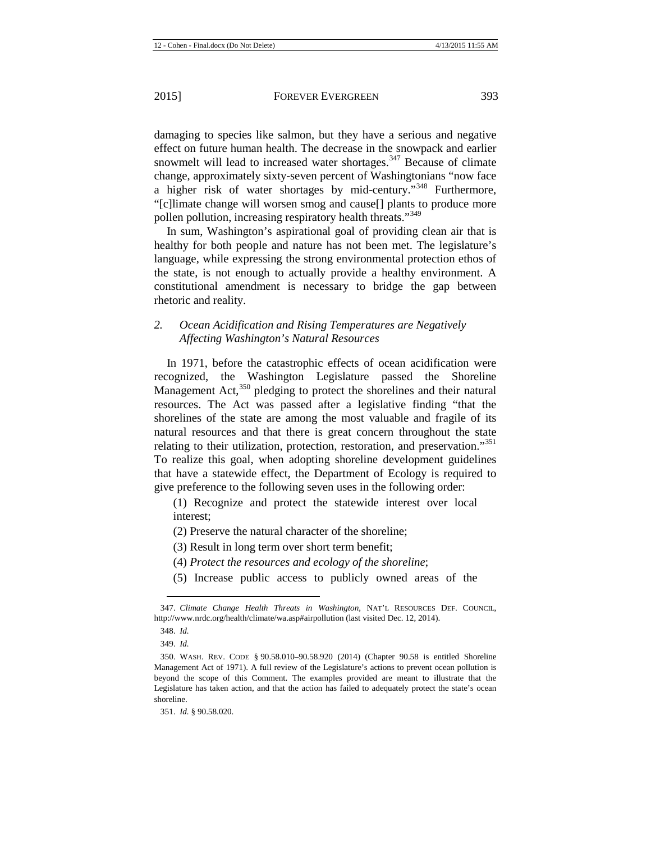damaging to species like salmon, but they have a serious and negative effect on future human health. The decrease in the snowpack and earlier snowmelt will lead to increased water shortages. $347$  Because of climate change, approximately sixty-seven percent of Washingtonians "now face a higher risk of water shortages by mid-century."[348](#page-45-1) Furthermore, "[c]limate change will worsen smog and cause[] plants to produce more pollen pollution, increasing respiratory health threats."<sup>[349](#page-45-2)</sup>

In sum, Washington's aspirational goal of providing clean air that is healthy for both people and nature has not been met. The legislature's language, while expressing the strong environmental protection ethos of the state, is not enough to actually provide a healthy environment. A constitutional amendment is necessary to bridge the gap between rhetoric and reality.

## *2. Ocean Acidification and Rising Temperatures are Negatively Affecting Washington's Natural Resources*

In 1971, before the catastrophic effects of ocean acidification were recognized, the Washington Legislature passed the Shoreline Management Act, $350$  pledging to protect the shorelines and their natural resources. The Act was passed after a legislative finding "that the shorelines of the state are among the most valuable and fragile of its natural resources and that there is great concern throughout the state relating to their utilization, protection, restoration, and preservation."<sup>[351](#page-45-4)</sup> To realize this goal, when adopting shoreline development guidelines that have a statewide effect, the Department of Ecology is required to give preference to the following seven uses in the following order:

(1) Recognize and protect the statewide interest over local interest;

(2) Preserve the natural character of the shoreline;

(3) Result in long term over short term benefit;

- (4) *Protect the resources and ecology of the shoreline*;
- (5) Increase public access to publicly owned areas of the

<span id="page-45-1"></span><span id="page-45-0"></span><sup>347.</sup> *Climate Change Health Threats in Washington*, NAT'L RESOURCES DEF. COUNCIL, http://www.nrdc.org/health/climate/wa.asp#airpollution (last visited Dec. 12, 2014).

<sup>348.</sup> *Id.*

<sup>349.</sup> *Id.*

<span id="page-45-3"></span><span id="page-45-2"></span><sup>350.</sup> WASH. REV. CODE § 90.58.010–90.58.920 (2014) (Chapter 90.58 is entitled Shoreline Management Act of 1971). A full review of the Legislature's actions to prevent ocean pollution is beyond the scope of this Comment. The examples provided are meant to illustrate that the Legislature has taken action, and that the action has failed to adequately protect the state's ocean shoreline.

<span id="page-45-4"></span><sup>351.</sup> *Id.* § 90.58.020.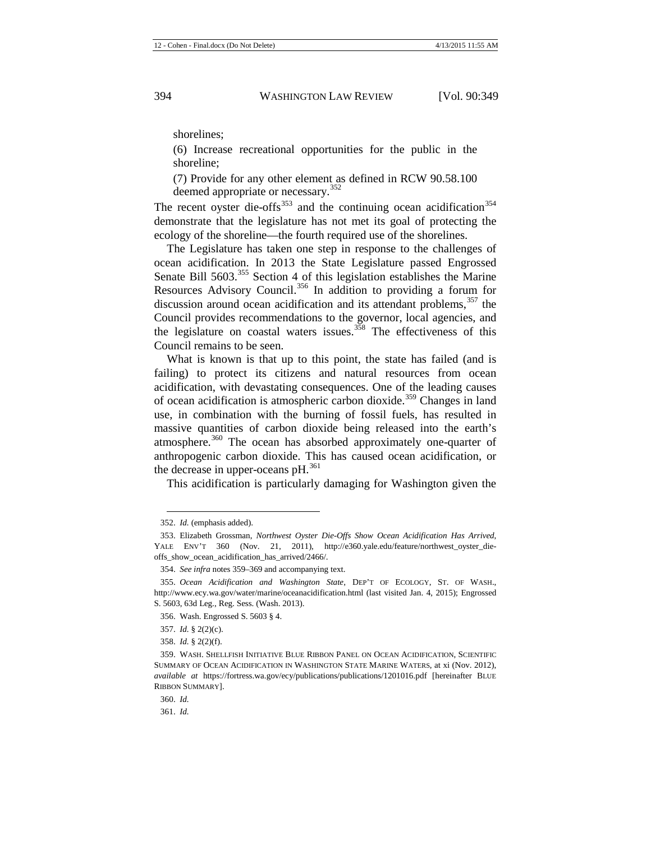shorelines;

(6) Increase recreational opportunities for the public in the shoreline;

<span id="page-46-11"></span>(7) Provide for any other element as defined in RCW 90.58.100 deemed appropriate or necessary.<sup>[352](#page-46-1)</sup>

The recent oyster die-offs<sup>[353](#page-46-2)</sup> and the continuing ocean acidification<sup>[354](#page-46-3)</sup> demonstrate that the legislature has not met its goal of protecting the ecology of the shoreline—the fourth required use of the shorelines.

The Legislature has taken one step in response to the challenges of ocean acidification. In 2013 the State Legislature passed Engrossed Senate Bill 5603.<sup>[355](#page-46-4)</sup> Section 4 of this legislation establishes the Marine Resources Advisory Council.<sup>[356](#page-46-5)</sup> In addition to providing a forum for discussion around ocean acidification and its attendant problems,  $357$  the Council provides recommendations to the governor, local agencies, and the legislature on coastal waters issues.<sup>[358](#page-46-7)</sup> The effectiveness of this Council remains to be seen.

What is known is that up to this point, the state has failed (and is failing) to protect its citizens and natural resources from ocean acidification, with devastating consequences. One of the leading causes of ocean acidification is atmospheric carbon dioxide.<sup>[359](#page-46-8)</sup> Changes in land use, in combination with the burning of fossil fuels, has resulted in massive quantities of carbon dioxide being released into the earth's atmosphere.<sup>[360](#page-46-9)</sup> The ocean has absorbed approximately one-quarter of anthropogenic carbon dioxide. This has caused ocean acidification, or the decrease in upper-oceans  $pH.<sup>361</sup>$  $pH.<sup>361</sup>$  $pH.<sup>361</sup>$ 

<span id="page-46-0"></span>This acidification is particularly damaging for Washington given the

 $\overline{a}$ 

<span id="page-46-10"></span>361. *Id.* 

<sup>352.</sup> *Id.* (emphasis added).

<span id="page-46-2"></span><span id="page-46-1"></span><sup>353.</sup> Elizabeth Grossman, *Northwest Oyster Die-Offs Show Ocean Acidification Has Arrived*, YALE ENV'T 360 (Nov. 21, 2011), http://e360.yale.edu/feature/northwest oyster dieoffs\_show\_ocean\_acidification\_has\_arrived/2466/.

<sup>354.</sup> *See infra* note[s 359](#page-46-0)[–369](#page-47-0) and accompanying text.

<span id="page-46-5"></span><span id="page-46-4"></span><span id="page-46-3"></span><sup>355.</sup> *Ocean Acidification and Washington State*, DEP'T OF ECOLOGY, ST. OF WASH., http://www.ecy.wa.gov/water/marine/oceanacidification.html (last visited Jan. 4, 2015); Engrossed S. 5603, 63d Leg., Reg. Sess. (Wash. 2013).

<sup>356.</sup> Wash. Engrossed S. 5603 § 4.

<sup>357.</sup> *Id.* § 2(2)(c).

<sup>358.</sup> *Id.* § 2(2)(f).

<span id="page-46-8"></span><span id="page-46-7"></span><span id="page-46-6"></span><sup>359.</sup> WASH. SHELLFISH INITIATIVE BLUE RIBBON PANEL ON OCEAN ACIDIFICATION, SCIENTIFIC SUMMARY OF OCEAN ACIDIFICATION IN WASHINGTON STATE MARINE WATERS, at xi (Nov. 2012), *available at* https://fortress.wa.gov/ecy/publications/publications/1201016.pdf [hereinafter BLUE RIBBON SUMMARY].

<span id="page-46-9"></span><sup>360.</sup> *Id.*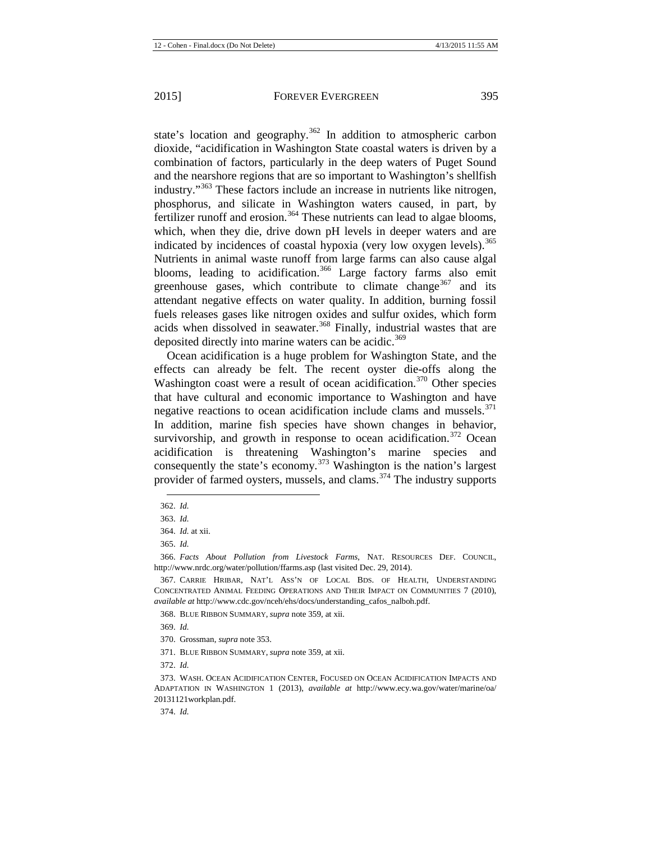state's location and geography.<sup>[362](#page-47-1)</sup> In addition to atmospheric carbon dioxide, "acidification in Washington State coastal waters is driven by a combination of factors, particularly in the deep waters of Puget Sound and the nearshore regions that are so important to Washington's shellfish industry."<sup>[363](#page-47-2)</sup> These factors include an increase in nutrients like nitrogen, phosphorus, and silicate in Washington waters caused, in part, by fertilizer runoff and erosion.<sup>[364](#page-47-3)</sup> These nutrients can lead to algae blooms, which, when they die, drive down pH levels in deeper waters and are indicated by incidences of coastal hypoxia (very low oxygen levels).<sup>[365](#page-47-4)</sup> Nutrients in animal waste runoff from large farms can also cause algal blooms, leading to acidification.<sup>[366](#page-47-5)</sup> Large factory farms also emit greenhouse gases, which contribute to climate change<sup>[367](#page-47-6)</sup> and its attendant negative effects on water quality. In addition, burning fossil fuels releases gases like nitrogen oxides and sulfur oxides, which form acids when dissolved in seawater.<sup>[368](#page-47-7)</sup> Finally, industrial wastes that are deposited directly into marine waters can be acidic.<sup>[369](#page-47-8)</sup>

<span id="page-47-0"></span>Ocean acidification is a huge problem for Washington State, and the effects can already be felt. The recent oyster die-offs along the Washington coast were a result of ocean acidification.<sup>[370](#page-47-9)</sup> Other species that have cultural and economic importance to Washington and have negative reactions to ocean acidification include clams and mussels.<sup>[371](#page-47-10)</sup> In addition, marine fish species have shown changes in behavior, survivorship, and growth in response to ocean acidification.<sup>[372](#page-47-11)</sup> Ocean acidification is threatening Washington's marine species and consequently the state's economy.<sup>[373](#page-47-12)</sup> Washington is the nation's largest provider of farmed oysters, mussels, and clams.<sup>[374](#page-47-13)</sup> The industry supports

368. BLUE RIBBON SUMMARY, *supra* not[e 359,](#page-46-0) at xii.

371. BLUE RIBBON SUMMARY, *supra* not[e 359,](#page-46-0) at xii.

374. *Id.*

<span id="page-47-1"></span><sup>362.</sup> *Id.*  **.** 

<sup>363.</sup> *Id.* 

<sup>364.</sup> *Id.* at xii.

<sup>365.</sup> *Id.*

<span id="page-47-5"></span><span id="page-47-4"></span><span id="page-47-3"></span><span id="page-47-2"></span><sup>366.</sup> *Facts About Pollution from Livestock Farms*, NAT. RESOURCES DEF. COUNCIL, http://www.nrdc.org/water/pollution/ffarms.asp (last visited Dec. 29, 2014).

<span id="page-47-7"></span><span id="page-47-6"></span><sup>367.</sup> CARRIE HRIBAR, NAT'L ASS'N OF LOCAL BDS. OF HEALTH, UNDERSTANDING CONCENTRATED ANIMAL FEEDING OPERATIONS AND THEIR IMPACT ON COMMUNITIES 7 (2010), *available at* http://www.cdc.gov/nceh/ehs/docs/understanding\_cafos\_nalboh.pdf.

<span id="page-47-8"></span><sup>369.</sup> *Id.*

<sup>370.</sup> Grossman, *supra* not[e 353.](#page-46-11)

<sup>372.</sup> *Id.*

<span id="page-47-13"></span><span id="page-47-12"></span><span id="page-47-11"></span><span id="page-47-10"></span><span id="page-47-9"></span><sup>373.</sup> WASH. OCEAN ACIDIFICATION CENTER, FOCUSED ON OCEAN ACIDIFICATION IMPACTS AND ADAPTATION IN WASHINGTON 1 (2013), *available at* http://www.ecy.wa.gov/water/marine/oa/ 20131121workplan.pdf.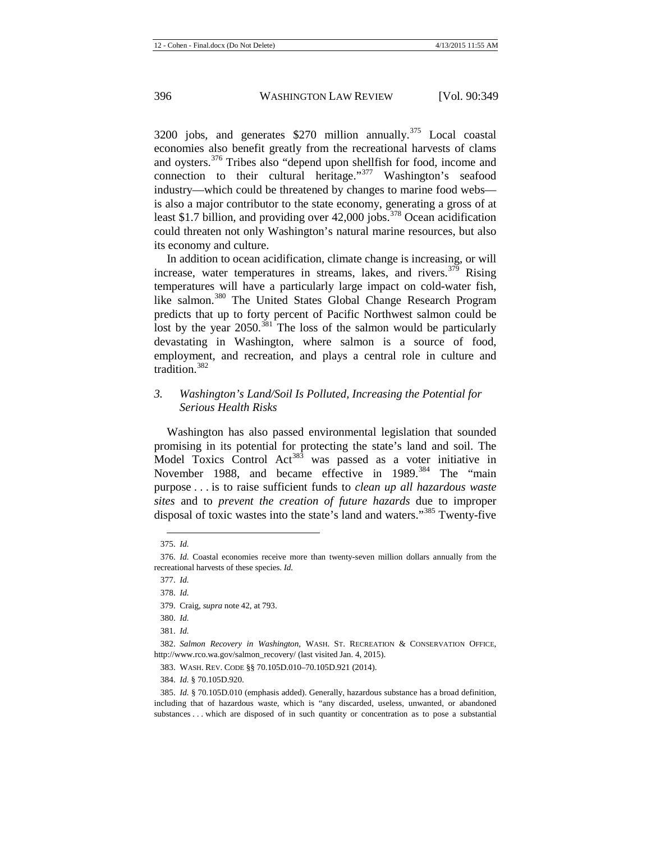3200 jobs, and generates  $$270$  million annually.<sup>[375](#page-48-0)</sup> Local coastal economies also benefit greatly from the recreational harvests of clams and oysters.[376](#page-48-1) Tribes also "depend upon shellfish for food, income and connection to their cultural heritage."<sup>[377](#page-48-2)</sup> Washington's seafood industry—which could be threatened by changes to marine food webs is also a major contributor to the state economy, generating a gross of at least \$1.7 billion, and providing over  $42,000$  jobs.<sup>[378](#page-48-3)</sup> Ocean acidification could threaten not only Washington's natural marine resources, but also its economy and culture.

In addition to ocean acidification, climate change is increasing, or will increase, water temperatures in streams, lakes, and rivers.<sup>[379](#page-48-4)</sup> Rising temperatures will have a particularly large impact on cold-water fish, like salmon.<sup>[380](#page-48-5)</sup> The United States Global Change Research Program predicts that up to forty percent of Pacific Northwest salmon could be lost by the year 2050.<sup>[381](#page-48-6)</sup> The loss of the salmon would be particularly devastating in Washington, where salmon is a source of food, employment, and recreation, and plays a central role in culture and tradition<sup>[382](#page-48-7)</sup>

## *3. Washington's Land/Soil Is Polluted, Increasing the Potential for Serious Health Risks*

Washington has also passed environmental legislation that sounded promising in its potential for protecting the state's land and soil. The Model Toxics Control  $Act^{383}$  $Act^{383}$  $Act^{383}$  was passed as a voter initiative in November 1988, and became effective in 1989.<sup>[384](#page-48-9)</sup> The "main purpose . . . is to raise sufficient funds to *clean up all hazardous waste sites* and to *prevent the creation of future hazards* due to improper disposal of toxic wastes into the state's land and waters."<sup>[385](#page-48-10)</sup> Twenty-five

<sup>375.</sup> *Id.* **.** 

<span id="page-48-3"></span><span id="page-48-2"></span><span id="page-48-1"></span><span id="page-48-0"></span><sup>376.</sup> *Id.* Coastal economies receive more than twenty-seven million dollars annually from the recreational harvests of these species. *Id.*

<sup>377.</sup> *Id.*

<sup>378.</sup> *Id.*

<sup>379.</sup> Craig, *supra* not[e 42,](#page-6-1) at 793.

<sup>380.</sup> *Id.*

<sup>381.</sup> *Id.*

<span id="page-48-8"></span><span id="page-48-7"></span><span id="page-48-6"></span><span id="page-48-5"></span><span id="page-48-4"></span><sup>382.</sup> *Salmon Recovery in Washington*, WASH. ST. RECREATION & CONSERVATION OFFICE, http://www.rco.wa.gov/salmon\_recovery/ (last visited Jan. 4, 2015).

<sup>383.</sup> WASH. REV. CODE §§ 70.105D.010–70.105D.921 (2014).

<sup>384.</sup> *Id.* § 70.105D.920.

<span id="page-48-10"></span><span id="page-48-9"></span><sup>385.</sup> *Id.* § 70.105D.010 (emphasis added). Generally, hazardous substance has a broad definition, including that of hazardous waste, which is "any discarded, useless, unwanted, or abandoned substances . . . which are disposed of in such quantity or concentration as to pose a substantial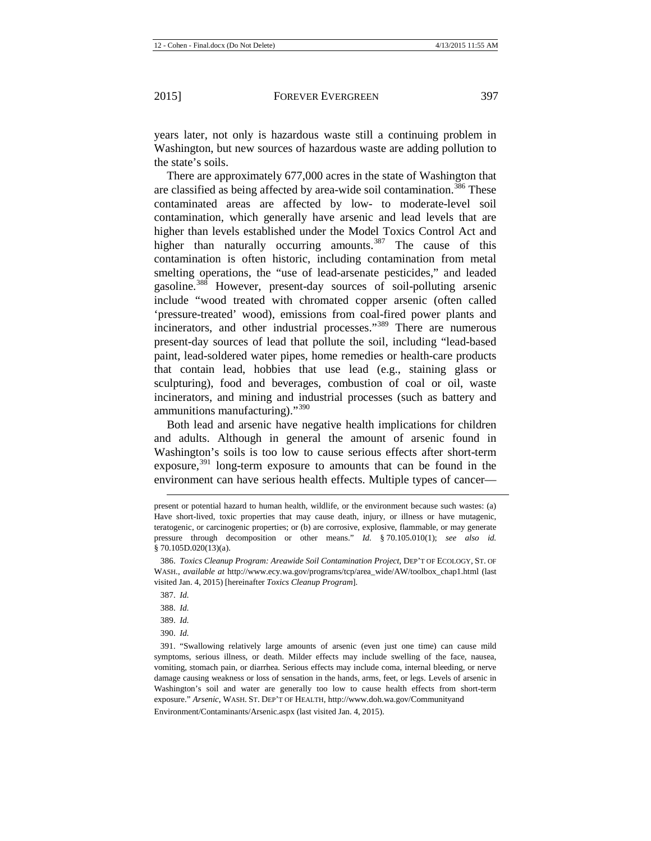years later, not only is hazardous waste still a continuing problem in Washington, but new sources of hazardous waste are adding pollution to the state's soils.

There are approximately 677,000 acres in the state of Washington that are classified as being affected by area-wide soil contamination.<sup>[386](#page-49-0)</sup> These contaminated areas are affected by low- to moderate-level soil contamination, which generally have arsenic and lead levels that are higher than levels established under the Model Toxics Control Act and higher than naturally occurring amounts.<sup>[387](#page-49-1)</sup> The cause of this contamination is often historic, including contamination from metal smelting operations, the "use of lead-arsenate pesticides," and leaded gasoline.[388](#page-49-2) However, present-day sources of soil-polluting arsenic include "wood treated with chromated copper arsenic (often called 'pressure-treated' wood), emissions from coal-fired power plants and incinerators, and other industrial processes."<sup>[389](#page-49-3)</sup> There are numerous present-day sources of lead that pollute the soil, including "lead-based paint, lead-soldered water pipes, home remedies or health-care products that contain lead, hobbies that use lead (e.g., staining glass or sculpturing), food and beverages, combustion of coal or oil, waste incinerators, and mining and industrial processes (such as battery and ammunitions manufacturing)."<sup>[390](#page-49-4)</sup>

Both lead and arsenic have negative health implications for children and adults. Although in general the amount of arsenic found in Washington's soils is too low to cause serious effects after short-term exposure, $391$  long-term exposure to amounts that can be found in the environment can have serious health effects. Multiple types of cancer—

387. *Id.*

 $\overline{a}$ 

388. *Id.*

389. *Id.*

390. *Id.*

Environment/Contaminants/Arsenic.aspx (last visited Jan. 4, 2015).

present or potential hazard to human health, wildlife, or the environment because such wastes: (a) Have short-lived, toxic properties that may cause death, injury, or illness or have mutagenic, teratogenic, or carcinogenic properties; or (b) are corrosive, explosive, flammable, or may generate pressure through decomposition or other means." *Id.* § 70.105.010(1); *see also id.* § 70.105D.020(13)(a).

<span id="page-49-1"></span><span id="page-49-0"></span><sup>386.</sup> *Toxics Cleanup Program: Areawide Soil Contamination Project*, DEP'T OF ECOLOGY, ST. OF WASH., *available at* http://www.ecy.wa.gov/programs/tcp/area\_wide/AW/toolbox\_chap1.html (last visited Jan. 4, 2015) [hereinafter *Toxics Cleanup Program*].

<span id="page-49-5"></span><span id="page-49-4"></span><span id="page-49-3"></span><span id="page-49-2"></span><sup>391.</sup> "Swallowing relatively large amounts of arsenic (even just one time) can cause mild symptoms, serious illness, or death. Milder effects may include swelling of the face, nausea, vomiting, stomach pain, or diarrhea. Serious effects may include coma, internal bleeding, or nerve damage causing weakness or loss of sensation in the hands, arms, feet, or legs. Levels of arsenic in Washington's soil and water are generally too low to cause health effects from short-term exposure." *Arsenic*, WASH. ST. DEP'T OF HEALTH, http://www.doh.wa.gov/Communityand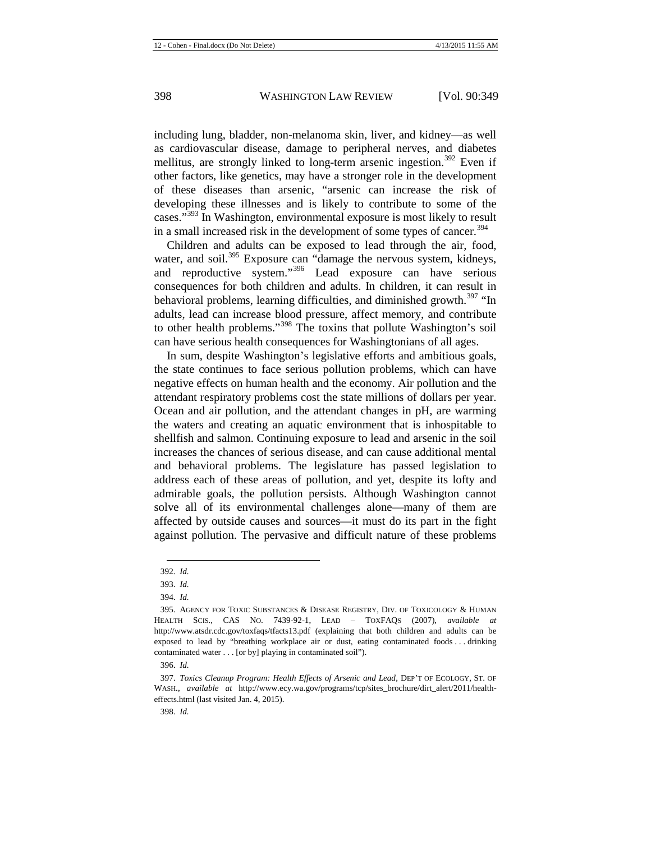including lung, bladder, non-melanoma skin, liver, and kidney—as well as cardiovascular disease, damage to peripheral nerves, and diabetes mellitus, are strongly linked to long-term arsenic ingestion.<sup>[392](#page-50-0)</sup> Even if other factors, like genetics, may have a stronger role in the development of these diseases than arsenic, "arsenic can increase the risk of developing these illnesses and is likely to contribute to some of the cases."[393](#page-50-1) In Washington, environmental exposure is most likely to result in a small increased risk in the development of some types of cancer.<sup>[394](#page-50-2)</sup>

Children and adults can be exposed to lead through the air, food, water, and soil.<sup>[395](#page-50-3)</sup> Exposure can "damage the nervous system, kidneys, and reproductive system."[396](#page-50-4) Lead exposure can have serious consequences for both children and adults. In children, it can result in behavioral problems, learning difficulties, and diminished growth.<sup>[397](#page-50-5)</sup> "In adults, lead can increase blood pressure, affect memory, and contribute to other health problems."[398](#page-50-6) The toxins that pollute Washington's soil can have serious health consequences for Washingtonians of all ages.

In sum, despite Washington's legislative efforts and ambitious goals, the state continues to face serious pollution problems, which can have negative effects on human health and the economy. Air pollution and the attendant respiratory problems cost the state millions of dollars per year. Ocean and air pollution, and the attendant changes in pH, are warming the waters and creating an aquatic environment that is inhospitable to shellfish and salmon. Continuing exposure to lead and arsenic in the soil increases the chances of serious disease, and can cause additional mental and behavioral problems. The legislature has passed legislation to address each of these areas of pollution, and yet, despite its lofty and admirable goals, the pollution persists. Although Washington cannot solve all of its environmental challenges alone—many of them are affected by outside causes and sources—it must do its part in the fight against pollution. The pervasive and difficult nature of these problems

<sup>392</sup>*. Id.* **.** 

<sup>393.</sup> *Id.*

<sup>394.</sup> *Id.*

<span id="page-50-3"></span><span id="page-50-2"></span><span id="page-50-1"></span><span id="page-50-0"></span><sup>395.</sup> AGENCY FOR TOXIC SUBSTANCES & DISEASE REGISTRY, DIV. OF TOXICOLOGY & HUMAN HEALTH SCIS., CAS NO. 7439-92-1, LEAD – TOXFAQS (2007), *available at* http://www.atsdr.cdc.gov/toxfaqs/tfacts13.pdf (explaining that both children and adults can be exposed to lead by "breathing workplace air or dust, eating contaminated foods . . . drinking contaminated water . . . [or by] playing in contaminated soil").

<sup>396.</sup> *Id.*

<span id="page-50-6"></span><span id="page-50-5"></span><span id="page-50-4"></span><sup>397.</sup> *Toxics Cleanup Program: Health Effects of Arsenic and Lead*, DEP'T OF ECOLOGY, ST. OF WASH., *available at* http://www.ecy.wa.gov/programs/tcp/sites\_brochure/dirt\_alert/2011/healtheffects.html (last visited Jan. 4, 2015).

<sup>398.</sup> *Id.*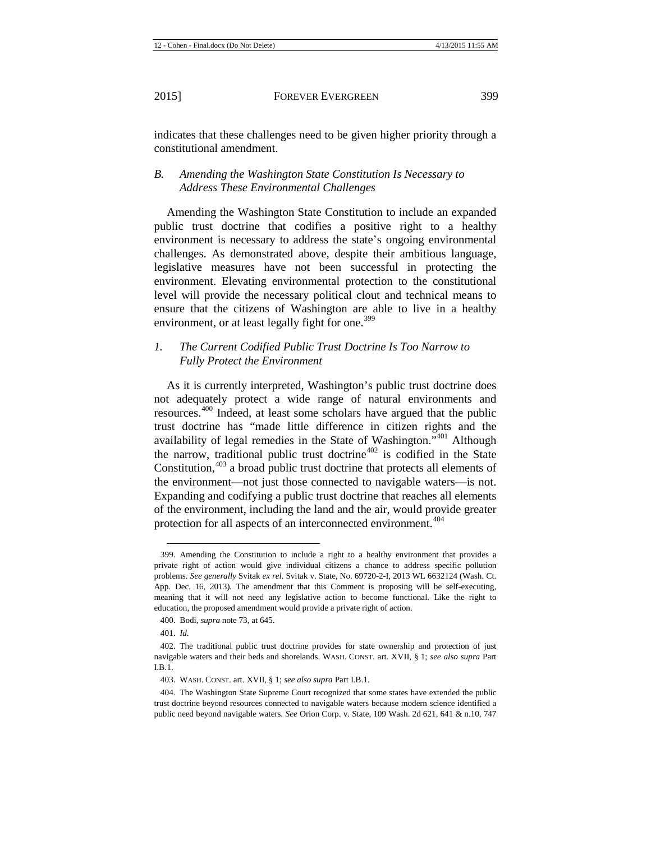indicates that these challenges need to be given higher priority through a constitutional amendment.

## *B. Amending the Washington State Constitution Is Necessary to Address These Environmental Challenges*

Amending the Washington State Constitution to include an expanded public trust doctrine that codifies a positive right to a healthy environment is necessary to address the state's ongoing environmental challenges. As demonstrated above, despite their ambitious language, legislative measures have not been successful in protecting the environment. Elevating environmental protection to the constitutional level will provide the necessary political clout and technical means to ensure that the citizens of Washington are able to live in a healthy environment, or at least legally fight for one.<sup>[399](#page-51-0)</sup>

## *1. The Current Codified Public Trust Doctrine Is Too Narrow to Fully Protect the Environment*

As it is currently interpreted, Washington's public trust doctrine does not adequately protect a wide range of natural environments and resources.<sup>[400](#page-51-1)</sup> Indeed, at least some scholars have argued that the public trust doctrine has "made little difference in citizen rights and the availability of legal remedies in the State of Washington."[401](#page-51-2) Although the narrow, traditional public trust doctrine<sup>[402](#page-51-3)</sup> is codified in the State Constitution,<sup>[403](#page-51-4)</sup> a broad public trust doctrine that protects all elements of the environment—not just those connected to navigable waters—is not. Expanding and codifying a public trust doctrine that reaches all elements of the environment, including the land and the air, would provide greater protection for all aspects of an interconnected environment.<sup>[404](#page-51-5)</sup>

<span id="page-51-0"></span><sup>399.</sup> Amending the Constitution to include a right to a healthy environment that provides a private right of action would give individual citizens a chance to address specific pollution problems. *See generally* Svitak *ex rel.* Svitak v. State, No. 69720-2-I, 2013 WL 6632124 (Wash. Ct. App. Dec. 16, 2013). The amendment that this Comment is proposing will be self-executing, meaning that it will not need any legislative action to become functional. Like the right to education, the proposed amendment would provide a private right of action.

<sup>400.</sup> Bodi, *supra* not[e 73,](#page-9-0) at 645.

<sup>401.</sup> *Id.*

<span id="page-51-3"></span><span id="page-51-2"></span><span id="page-51-1"></span><sup>402.</sup> The traditional public trust doctrine provides for state ownership and protection of just navigable waters and their beds and shorelands. WASH. CONST. art. XVII, § 1; *see also supra* Part I.B.1.

<sup>403.</sup> WASH. CONST. art. XVII, § 1; *see also supra* Part I.B.1.

<span id="page-51-5"></span><span id="page-51-4"></span><sup>404.</sup> The Washington State Supreme Court recognized that some states have extended the public trust doctrine beyond resources connected to navigable waters because modern science identified a public need beyond navigable waters. *See* Orion Corp. v. State, 109 Wash. 2d 621, 641 & n.10, 747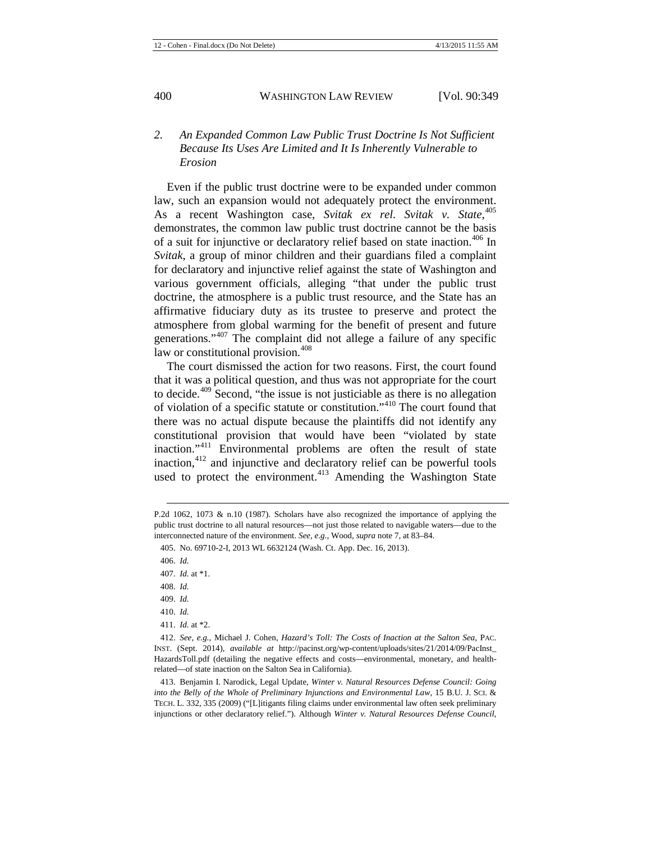## *2. An Expanded Common Law Public Trust Doctrine Is Not Sufficient Because Its Uses Are Limited and It Is Inherently Vulnerable to Erosion*

Even if the public trust doctrine were to be expanded under common law, such an expansion would not adequately protect the environment. As a recent Washington case, *Svitak ex rel. Svitak v. State*, [405](#page-52-0) demonstrates, the common law public trust doctrine cannot be the basis of a suit for injunctive or declaratory relief based on state inaction.<sup>[406](#page-52-1)</sup> In *Svitak*, a group of minor children and their guardians filed a complaint for declaratory and injunctive relief against the state of Washington and various government officials, alleging "that under the public trust doctrine, the atmosphere is a public trust resource, and the State has an affirmative fiduciary duty as its trustee to preserve and protect the atmosphere from global warming for the benefit of present and future generations."[407](#page-52-2) The complaint did not allege a failure of any specific law or constitutional provision.<sup>[408](#page-52-3)</sup>

The court dismissed the action for two reasons. First, the court found that it was a political question, and thus was not appropriate for the court to decide.<sup> $409$ </sup> Second, "the issue is not justiciable as there is no allegation of violation of a specific statute or constitution."[410](#page-52-5) The court found that there was no actual dispute because the plaintiffs did not identify any constitutional provision that would have been "violated by state inaction."[411](#page-52-6) Environmental problems are often the result of state inaction,[412](#page-52-7) and injunctive and declaratory relief can be powerful tools used to protect the environment. $413$  Amending the Washington State

- 408. *Id.*
- <span id="page-52-4"></span><span id="page-52-3"></span>409. *Id.*

<span id="page-52-0"></span>P.2d 1062, 1073 & n.10 (1987). Scholars have also recognized the importance of applying the public trust doctrine to all natural resources—not just those related to navigable waters—due to the interconnected nature of the environment. *See, e.g.*, Wood, *supra* not[e 7,](#page-2-6) at 83–84.

<span id="page-52-1"></span><sup>405.</sup> No. 69710-2-I, 2013 WL 6632124 (Wash. Ct. App. Dec. 16, 2013).

<sup>406.</sup> *Id.*

<span id="page-52-2"></span><sup>407</sup>*. Id.* at \*1.

<sup>410.</sup> *Id.*

<sup>411.</sup> *Id.* at \*2.

<span id="page-52-7"></span><span id="page-52-6"></span><span id="page-52-5"></span><sup>412.</sup> *See, e.g.*, Michael J. Cohen, *Hazard's Toll: The Costs of Inaction at the Salton Sea*, PAC. INST. (Sept. 2014), *available at* http://pacinst.org/wp-content/uploads/sites/21/2014/09/PacInst\_ HazardsToll.pdf (detailing the negative effects and costs—environmental, monetary, and healthrelated—of state inaction on the Salton Sea in California).

<span id="page-52-8"></span><sup>413.</sup> Benjamin I. Narodick, Legal Update, *Winter v. Natural Resources Defense Council: Going into the Belly of the Whole of Preliminary Injunctions and Environmental Law*, 15 B.U. J. SCI. & TECH. L. 332, 335 (2009) ("[L]itigants filing claims under environmental law often seek preliminary injunctions or other declaratory relief."). Although *Winter v. Natural Resources Defense Council*,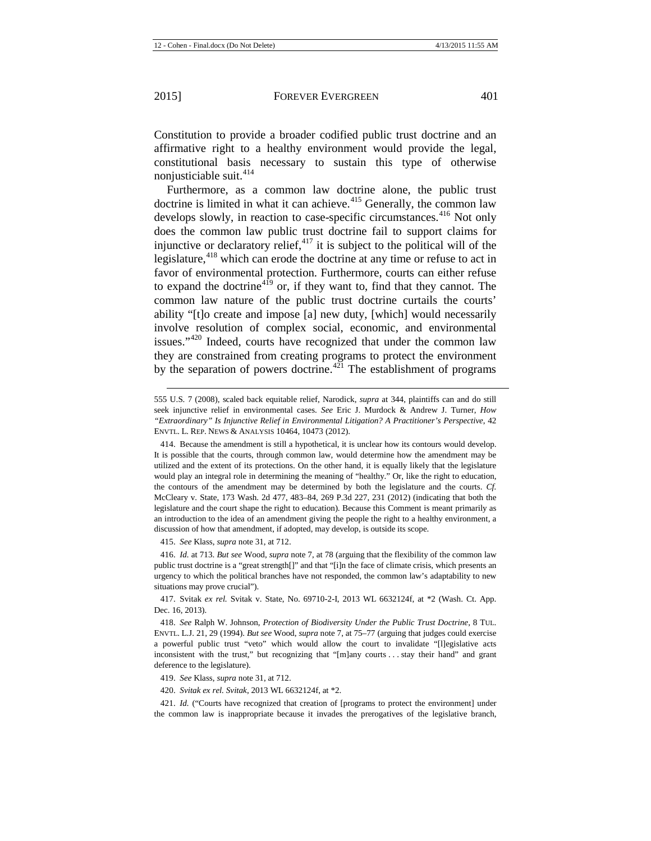$\overline{a}$ 

Constitution to provide a broader codified public trust doctrine and an affirmative right to a healthy environment would provide the legal, constitutional basis necessary to sustain this type of otherwise nonjusticiable suit. $414$ 

Furthermore, as a common law doctrine alone, the public trust doctrine is limited in what it can achieve.<sup>[415](#page-53-1)</sup> Generally, the common law develops slowly, in reaction to case-specific circumstances.<sup>[416](#page-53-2)</sup> Not only does the common law public trust doctrine fail to support claims for injunctive or declaratory relief, $417$  it is subject to the political will of the legislature, $418$  which can erode the doctrine at any time or refuse to act in favor of environmental protection. Furthermore, courts can either refuse to expand the doctrine<sup> $4\bar{19}$ </sup> or, if they want to, find that they cannot. The common law nature of the public trust doctrine curtails the courts' ability "[t]o create and impose [a] new duty, [which] would necessarily involve resolution of complex social, economic, and environmental issues."<sup>[420](#page-53-6)</sup> Indeed, courts have recognized that under the common law they are constrained from creating programs to protect the environment by the separation of powers doctrine.<sup> $421$ </sup> The establishment of programs

415. *See* Klass, *supra* not[e 31,](#page-5-12) at 712.

<span id="page-53-2"></span><span id="page-53-1"></span>416. *Id.* at 713. *But see* Wood, *supra* not[e 7,](#page-2-6) at 78 (arguing that the flexibility of the common law public trust doctrine is a "great strength[]" and that "[i]n the face of climate crisis, which presents an urgency to which the political branches have not responded, the common law's adaptability to new situations may prove crucial").

<span id="page-53-3"></span>417. Svitak *ex rel.* Svitak v. State, No. 69710-2-I, 2013 WL 6632124f, at \*2 (Wash. Ct. App. Dec. 16, 2013).

<span id="page-53-4"></span>418. *See* Ralph W. Johnson, *Protection of Biodiversity Under the Public Trust Doctrine*, 8 TUL. ENVTL. L.J. 21, 29 (1994). *But see* Wood, *supra* not[e 7,](#page-2-6) at 75–77 (arguing that judges could exercise a powerful public trust "veto" which would allow the court to invalidate "[l]egislative acts inconsistent with the trust," but recognizing that "[m]any courts . . . stay their hand" and grant deference to the legislature).

420. *Svitak ex rel. Svitak*, 2013 WL 6632124f, at \*2.

<span id="page-53-7"></span><span id="page-53-6"></span><span id="page-53-5"></span>421. *Id.* ("Courts have recognized that creation of [programs to protect the environment] under the common law is inappropriate because it invades the prerogatives of the legislative branch,

<sup>555</sup> U.S. 7 (2008), scaled back equitable relief, Narodick, *supra* at 344, plaintiffs can and do still seek injunctive relief in environmental cases. *See* Eric J. Murdock & Andrew J. Turner, *How "Extraordinary" Is Injunctive Relief in Environmental Litigation? A Practitioner's Perspective*, 42 ENVTL. L. REP. NEWS & ANALYSIS 10464, 10473 (2012).

<span id="page-53-0"></span><sup>414.</sup> Because the amendment is still a hypothetical, it is unclear how its contours would develop. It is possible that the courts, through common law, would determine how the amendment may be utilized and the extent of its protections. On the other hand, it is equally likely that the legislature would play an integral role in determining the meaning of "healthy." Or, like the right to education, the contours of the amendment may be determined by both the legislature and the courts. *Cf.* McCleary v. State, 173 Wash. 2d 477, 483–84, 269 P.3d 227, 231 (2012) (indicating that both the legislature and the court shape the right to education). Because this Comment is meant primarily as an introduction to the idea of an amendment giving the people the right to a healthy environment, a discussion of how that amendment, if adopted, may develop, is outside its scope.

<sup>419.</sup> *See* Klass, *supra* not[e 31,](#page-5-12) at 712.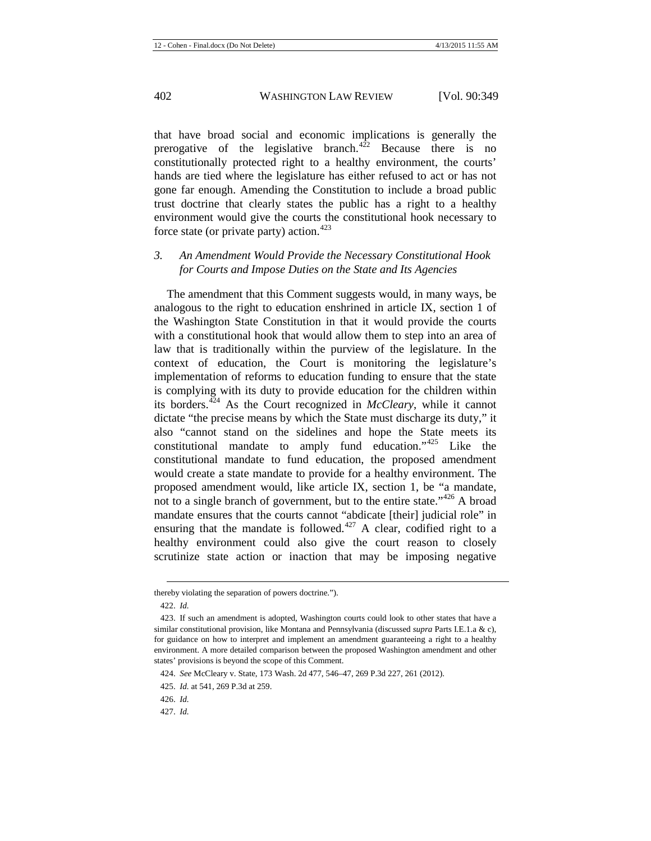that have broad social and economic implications is generally the prerogative of the legislative branch.<sup> $4\overline{2}$ </sup> Because there is no constitutionally protected right to a healthy environment, the courts' hands are tied where the legislature has either refused to act or has not gone far enough. Amending the Constitution to include a broad public trust doctrine that clearly states the public has a right to a healthy environment would give the courts the constitutional hook necessary to force state (or private party) action.<sup>[423](#page-54-1)</sup>

## *3. An Amendment Would Provide the Necessary Constitutional Hook for Courts and Impose Duties on the State and Its Agencies*

The amendment that this Comment suggests would, in many ways, be analogous to the right to education enshrined in article IX, section 1 of the Washington State Constitution in that it would provide the courts with a constitutional hook that would allow them to step into an area of law that is traditionally within the purview of the legislature. In the context of education, the Court is monitoring the legislature's implementation of reforms to education funding to ensure that the state is complying with its duty to provide education for the children within its borders.[424](#page-54-2) As the Court recognized in *McCleary*, while it cannot dictate "the precise means by which the State must discharge its duty," it also "cannot stand on the sidelines and hope the State meets its constitutional mandate to amply fund education." $425$  Like the constitutional mandate to fund education, the proposed amendment would create a state mandate to provide for a healthy environment. The proposed amendment would, like article IX, section 1, be "a mandate, not to a single branch of government, but to the entire state."<sup>[426](#page-54-4)</sup> A broad mandate ensures that the courts cannot "abdicate [their] judicial role" in ensuring that the mandate is followed.<sup>[427](#page-54-5)</sup> A clear, codified right to a healthy environment could also give the court reason to closely scrutinize state action or inaction that may be imposing negative

<span id="page-54-0"></span>thereby violating the separation of powers doctrine.").

<sup>422.</sup> *Id.*

<span id="page-54-1"></span><sup>423.</sup> If such an amendment is adopted, Washington courts could look to other states that have a similar constitutional provision, like Montana and Pennsylvania (discussed *supra* Parts I.E.1.a & c), for guidance on how to interpret and implement an amendment guaranteeing a right to a healthy environment. A more detailed comparison between the proposed Washington amendment and other states' provisions is beyond the scope of this Comment.

<sup>424.</sup> *See* McCleary v. State, 173 Wash. 2d 477, 546–47, 269 P.3d 227, 261 (2012).

<span id="page-54-3"></span><span id="page-54-2"></span><sup>425.</sup> *Id.* at 541, 269 P.3d at 259.

<span id="page-54-4"></span><sup>426.</sup> *Id.*

<span id="page-54-5"></span><sup>427.</sup> *Id.*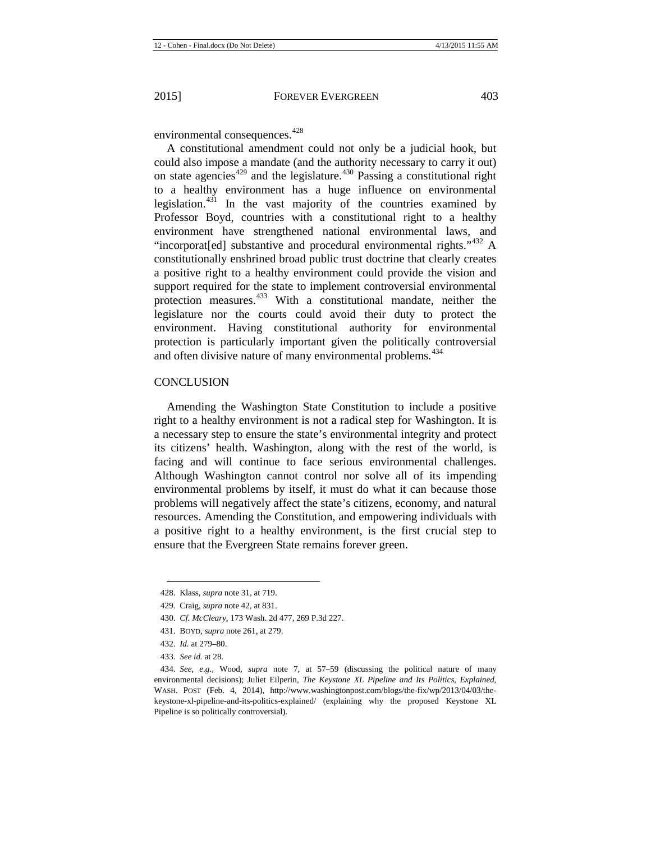environmental consequences.<sup>[428](#page-55-0)</sup>

A constitutional amendment could not only be a judicial hook, but could also impose a mandate (and the authority necessary to carry it out) on state agencies $429$  and the legislature. $430$  Passing a constitutional right to a healthy environment has a huge influence on environmental legislation. $431$  In the vast majority of the countries examined by Professor Boyd, countries with a constitutional right to a healthy environment have strengthened national environmental laws, and "incorporat[ed] substantive and procedural environmental rights."<sup>[432](#page-55-4)</sup> A constitutionally enshrined broad public trust doctrine that clearly creates a positive right to a healthy environment could provide the vision and support required for the state to implement controversial environmental protection measures.<sup>[433](#page-55-5)</sup> With a constitutional mandate, neither the legislature nor the courts could avoid their duty to protect the environment. Having constitutional authority for environmental protection is particularly important given the politically controversial and often divisive nature of many environmental problems.<sup>[434](#page-55-6)</sup>

## **CONCLUSION**

Amending the Washington State Constitution to include a positive right to a healthy environment is not a radical step for Washington. It is a necessary step to ensure the state's environmental integrity and protect its citizens' health. Washington, along with the rest of the world, is facing and will continue to face serious environmental challenges. Although Washington cannot control nor solve all of its impending environmental problems by itself, it must do what it can because those problems will negatively affect the state's citizens, economy, and natural resources. Amending the Constitution, and empowering individuals with a positive right to a healthy environment, is the first crucial step to ensure that the Evergreen State remains forever green.

<span id="page-55-0"></span><sup>428.</sup> Klass, *supra* not[e 31,](#page-5-12) at 719.

<span id="page-55-1"></span><sup>429.</sup> Craig, *supra* not[e 42,](#page-6-1) at 831.

<span id="page-55-2"></span><sup>430.</sup> *Cf. McCleary*, 173 Wash. 2d 477, 269 P.3d 227.

<sup>431.</sup> BOYD, *supra* not[e 261,](#page-34-7) at 279.

<sup>432.</sup> *Id.* at 279–80.

<sup>433</sup>*. See id.* at 28.

<span id="page-55-6"></span><span id="page-55-5"></span><span id="page-55-4"></span><span id="page-55-3"></span><sup>434.</sup> *See, e.g.*, Wood, *supra* note [7,](#page-2-6) at 57–59 (discussing the political nature of many environmental decisions); Juliet Eilperin, *The Keystone XL Pipeline and Its Politics, Explained*, WASH. POST (Feb. 4, 2014), http://www.washingtonpost.com/blogs/the-fix/wp/2013/04/03/thekeystone-xl-pipeline-and-its-politics-explained/ (explaining why the proposed Keystone XL Pipeline is so politically controversial).